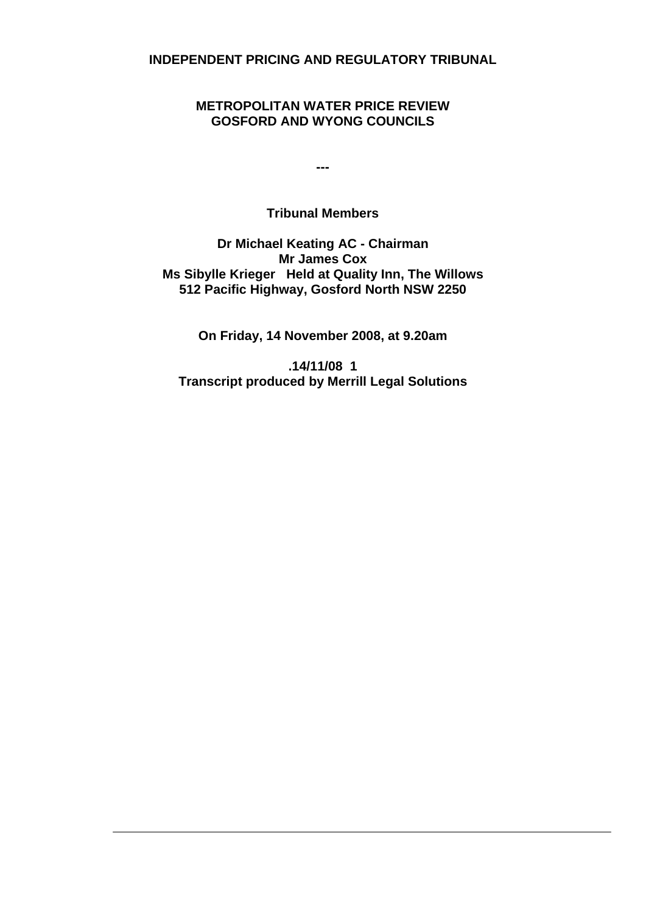**INDEPENDENT PRICING AND REGULATORY TRIBUNAL** 

# **METROPOLITAN WATER PRICE REVIEW GOSFORD AND WYONG COUNCILS**

**---** 

# **Tribunal Members**

**Dr Michael Keating AC - Chairman Mr James Cox Ms Sibylle Krieger Held at Quality Inn, The Willows 512 Pacific Highway, Gosford North NSW 2250** 

**On Friday, 14 November 2008, at 9.20am** 

**.14/11/08 1 Transcript produced by Merrill Legal Solutions**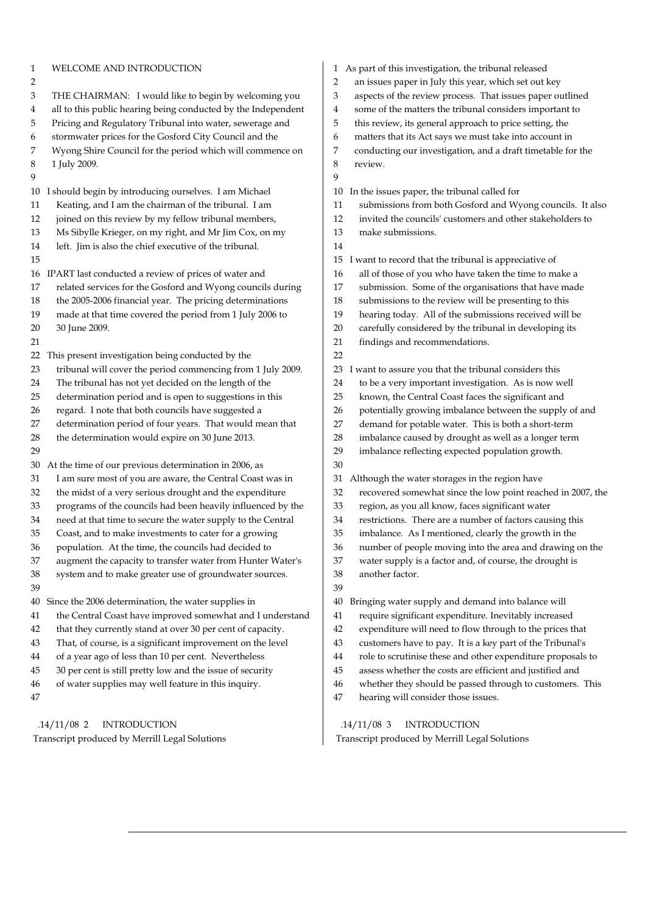| 1<br>2<br>3<br>4<br>5<br>6<br>7<br>8<br>9<br>10<br>11<br>12 | WELCOME AND INTRODUCTION<br>THE CHAIRMAN: I would like to begin by welcoming you<br>all to this public hearing being conducted by the Independent<br>Pricing and Regulatory Tribunal into water, sewerage and<br>stormwater prices for the Gosford City Council and the<br>Wyong Shire Council for the period which will commence on<br>1 July 2009.<br>I should begin by introducing ourselves. I am Michael<br>Keating, and I am the chairman of the tribunal. I am<br>joined on this review by my fellow tribunal members, | 2<br>3<br>4<br>5<br>6<br>7<br>8<br>9<br>10<br>11<br>12 | 1 As part of this investigation, the tribunal released<br>an issues paper in July this year, which set out key<br>aspects of the review process. That issues paper outlined<br>some of the matters the tribunal considers important to<br>this review, its general approach to price setting, the<br>matters that its Act says we must take into account in<br>conducting our investigation, and a draft timetable for the<br>review.<br>In the issues paper, the tribunal called for<br>submissions from both Gosford and Wyong councils. It also<br>invited the councils' customers and other stakeholders to |
|-------------------------------------------------------------|-------------------------------------------------------------------------------------------------------------------------------------------------------------------------------------------------------------------------------------------------------------------------------------------------------------------------------------------------------------------------------------------------------------------------------------------------------------------------------------------------------------------------------|--------------------------------------------------------|-----------------------------------------------------------------------------------------------------------------------------------------------------------------------------------------------------------------------------------------------------------------------------------------------------------------------------------------------------------------------------------------------------------------------------------------------------------------------------------------------------------------------------------------------------------------------------------------------------------------|
| 13                                                          | Ms Sibylle Krieger, on my right, and Mr Jim Cox, on my                                                                                                                                                                                                                                                                                                                                                                                                                                                                        | 13                                                     | make submissions.                                                                                                                                                                                                                                                                                                                                                                                                                                                                                                                                                                                               |
| 14                                                          | left. Jim is also the chief executive of the tribunal.                                                                                                                                                                                                                                                                                                                                                                                                                                                                        | 14                                                     |                                                                                                                                                                                                                                                                                                                                                                                                                                                                                                                                                                                                                 |
| 15                                                          |                                                                                                                                                                                                                                                                                                                                                                                                                                                                                                                               | 15                                                     | I want to record that the tribunal is appreciative of                                                                                                                                                                                                                                                                                                                                                                                                                                                                                                                                                           |
| 16                                                          | IPART last conducted a review of prices of water and                                                                                                                                                                                                                                                                                                                                                                                                                                                                          | 16                                                     | all of those of you who have taken the time to make a                                                                                                                                                                                                                                                                                                                                                                                                                                                                                                                                                           |
| 17                                                          | related services for the Gosford and Wyong councils during                                                                                                                                                                                                                                                                                                                                                                                                                                                                    | 17                                                     | submission. Some of the organisations that have made                                                                                                                                                                                                                                                                                                                                                                                                                                                                                                                                                            |
| 18                                                          | the 2005-2006 financial year. The pricing determinations                                                                                                                                                                                                                                                                                                                                                                                                                                                                      | 18                                                     | submissions to the review will be presenting to this                                                                                                                                                                                                                                                                                                                                                                                                                                                                                                                                                            |
| 19                                                          | made at that time covered the period from 1 July 2006 to                                                                                                                                                                                                                                                                                                                                                                                                                                                                      | 19                                                     | hearing today. All of the submissions received will be                                                                                                                                                                                                                                                                                                                                                                                                                                                                                                                                                          |
| 20<br>21                                                    | 30 June 2009.                                                                                                                                                                                                                                                                                                                                                                                                                                                                                                                 | 20<br>21                                               | carefully considered by the tribunal in developing its<br>findings and recommendations.                                                                                                                                                                                                                                                                                                                                                                                                                                                                                                                         |
| 22                                                          | This present investigation being conducted by the                                                                                                                                                                                                                                                                                                                                                                                                                                                                             | 22                                                     |                                                                                                                                                                                                                                                                                                                                                                                                                                                                                                                                                                                                                 |
| 23                                                          | tribunal will cover the period commencing from 1 July 2009.                                                                                                                                                                                                                                                                                                                                                                                                                                                                   | 23                                                     | I want to assure you that the tribunal considers this                                                                                                                                                                                                                                                                                                                                                                                                                                                                                                                                                           |
| 24                                                          | The tribunal has not yet decided on the length of the                                                                                                                                                                                                                                                                                                                                                                                                                                                                         | 24                                                     | to be a very important investigation. As is now well                                                                                                                                                                                                                                                                                                                                                                                                                                                                                                                                                            |
| 25                                                          | determination period and is open to suggestions in this                                                                                                                                                                                                                                                                                                                                                                                                                                                                       | 25                                                     | known, the Central Coast faces the significant and                                                                                                                                                                                                                                                                                                                                                                                                                                                                                                                                                              |
| 26                                                          | regard. I note that both councils have suggested a                                                                                                                                                                                                                                                                                                                                                                                                                                                                            | 26                                                     | potentially growing imbalance between the supply of and                                                                                                                                                                                                                                                                                                                                                                                                                                                                                                                                                         |
| 27                                                          | determination period of four years. That would mean that                                                                                                                                                                                                                                                                                                                                                                                                                                                                      | 27                                                     | demand for potable water. This is both a short-term                                                                                                                                                                                                                                                                                                                                                                                                                                                                                                                                                             |
| 28                                                          | the determination would expire on 30 June 2013.                                                                                                                                                                                                                                                                                                                                                                                                                                                                               | 28                                                     | imbalance caused by drought as well as a longer term                                                                                                                                                                                                                                                                                                                                                                                                                                                                                                                                                            |
| 29                                                          |                                                                                                                                                                                                                                                                                                                                                                                                                                                                                                                               | 29                                                     | imbalance reflecting expected population growth.                                                                                                                                                                                                                                                                                                                                                                                                                                                                                                                                                                |
| 30                                                          | At the time of our previous determination in 2006, as                                                                                                                                                                                                                                                                                                                                                                                                                                                                         | 30                                                     |                                                                                                                                                                                                                                                                                                                                                                                                                                                                                                                                                                                                                 |
| 31                                                          | I am sure most of you are aware, the Central Coast was in                                                                                                                                                                                                                                                                                                                                                                                                                                                                     | 31                                                     | Although the water storages in the region have                                                                                                                                                                                                                                                                                                                                                                                                                                                                                                                                                                  |
| 32<br>33                                                    | the midst of a very serious drought and the expenditure                                                                                                                                                                                                                                                                                                                                                                                                                                                                       | 32<br>33                                               | recovered somewhat since the low point reached in 2007, the                                                                                                                                                                                                                                                                                                                                                                                                                                                                                                                                                     |
| 34                                                          | programs of the councils had been heavily influenced by the<br>need at that time to secure the water supply to the Central                                                                                                                                                                                                                                                                                                                                                                                                    | 34                                                     | region, as you all know, faces significant water<br>restrictions. There are a number of factors causing this                                                                                                                                                                                                                                                                                                                                                                                                                                                                                                    |
| 35                                                          | Coast, and to make investments to cater for a growing                                                                                                                                                                                                                                                                                                                                                                                                                                                                         | 35                                                     | imbalance. As I mentioned, clearly the growth in the                                                                                                                                                                                                                                                                                                                                                                                                                                                                                                                                                            |
| 36                                                          | population. At the time, the councils had decided to                                                                                                                                                                                                                                                                                                                                                                                                                                                                          | 36                                                     | number of people moving into the area and drawing on the                                                                                                                                                                                                                                                                                                                                                                                                                                                                                                                                                        |
| 37                                                          | augment the capacity to transfer water from Hunter Water's                                                                                                                                                                                                                                                                                                                                                                                                                                                                    | 37                                                     | water supply is a factor and, of course, the drought is                                                                                                                                                                                                                                                                                                                                                                                                                                                                                                                                                         |
| 38                                                          | system and to make greater use of groundwater sources.                                                                                                                                                                                                                                                                                                                                                                                                                                                                        | $38\,$                                                 | another factor.                                                                                                                                                                                                                                                                                                                                                                                                                                                                                                                                                                                                 |
| 39                                                          |                                                                                                                                                                                                                                                                                                                                                                                                                                                                                                                               | 39                                                     |                                                                                                                                                                                                                                                                                                                                                                                                                                                                                                                                                                                                                 |
| 40                                                          | Since the 2006 determination, the water supplies in                                                                                                                                                                                                                                                                                                                                                                                                                                                                           | 40                                                     | Bringing water supply and demand into balance will                                                                                                                                                                                                                                                                                                                                                                                                                                                                                                                                                              |
| 41                                                          | the Central Coast have improved somewhat and I understand                                                                                                                                                                                                                                                                                                                                                                                                                                                                     | 41                                                     | require significant expenditure. Inevitably increased                                                                                                                                                                                                                                                                                                                                                                                                                                                                                                                                                           |
| 42                                                          | that they currently stand at over 30 per cent of capacity.                                                                                                                                                                                                                                                                                                                                                                                                                                                                    | 42                                                     | expenditure will need to flow through to the prices that                                                                                                                                                                                                                                                                                                                                                                                                                                                                                                                                                        |
| 43                                                          | That, of course, is a significant improvement on the level                                                                                                                                                                                                                                                                                                                                                                                                                                                                    | 43                                                     | customers have to pay. It is a key part of the Tribunal's                                                                                                                                                                                                                                                                                                                                                                                                                                                                                                                                                       |
| 44                                                          | of a year ago of less than 10 per cent. Nevertheless                                                                                                                                                                                                                                                                                                                                                                                                                                                                          | 44                                                     | role to scrutinise these and other expenditure proposals to                                                                                                                                                                                                                                                                                                                                                                                                                                                                                                                                                     |
| 45                                                          | 30 per cent is still pretty low and the issue of security                                                                                                                                                                                                                                                                                                                                                                                                                                                                     | 45                                                     | assess whether the costs are efficient and justified and                                                                                                                                                                                                                                                                                                                                                                                                                                                                                                                                                        |
| 46<br>47                                                    | of water supplies may well feature in this inquiry.                                                                                                                                                                                                                                                                                                                                                                                                                                                                           | 46<br>$47\,$                                           | whether they should be passed through to customers. This<br>hearing will consider those issues.                                                                                                                                                                                                                                                                                                                                                                                                                                                                                                                 |
|                                                             |                                                                                                                                                                                                                                                                                                                                                                                                                                                                                                                               |                                                        |                                                                                                                                                                                                                                                                                                                                                                                                                                                                                                                                                                                                                 |
|                                                             | $.14/11/08$ 2<br><b>INTRODUCTION</b>                                                                                                                                                                                                                                                                                                                                                                                                                                                                                          |                                                        | $.14/11/08$ 3<br><b>INTRODUCTION</b>                                                                                                                                                                                                                                                                                                                                                                                                                                                                                                                                                                            |

 $\overline{\phantom{a}}$ 

Transcript produced by Merrill Legal Solutions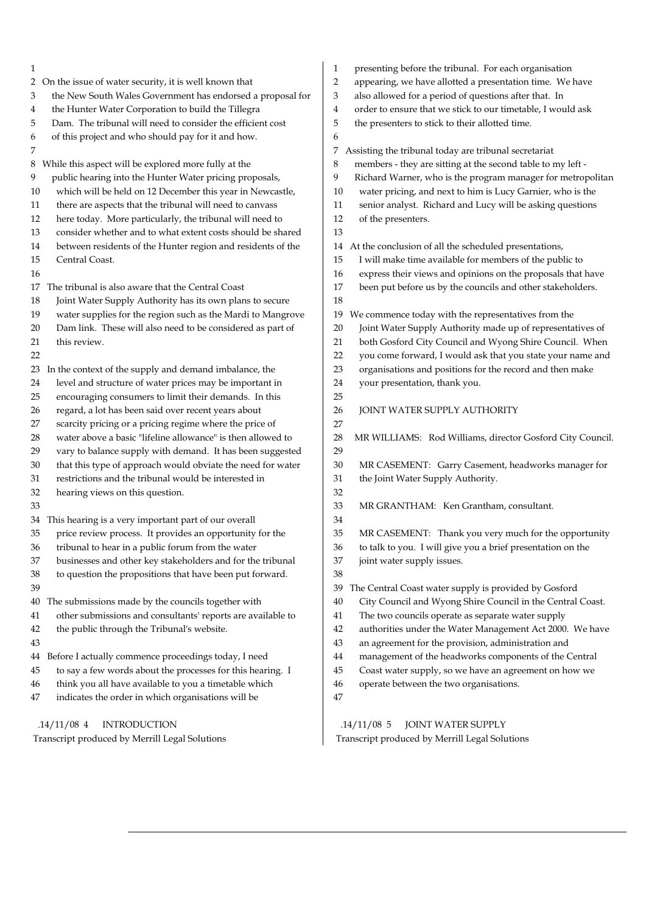| 1                                                                | presenting before the tribunal. For each organisation<br>1        |
|------------------------------------------------------------------|-------------------------------------------------------------------|
| On the issue of water security, it is well known that            | 2                                                                 |
| 2                                                                | appearing, we have allotted a presentation time. We have          |
| the New South Wales Government has endorsed a proposal for       | also allowed for a period of questions after that. In             |
| 3                                                                | 3                                                                 |
| the Hunter Water Corporation to build the Tillegra               | order to ensure that we stick to our timetable, I would ask       |
| 4                                                                | 4                                                                 |
| Dam. The tribunal will need to consider the efficient cost       | 5                                                                 |
| 5                                                                | the presenters to stick to their allotted time.                   |
| of this project and who should pay for it and how.<br>6          | 6                                                                 |
| 7                                                                | Assisting the tribunal today are tribunal secretariat<br>7.       |
| While this aspect will be explored more fully at the             | members - they are sitting at the second table to my left -       |
| 8                                                                | 8                                                                 |
| 9                                                                | Richard Warner, who is the program manager for metropolitan       |
| public hearing into the Hunter Water pricing proposals,          | 9                                                                 |
| which will be held on 12 December this year in Newcastle,        | water pricing, and next to him is Lucy Garnier, who is the        |
| 10                                                               | 10                                                                |
| there are aspects that the tribunal will need to canvass         | senior analyst. Richard and Lucy will be asking questions         |
| 11                                                               | 11                                                                |
| here today. More particularly, the tribunal will need to         | 12                                                                |
| 12                                                               | of the presenters.                                                |
| consider whether and to what extent costs should be shared<br>13 | 13                                                                |
| between residents of the Hunter region and residents of the      | At the conclusion of all the scheduled presentations,             |
| 14                                                               | 14                                                                |
| Central Coast.                                                   | I will make time available for members of the public to           |
| 15                                                               | 15                                                                |
| 16                                                               | express their views and opinions on the proposals that have<br>16 |
| The tribunal is also aware that the Central Coast                | been put before us by the councils and other stakeholders.        |
| 17                                                               | 17                                                                |
| Joint Water Supply Authority has its own plans to secure<br>18   | 18                                                                |
| water supplies for the region such as the Mardi to Mangrove      | We commence today with the representatives from the               |
| 19                                                               | 19                                                                |
| Dam link. These will also need to be considered as part of       | Joint Water Supply Authority made up of representatives of        |
| 20                                                               | 20                                                                |
| this review.                                                     | both Gosford City Council and Wyong Shire Council. When           |
| 21                                                               | 21                                                                |
| 22                                                               | you come forward, I would ask that you state your name and<br>22  |
| In the context of the supply and demand imbalance, the           | organisations and positions for the record and then make          |
| 23                                                               | 23                                                                |
| level and structure of water prices may be important in          | 24                                                                |
| 24                                                               | your presentation, thank you.                                     |
| encouraging consumers to limit their demands. In this<br>25      | 25                                                                |
| regard, a lot has been said over recent years about              | 26                                                                |
| 26                                                               | JOINT WATER SUPPLY AUTHORITY                                      |
| scarcity pricing or a pricing regime where the price of<br>27    | 27                                                                |
| water above a basic "lifeline allowance" is then allowed to      | 28                                                                |
| 28                                                               | MR WILLIAMS: Rod Williams, director Gosford City Council.         |
| vary to balance supply with demand. It has been suggested<br>29  | 29                                                                |
| that this type of approach would obviate the need for water      | MR CASEMENT: Garry Casement, headworks manager for                |
| 30                                                               | 30                                                                |
| restrictions and the tribunal would be interested in             | the Joint Water Supply Authority.                                 |
| 31                                                               | 31                                                                |
| 32<br>hearing views on this question.                            | 32                                                                |
| 33                                                               | 33<br>MR GRANTHAM: Ken Grantham, consultant.                      |
| This hearing is a very important part of our overall<br>34       | 34                                                                |
| 35                                                               | 35                                                                |
| price review process. It provides an opportunity for the         | MR CASEMENT: Thank you very much for the opportunity              |
| 36                                                               | 36                                                                |
| tribunal to hear in a public forum from the water                | to talk to you. I will give you a brief presentation on the       |
| businesses and other key stakeholders and for the tribunal       | 37                                                                |
| 37                                                               | joint water supply issues.                                        |
| 38<br>to question the propositions that have been put forward.   | 38                                                                |
| 39                                                               | The Central Coast water supply is provided by Gosford<br>39       |
| The submissions made by the councils together with               | City Council and Wyong Shire Council in the Central Coast.        |
| 40                                                               | 40                                                                |
| other submissions and consultants' reports are available to      | The two councils operate as separate water supply                 |
| 41                                                               | 41                                                                |
| the public through the Tribunal's website.                       | authorities under the Water Management Act 2000. We have          |
| 42                                                               | 42                                                                |
| 43                                                               | 43<br>an agreement for the provision, administration and          |
| Before I actually commence proceedings today, I need             | management of the headworks components of the Central             |
| 44                                                               | 44                                                                |
| to say a few words about the processes for this hearing. I       | Coast water supply, so we have an agreement on how we             |
| 45                                                               | 45                                                                |
| think you all have available to you a timetable which            | operate between the two organisations.                            |
| 46                                                               | 46                                                                |
| indicates the order in which organisations will be<br>47         | 47                                                                |
| <b>INTRODUCTION</b>                                              | $.14/11/08$ 5                                                     |
| $.14/11/08$ 4                                                    | JOINT WATER SUPPLY                                                |

 .14/11/08 5 JOINT WATER SUPPLY Transcript produced by Merrill Legal Solutions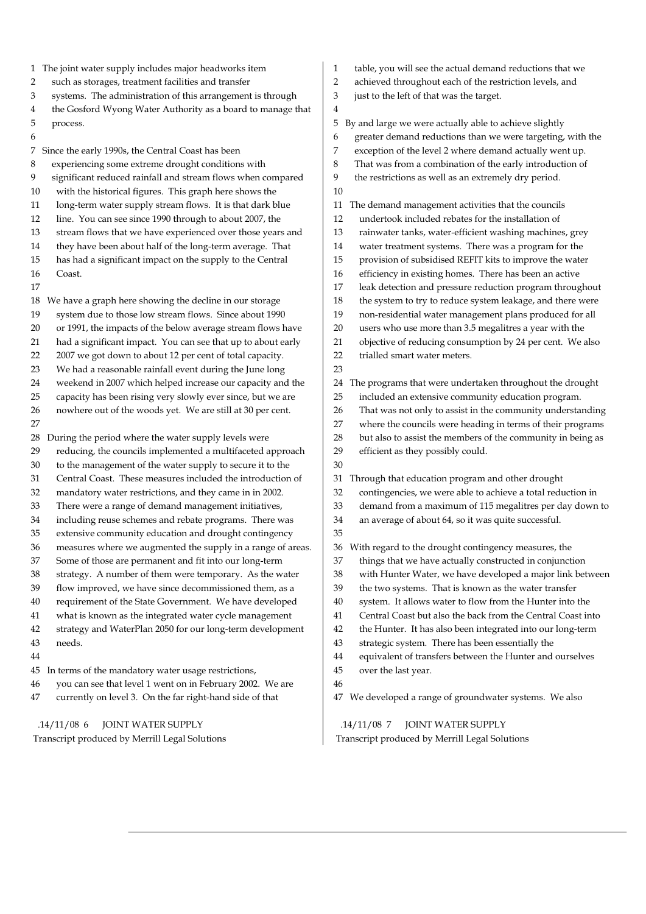- 1 The joint water supply includes major headworks item
- 2 such as storages, treatment facilities and transfer
- 3 systems. The administration of this arrangement is through
- 4 the Gosford Wyong Water Authority as a board to manage that
- 5 process.
- 6

7 Since the early 1990s, the Central Coast has been

- 8 experiencing some extreme drought conditions with
- 9 significant reduced rainfall and stream flows when compared
- 10 with the historical figures. This graph here shows the
- 11 long-term water supply stream flows. It is that dark blue
- 12 line. You can see since 1990 through to about 2007, the 13 stream flows that we have experienced over those years and
- 14 they have been about half of the long-term average. That
- 15 has had a significant impact on the supply to the Central
- 16 Coast.
- 17
- 18 We have a graph here showing the decline in our storage 19 system due to those low stream flows. Since about 1990
- 20 or 1991, the impacts of the below average stream flows have
- 21 had a significant impact. You can see that up to about early
- 22 2007 we got down to about 12 per cent of total capacity.
- 23 We had a reasonable rainfall event during the June long
- 24 weekend in 2007 which helped increase our capacity and the
- 25 capacity has been rising very slowly ever since, but we are 26 nowhere out of the woods yet. We are still at 30 per cent.
- 27
- 
- 28 During the period where the water supply levels were
- 29 reducing, the councils implemented a multifaceted approach
- 30 to the management of the water supply to secure it to the
- 31 Central Coast. These measures included the introduction of
- 32 mandatory water restrictions, and they came in in 2002.
- 33 There were a range of demand management initiatives,
- 34 including reuse schemes and rebate programs. There was 35 extensive community education and drought contingency
- 36 measures where we augmented the supply in a range of areas.
- 37 Some of those are permanent and fit into our long-term
- 38 strategy. A number of them were temporary. As the water
- 39 flow improved, we have since decommissioned them, as a
- 40 requirement of the State Government. We have developed
- 41 what is known as the integrated water cycle management
- 42 strategy and WaterPlan 2050 for our long-term development
- 43 needs.
- 44
- 45 In terms of the mandatory water usage restrictions,
- 46 you can see that level 1 went on in February 2002. We are
- 47 currently on level 3. On the far right-hand side of that

 .14/11/08 6 JOINT WATER SUPPLY Transcript produced by Merrill Legal Solutions

- 1 table, you will see the actual demand reductions that we
- 2 achieved throughout each of the restriction levels, and
- 3 just to the left of that was the target.
- 5 By and large we were actually able to achieve slightly
- 6 greater demand reductions than we were targeting, with the
- 7 exception of the level 2 where demand actually went up.
- 8 That was from a combination of the early introduction of
- 9 the restrictions as well as an extremely dry period.
- 10

4

- 11 The demand management activities that the councils
- 12 undertook included rebates for the installation of
- 13 rainwater tanks, water-efficient washing machines, grey
- 14 water treatment systems. There was a program for the
- 15 provision of subsidised REFIT kits to improve the water
- 16 efficiency in existing homes. There has been an active
- 17 leak detection and pressure reduction program throughout
- 18 the system to try to reduce system leakage, and there were
- 19 non-residential water management plans produced for all
- 20 users who use more than 3.5 megalitres a year with the
- 21 objective of reducing consumption by 24 per cent. We also
- 22 trialled smart water meters. 23
- 24 The programs that were undertaken throughout the drought
- 25 included an extensive community education program.
- 26 That was not only to assist in the community understanding
- 27 where the councils were heading in terms of their programs
- 28 but also to assist the members of the community in being as
- 29 efficient as they possibly could.
- 30

31 Through that education program and other drought

- 32 contingencies, we were able to achieve a total reduction in
- 33 demand from a maximum of 115 megalitres per day down to
- 34 an average of about 64, so it was quite successful.
- 35

36 With regard to the drought contingency measures, the

- 37 things that we have actually constructed in conjunction
- 38 with Hunter Water, we have developed a major link between
- 39 the two systems. That is known as the water transfer
- 40 system. It allows water to flow from the Hunter into the
- 41 Central Coast but also the back from the Central Coast into
- 42 the Hunter. It has also been integrated into our long-term
- 43 strategic system. There has been essentially the
- 44 equivalent of transfers between the Hunter and ourselves
- 45 over the last year.
- 46

47 We developed a range of groundwater systems. We also

 .14/11/08 7 JOINT WATER SUPPLY Transcript produced by Merrill Legal Solutions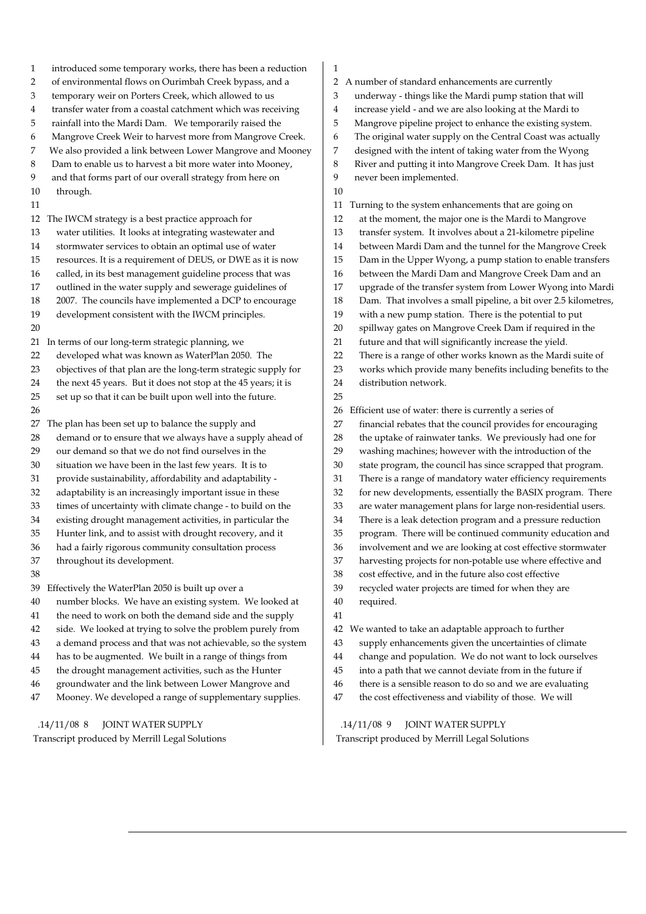1 introduced some temporary works, there has been a reduction 2 of environmental flows on Ourimbah Creek bypass, and a 3 temporary weir on Porters Creek, which allowed to us 4 transfer water from a coastal catchment which was receiving 5 rainfall into the Mardi Dam. We temporarily raised the 6 Mangrove Creek Weir to harvest more from Mangrove Creek. 7 We also provided a link between Lower Mangrove and Mooney 8 Dam to enable us to harvest a bit more water into Mooney, 9 and that forms part of our overall strategy from here on 10 through. 11 12 The IWCM strategy is a best practice approach for 13 water utilities. It looks at integrating wastewater and 14 stormwater services to obtain an optimal use of water 15 resources. It is a requirement of DEUS, or DWE as it is now 16 called, in its best management guideline process that was 17 outlined in the water supply and sewerage guidelines of 18 2007. The councils have implemented a DCP to encourage 19 development consistent with the IWCM principles. 20 21 In terms of our long-term strategic planning, we 22 developed what was known as WaterPlan 2050. The 23 objectives of that plan are the long-term strategic supply for 24 the next 45 years. But it does not stop at the 45 years; it is 25 set up so that it can be built upon well into the future. 26 27 The plan has been set up to balance the supply and 28 demand or to ensure that we always have a supply ahead of 29 our demand so that we do not find ourselves in the 30 situation we have been in the last few years. It is to 31 provide sustainability, affordability and adaptability - 32 adaptability is an increasingly important issue in these 33 times of uncertainty with climate change - to build on the 34 existing drought management activities, in particular the 35 Hunter link, and to assist with drought recovery, and it 36 had a fairly rigorous community consultation process 37 throughout its development. 38 39 Effectively the WaterPlan 2050 is built up over a 40 number blocks. We have an existing system. We looked at 41 the need to work on both the demand side and the supply 42 side. We looked at trying to solve the problem purely from 43 a demand process and that was not achievable, so the system 44 has to be augmented. We built in a range of things from 45 the drought management activities, such as the Hunter 46 groundwater and the link between Lower Mangrove and 47 Mooney. We developed a range of supplementary supplies. .14/11/08 8 JOINT WATER SUPPLY 1 2 A number of standard enhancements are currently 3 underway - things like the Mardi pump station that will 4 increase yield - and we are also looking at the Mardi to 5 Mangrove pipeline project to enhance the existing system. 6 The original water supply on the Central Coast was actually 7 designed with the intent of taking water from the Wyong 8 River and putting it into Mangrove Creek Dam. It has just 9 never been implemented. 10 11 Turning to the system enhancements that are going on 12 at the moment, the major one is the Mardi to Mangrove 13 transfer system. It involves about a 21-kilometre pipeline 14 between Mardi Dam and the tunnel for the Mangrove Creek 15 Dam in the Upper Wyong, a pump station to enable transfers 16 between the Mardi Dam and Mangrove Creek Dam and an 17 upgrade of the transfer system from Lower Wyong into Mardi 18 Dam. That involves a small pipeline, a bit over 2.5 kilometres, 19 with a new pump station. There is the potential to put 20 spillway gates on Mangrove Creek Dam if required in the 21 future and that will significantly increase the yield. 22 There is a range of other works known as the Mardi suite of 23 works which provide many benefits including benefits to the 24 distribution network. 25 26 Efficient use of water: there is currently a series of 27 financial rebates that the council provides for encouraging 28 the uptake of rainwater tanks. We previously had one for 29 washing machines; however with the introduction of the 30 state program, the council has since scrapped that program. 31 There is a range of mandatory water efficiency requirements 32 for new developments, essentially the BASIX program. There 33 are water management plans for large non-residential users. 34 There is a leak detection program and a pressure reduction 35 program. There will be continued community education and 36 involvement and we are looking at cost effective stormwater 37 harvesting projects for non-potable use where effective and 38 cost effective, and in the future also cost effective 39 recycled water projects are timed for when they are 40 required. 41 42 We wanted to take an adaptable approach to further 43 supply enhancements given the uncertainties of climate 44 change and population. We do not want to lock ourselves 45 into a path that we cannot deviate from in the future if 46 there is a sensible reason to do so and we are evaluating 47 the cost effectiveness and viability of those. We will .14/11/08 9 JOINT WATER SUPPLY

Transcript produced by Merrill Legal Solutions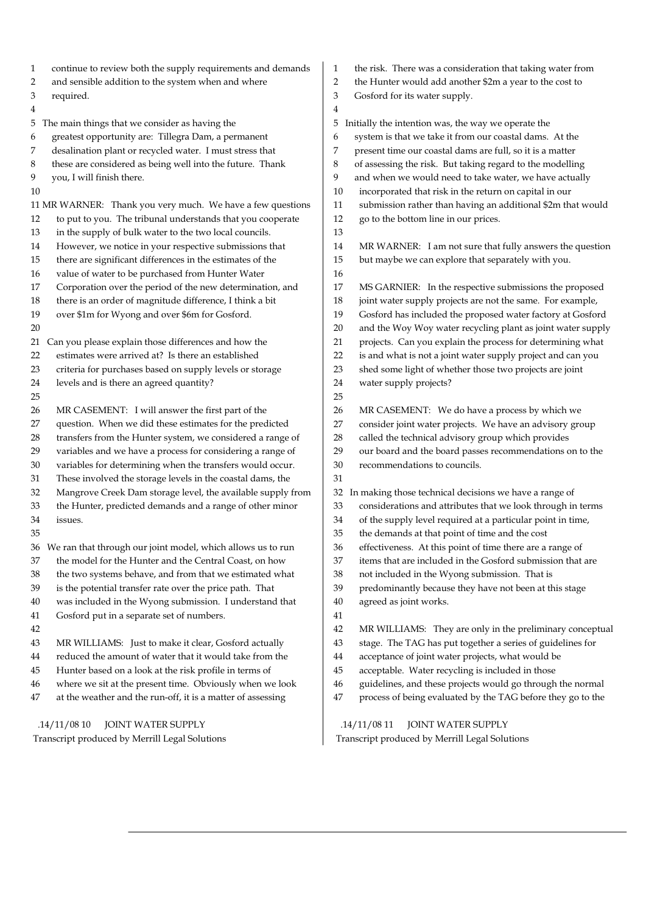| continue to review both the supply requirements and demands      | the risk. There was a consideration that taking water from        |
|------------------------------------------------------------------|-------------------------------------------------------------------|
| $\mathbf{1}$                                                     | 1                                                                 |
| and sensible addition to the system when and where               | $\overline{2}$                                                    |
| 2                                                                | the Hunter would add another \$2m a year to the cost to           |
| 3                                                                | 3                                                                 |
| required.                                                        | Gosford for its water supply.                                     |
| 4                                                                | 4                                                                 |
| The main things that we consider as having the                   | Initially the intention was, the way we operate the               |
| 5                                                                | 5                                                                 |
| greatest opportunity are: Tillegra Dam, a permanent              | system is that we take it from our coastal dams. At the           |
| 6                                                                | 6                                                                 |
| desalination plant or recycled water. I must stress that         | present time our coastal dams are full, so it is a matter         |
| 7                                                                | 7                                                                 |
| these are considered as being well into the future. Thank        | of assessing the risk. But taking regard to the modelling         |
| 8                                                                | 8                                                                 |
| 9                                                                | and when we would need to take water, we have actually            |
| you, I will finish there.                                        | 9                                                                 |
| 10                                                               | incorporated that risk in the return on capital in our<br>10      |
| 11 MR WARNER: Thank you very much. We have a few questions       | submission rather than having an additional \$2m that would<br>11 |
| to put to you. The tribunal understands that you cooperate       | 12                                                                |
| 12                                                               | go to the bottom line in our prices.                              |
| in the supply of bulk water to the two local councils.<br>13     | 13                                                                |
| However, we notice in your respective submissions that           | 14                                                                |
| 14                                                               | MR WARNER: I am not sure that fully answers the question          |
| there are significant differences in the estimates of the        | but maybe we can explore that separately with you.                |
| 15                                                               | 15                                                                |
| value of water to be purchased from Hunter Water<br>16           | 16                                                                |
| Corporation over the period of the new determination, and        | 17                                                                |
| 17                                                               | MS GARNIER: In the respective submissions the proposed            |
| there is an order of magnitude difference, I think a bit         | 18                                                                |
| 18                                                               | joint water supply projects are not the same. For example,        |
| over \$1m for Wyong and over \$6m for Gosford.                   | 19                                                                |
| 19                                                               | Gosford has included the proposed water factory at Gosford        |
| 20                                                               | and the Woy Woy water recycling plant as joint water supply<br>20 |
| Can you please explain those differences and how the             | projects. Can you explain the process for determining what        |
| 21                                                               | 21                                                                |
| estimates were arrived at? Is there an established               | is and what is not a joint water supply project and can you       |
| 22                                                               | 22                                                                |
| 23                                                               | shed some light of whether those two projects are joint           |
| criteria for purchases based on supply levels or storage         | 23                                                                |
| levels and is there an agreed quantity?                          | water supply projects?                                            |
| 24                                                               | 24                                                                |
| 25                                                               | 25                                                                |
| MR CASEMENT: I will answer the first part of the                 | 26                                                                |
| 26                                                               | MR CASEMENT: We do have a process by which we                     |
| question. When we did these estimates for the predicted          | consider joint water projects. We have an advisory group          |
| 27                                                               | 27                                                                |
| transfers from the Hunter system, we considered a range of       | 28                                                                |
| 28                                                               | called the technical advisory group which provides                |
| variables and we have a process for considering a range of       | 29                                                                |
| 29                                                               | our board and the board passes recommendations on to the          |
| variables for determining when the transfers would occur.        | 30                                                                |
| 30                                                               | recommendations to councils.                                      |
| These involved the storage levels in the coastal dams, the<br>31 | 31                                                                |
| Mangrove Creek Dam storage level, the available supply from      | 32                                                                |
| 32                                                               | In making those technical decisions we have a range of            |
| the Hunter, predicted demands and a range of other minor         | 33                                                                |
| 33                                                               | considerations and attributes that we look through in terms       |
| 34                                                               | of the supply level required at a particular point in time,       |
| issues.                                                          | 34                                                                |
| 35                                                               | the demands at that point of time and the cost<br>35              |
| We ran that through our joint model, which allows us to run      | 36                                                                |
| 36                                                               | effectiveness. At this point of time there are a range of         |
| the model for the Hunter and the Central Coast, on how           | items that are included in the Gosford submission that are        |
| 37                                                               | 37                                                                |
| the two systems behave, and from that we estimated what          | $38\,$                                                            |
| 38                                                               | not included in the Wyong submission. That is                     |
| is the potential transfer rate over the price path. That         | 39                                                                |
| 39                                                               | predominantly because they have not been at this stage            |
| was included in the Wyong submission. I understand that          | agreed as joint works.                                            |
| 40                                                               | 40                                                                |
| Gosford put in a separate set of numbers.<br>41                  | 41                                                                |
| 42                                                               | 42<br>MR WILLIAMS: They are only in the preliminary conceptual    |
| MR WILLIAMS: Just to make it clear, Gosford actually             | stage. The TAG has put together a series of guidelines for        |
| 43                                                               | 43                                                                |
| reduced the amount of water that it would take from the          | acceptance of joint water projects, what would be                 |
| 44                                                               | 44                                                                |
| Hunter based on a look at the risk profile in terms of           | acceptable. Water recycling is included in those                  |
| 45                                                               | 45                                                                |
| where we sit at the present time. Obviously when we look         | guidelines, and these projects would go through the normal        |
| 46                                                               | 46                                                                |
| at the weather and the run-off, it is a matter of assessing      | process of being evaluated by the TAG before they go to the       |
| 47                                                               | 47                                                                |
| .14/11/0810                                                      | .14/11/0811                                                       |
| JOINT WATER SUPPLY                                               | JOINT WATER SUPPLY                                                |

 .14/11/08 11 JOINT WATER SUPPLY Transcript produced by Merrill Legal Solutions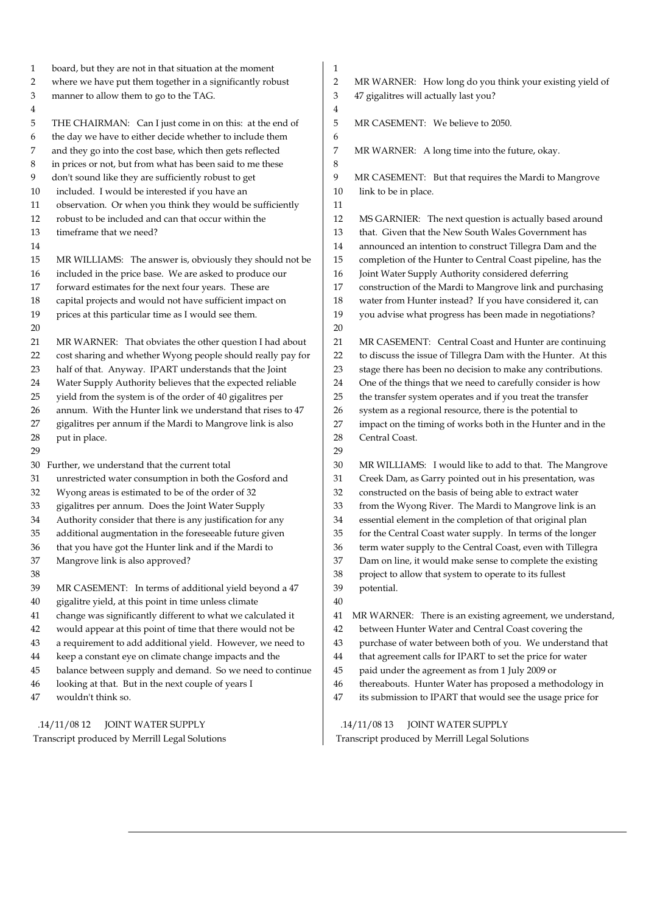1 board, but they are not in that situation at the moment 2 where we have put them together in a significantly robust 3 manner to allow them to go to the TAG. 4 5 THE CHAIRMAN: Can I just come in on this: at the end of 6 the day we have to either decide whether to include them 7 and they go into the cost base, which then gets reflected 8 in prices or not, but from what has been said to me these 9 don't sound like they are sufficiently robust to get 10 included. I would be interested if you have an 11 observation. Or when you think they would be sufficiently 12 robust to be included and can that occur within the 13 timeframe that we need? 14 15 MR WILLIAMS: The answer is, obviously they should not be 16 included in the price base. We are asked to produce our 17 forward estimates for the next four years. These are 18 capital projects and would not have sufficient impact on 19 prices at this particular time as I would see them. 20 21 MR WARNER: That obviates the other question I had about 22 cost sharing and whether Wyong people should really pay for 23 half of that. Anyway. IPART understands that the Joint 24 Water Supply Authority believes that the expected reliable 25 yield from the system is of the order of 40 gigalitres per 26 annum. With the Hunter link we understand that rises to 47 27 gigalitres per annum if the Mardi to Mangrove link is also 28 put in place. 29 30 Further, we understand that the current total 31 unrestricted water consumption in both the Gosford and 32 Wyong areas is estimated to be of the order of 32 33 gigalitres per annum. Does the Joint Water Supply 34 Authority consider that there is any justification for any 35 additional augmentation in the foreseeable future given 36 that you have got the Hunter link and if the Mardi to 37 Mangrove link is also approved? 38 39 MR CASEMENT: In terms of additional yield beyond a 47 40 gigalitre yield, at this point in time unless climate 41 change was significantly different to what we calculated it 42 would appear at this point of time that there would not be 43 a requirement to add additional yield. However, we need to 44 keep a constant eye on climate change impacts and the 45 balance between supply and demand. So we need to continue 46 looking at that. But in the next couple of years I 47 wouldn't think so. 1 2 MR WARNER: How long do you think your existing yield of 3 47 gigalitres will actually last you? 4 5 MR CASEMENT: We believe to 2050. 6 7 MR WARNER: A long time into the future, okay. 8 9 MR CASEMENT: But that requires the Mardi to Mangrove 10 link to be in place. 11 12 MS GARNIER: The next question is actually based around 13 that. Given that the New South Wales Government has 14 announced an intention to construct Tillegra Dam and the 15 completion of the Hunter to Central Coast pipeline, has the 16 Joint Water Supply Authority considered deferring 17 construction of the Mardi to Mangrove link and purchasing 18 water from Hunter instead? If you have considered it, can 19 you advise what progress has been made in negotiations? 20 21 MR CASEMENT: Central Coast and Hunter are continuing 22 to discuss the issue of Tillegra Dam with the Hunter. At this 23 stage there has been no decision to make any contributions. 24 One of the things that we need to carefully consider is how 25 the transfer system operates and if you treat the transfer 26 system as a regional resource, there is the potential to 27 impact on the timing of works both in the Hunter and in the 28 Central Coast. 29 30 MR WILLIAMS: I would like to add to that. The Mangrove 31 Creek Dam, as Garry pointed out in his presentation, was 32 constructed on the basis of being able to extract water 33 from the Wyong River. The Mardi to Mangrove link is an 34 essential element in the completion of that original plan 35 for the Central Coast water supply. In terms of the longer 36 term water supply to the Central Coast, even with Tillegra 37 Dam on line, it would make sense to complete the existing 38 project to allow that system to operate to its fullest 39 potential. 40 41 MR WARNER: There is an existing agreement, we understand, 42 between Hunter Water and Central Coast covering the 43 purchase of water between both of you. We understand that 44 that agreement calls for IPART to set the price for water 45 paid under the agreement as from 1 July 2009 or 46 thereabouts. Hunter Water has proposed a methodology in 47 its submission to IPART that would see the usage price for

 .14/11/08 12 JOINT WATER SUPPLY Transcript produced by Merrill Legal Solutions

 .14/11/08 13 JOINT WATER SUPPLY Transcript produced by Merrill Legal Solutions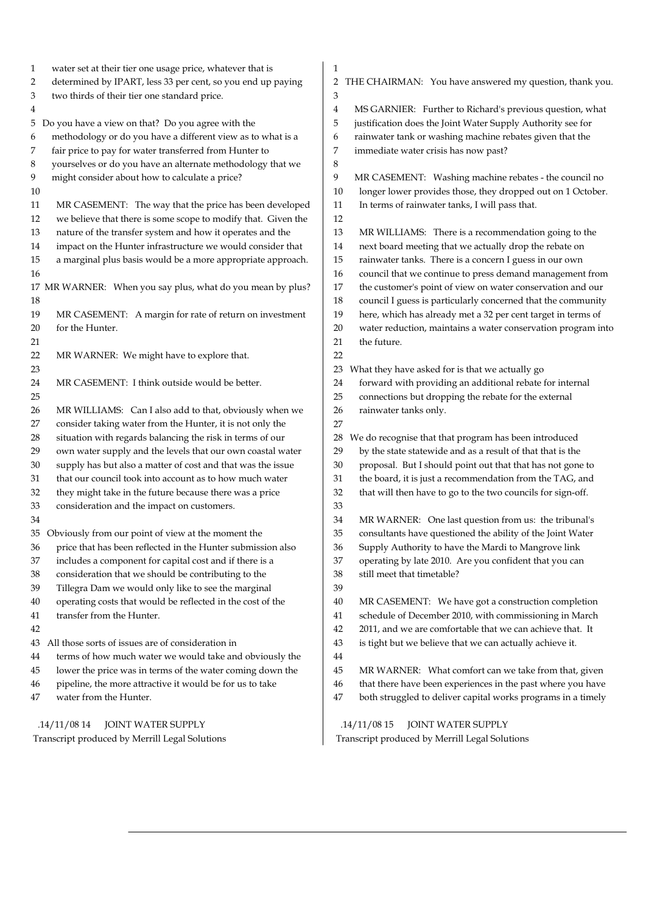1 water set at their tier one usage price, whatever that is 2 determined by IPART, less 33 per cent, so you end up paying 3 two thirds of their tier one standard price. 4 5 Do you have a view on that? Do you agree with the 6 methodology or do you have a different view as to what is a 7 fair price to pay for water transferred from Hunter to 8 yourselves or do you have an alternate methodology that we 9 might consider about how to calculate a price? 10 11 MR CASEMENT: The way that the price has been developed 12 we believe that there is some scope to modify that. Given the 13 nature of the transfer system and how it operates and the 14 impact on the Hunter infrastructure we would consider that 15 a marginal plus basis would be a more appropriate approach. 16 17 MR WARNER: When you say plus, what do you mean by plus? 18 19 MR CASEMENT: A margin for rate of return on investment 20 for the Hunter. 21 22 MR WARNER: We might have to explore that. 23 24 MR CASEMENT: I think outside would be better. 25 26 MR WILLIAMS: Can I also add to that, obviously when we 27 consider taking water from the Hunter, it is not only the 28 situation with regards balancing the risk in terms of our 29 own water supply and the levels that our own coastal water 30 supply has but also a matter of cost and that was the issue 31 that our council took into account as to how much water 32 they might take in the future because there was a price 33 consideration and the impact on customers. 34 35 Obviously from our point of view at the moment the 36 price that has been reflected in the Hunter submission also 37 includes a component for capital cost and if there is a 38 consideration that we should be contributing to the 39 Tillegra Dam we would only like to see the marginal 40 operating costs that would be reflected in the cost of the 41 transfer from the Hunter. 42 43 All those sorts of issues are of consideration in 44 terms of how much water we would take and obviously the 45 lower the price was in terms of the water coming down the 46 pipeline, the more attractive it would be for us to take 47 water from the Hunter. .14/11/08 14 JOINT WATER SUPPLY 1 2 THE CHAIRMAN: You have answered my question, thank you. 3 4 MS GARNIER: Further to Richard's previous question, what 5 justification does the Joint Water Supply Authority see for 6 rainwater tank or washing machine rebates given that the 7 immediate water crisis has now past? 8 9 MR CASEMENT: Washing machine rebates - the council no 10 longer lower provides those, they dropped out on 1 October. 11 In terms of rainwater tanks, I will pass that. 12 13 MR WILLIAMS: There is a recommendation going to the 14 next board meeting that we actually drop the rebate on 15 rainwater tanks. There is a concern I guess in our own 16 council that we continue to press demand management from 17 the customer's point of view on water conservation and our 18 council I guess is particularly concerned that the community 19 here, which has already met a 32 per cent target in terms of 20 water reduction, maintains a water conservation program into 21 the future. 22 23 What they have asked for is that we actually go 24 forward with providing an additional rebate for internal 25 connections but dropping the rebate for the external 26 rainwater tanks only. 27 28 We do recognise that that program has been introduced 29 by the state statewide and as a result of that that is the 30 proposal. But I should point out that that has not gone to 31 the board, it is just a recommendation from the TAG, and 32 that will then have to go to the two councils for sign-off. 33 34 MR WARNER: One last question from us: the tribunal's 35 consultants have questioned the ability of the Joint Water 36 Supply Authority to have the Mardi to Mangrove link 37 operating by late 2010. Are you confident that you can 38 still meet that timetable? 39 40 MR CASEMENT: We have got a construction completion 41 schedule of December 2010, with commissioning in March 42 2011, and we are comfortable that we can achieve that. It 43 is tight but we believe that we can actually achieve it. 44 45 MR WARNER: What comfort can we take from that, given 46 that there have been experiences in the past where you have 47 both struggled to deliver capital works programs in a timely .14/11/08 15 JOINT WATER SUPPLY Transcript produced by Merrill Legal Solutions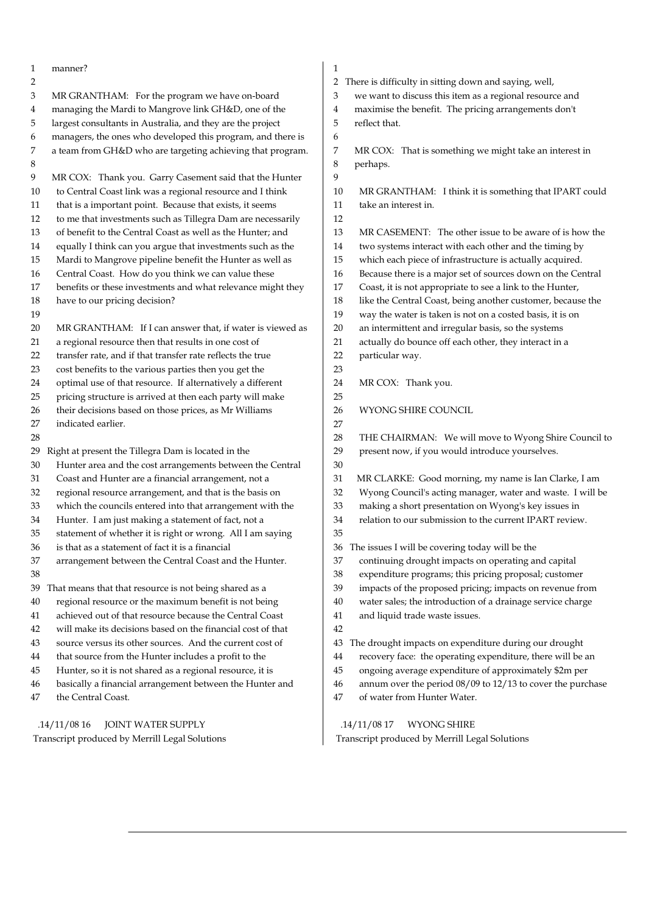1 manner? 2 3 MR GRANTHAM: For the program we have on-board 4 managing the Mardi to Mangrove link GH&D, one of the 5 largest consultants in Australia, and they are the project 6 managers, the ones who developed this program, and there is 7 a team from GH&D who are targeting achieving that program. 8 9 MR COX: Thank you. Garry Casement said that the Hunter 10 to Central Coast link was a regional resource and I think 11 that is a important point. Because that exists, it seems 12 to me that investments such as Tillegra Dam are necessarily 13 of benefit to the Central Coast as well as the Hunter; and 14 equally I think can you argue that investments such as the 15 Mardi to Mangrove pipeline benefit the Hunter as well as 16 Central Coast. How do you think we can value these 17 benefits or these investments and what relevance might they 18 have to our pricing decision? 19 20 MR GRANTHAM: If I can answer that, if water is viewed as 21 a regional resource then that results in one cost of 22 transfer rate, and if that transfer rate reflects the true 23 cost benefits to the various parties then you get the 24 optimal use of that resource. If alternatively a different 25 pricing structure is arrived at then each party will make 26 their decisions based on those prices, as Mr Williams 27 indicated earlier. 28 29 Right at present the Tillegra Dam is located in the 30 Hunter area and the cost arrangements between the Central 31 Coast and Hunter are a financial arrangement, not a 32 regional resource arrangement, and that is the basis on 33 which the councils entered into that arrangement with the 34 Hunter. I am just making a statement of fact, not a 35 statement of whether it is right or wrong. All I am saying 36 is that as a statement of fact it is a financial 37 arrangement between the Central Coast and the Hunter. 38 39 That means that that resource is not being shared as a 40 regional resource or the maximum benefit is not being 41 achieved out of that resource because the Central Coast 42 will make its decisions based on the financial cost of that 43 source versus its other sources. And the current cost of 44 that source from the Hunter includes a profit to the 45 Hunter, so it is not shared as a regional resource, it is 46 basically a financial arrangement between the Hunter and 47 the Central Coast. .14/11/08 16 JOINT WATER SUPPLY 1 2 There is difficulty in sitting down and saying, well, 3 we want to discuss this item as a regional resource and 4 maximise the benefit. The pricing arrangements don't 5 reflect that. 6 7 MR COX: That is something we might take an interest in 8 perhaps.  $\alpha$ 10 MR GRANTHAM: I think it is something that IPART could 11 take an interest in. 12 13 MR CASEMENT: The other issue to be aware of is how the 14 two systems interact with each other and the timing by 15 which each piece of infrastructure is actually acquired. 16 Because there is a major set of sources down on the Central 17 Coast, it is not appropriate to see a link to the Hunter, 18 like the Central Coast, being another customer, because the 19 way the water is taken is not on a costed basis, it is on 20 an intermittent and irregular basis, so the systems 21 actually do bounce off each other, they interact in a 22 particular way. 23 24 MR COX: Thank you. 25 26 WYONG SHIRE COUNCIL 27 28 THE CHAIRMAN: We will move to Wyong Shire Council to 29 present now, if you would introduce yourselves.  $30$ 31 MR CLARKE: Good morning, my name is Ian Clarke, I am 32 Wyong Council's acting manager, water and waste. I will be 33 making a short presentation on Wyong's key issues in 34 relation to our submission to the current IPART review. 35 36 The issues I will be covering today will be the 37 continuing drought impacts on operating and capital 38 expenditure programs; this pricing proposal; customer 39 impacts of the proposed pricing; impacts on revenue from 40 water sales; the introduction of a drainage service charge 41 and liquid trade waste issues. 42 43 The drought impacts on expenditure during our drought 44 recovery face: the operating expenditure, there will be an 45 ongoing average expenditure of approximately \$2m per 46 annum over the period 08/09 to 12/13 to cover the purchase 47 of water from Hunter Water. .14/11/08 17 WYONG SHIRE

Transcript produced by Merrill Legal Solutions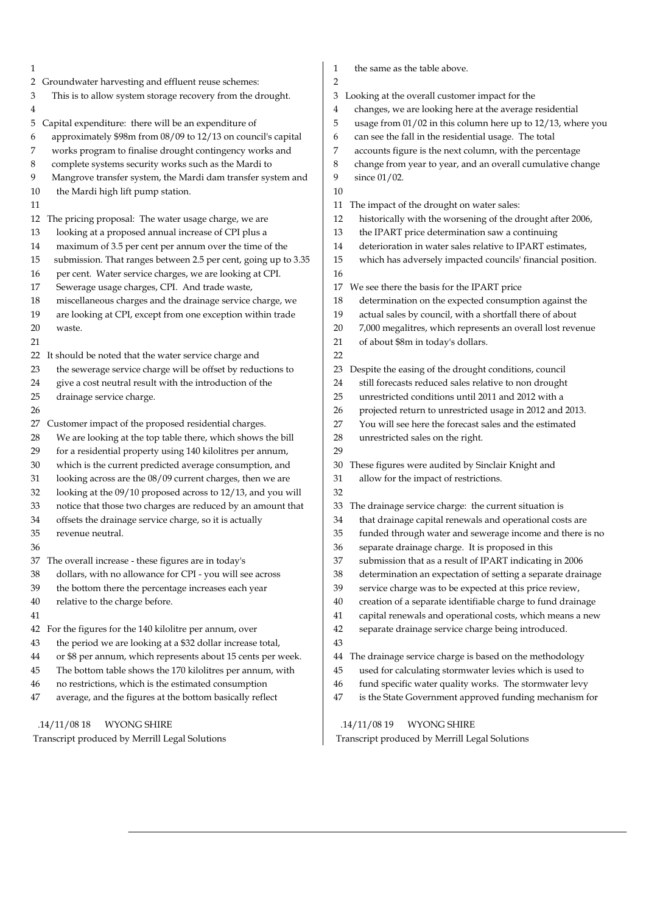| 1                                                                 | the same as the table above.<br>1                               |
|-------------------------------------------------------------------|-----------------------------------------------------------------|
| 2 Groundwater harvesting and effluent reuse schemes:              | $\overline{2}$                                                  |
| This is to allow system storage recovery from the drought.        | Looking at the overall customer impact for the                  |
| 3                                                                 | 3                                                               |
| 4                                                                 | changes, we are looking here at the average residential<br>4    |
| Capital expenditure: there will be an expenditure of              | 5                                                               |
| 5                                                                 | usage from 01/02 in this column here up to 12/13, where you     |
| approximately \$98m from 08/09 to 12/13 on council's capital      | can see the fall in the residential usage. The total            |
| 6                                                                 | 6                                                               |
| works program to finalise drought contingency works and           | accounts figure is the next column, with the percentage         |
| 7                                                                 | 7                                                               |
| complete systems security works such as the Mardi to              | 8                                                               |
| 8                                                                 | change from year to year, and an overall cumulative change      |
| Mangrove transfer system, the Mardi dam transfer system and       | 9                                                               |
| 9                                                                 | since 01/02.                                                    |
| the Mardi high lift pump station.<br>10                           | 10                                                              |
| 11                                                                | The impact of the drought on water sales:<br>11                 |
| The pricing proposal: The water usage charge, we are              | historically with the worsening of the drought after 2006,      |
| 12                                                                | 12                                                              |
| looking at a proposed annual increase of CPI plus a               | the IPART price determination saw a continuing                  |
| 13                                                                | 13                                                              |
| maximum of 3.5 per cent per annum over the time of the            | deterioration in water sales relative to IPART estimates,       |
| 14                                                                | 14                                                              |
|                                                                   |                                                                 |
| submission. That ranges between 2.5 per cent, going up to 3.35    | 15                                                              |
| 15                                                                | which has adversely impacted councils' financial position.      |
| per cent. Water service charges, we are looking at CPI.<br>$16\,$ | 16                                                              |
| Sewerage usage charges, CPI. And trade waste,                     | We see there the basis for the IPART price                      |
| 17                                                                | 17                                                              |
| miscellaneous charges and the drainage service charge, we         | determination on the expected consumption against the           |
| 18                                                                | 18                                                              |
| are looking at CPI, except from one exception within trade        | 19                                                              |
| 19                                                                | actual sales by council, with a shortfall there of about        |
| 20                                                                | 7,000 megalitres, which represents an overall lost revenue      |
| waste.                                                            | 20                                                              |
| 21                                                                | of about \$8m in today's dollars.<br>21                         |
| 22 It should be noted that the water service charge and           | 22                                                              |
| the sewerage service charge will be offset by reductions to       | Despite the easing of the drought conditions, council           |
| 23                                                                | 23                                                              |
| give a cost neutral result with the introduction of the           | still forecasts reduced sales relative to non drought           |
| 24                                                                | 24                                                              |
| 25                                                                | 25                                                              |
| drainage service charge.                                          | unrestricted conditions until 2011 and 2012 with a              |
| 26                                                                | 26<br>projected return to unrestricted usage in 2012 and 2013.  |
| Customer impact of the proposed residential charges.              | 27                                                              |
| 27                                                                | You will see here the forecast sales and the estimated          |
| We are looking at the top table there, which shows the bill       | 28                                                              |
| 28                                                                | unrestricted sales on the right.                                |
| for a residential property using 140 kilolitres per annum,<br>29  | 29                                                              |
| which is the current predicted average consumption, and           | These figures were audited by Sinclair Knight and               |
| 30                                                                | 30                                                              |
| looking across are the 08/09 current charges, then we are         | allow for the impact of restrictions.                           |
| 31                                                                | 31                                                              |
| looking at the 09/10 proposed across to 12/13, and you will<br>32 | 32                                                              |
| notice that those two charges are reduced by an amount that       | The drainage service charge: the current situation is           |
| 33                                                                | 33                                                              |
| offsets the drainage service charge, so it is actually            | that drainage capital renewals and operational costs are        |
| 34                                                                | 34                                                              |
| 35                                                                | funded through water and sewerage income and there is no        |
| revenue neutral.                                                  | 35                                                              |
| 36                                                                | separate drainage charge. It is proposed in this<br>36          |
| 37 The overall increase - these figures are in today's            | submission that as a result of IPART indicating in 2006<br>37   |
| dollars, with no allowance for CPI - you will see across          | 38                                                              |
| 38                                                                | determination an expectation of setting a separate drainage     |
| 39                                                                | 39                                                              |
| the bottom there the percentage increases each year               | service charge was to be expected at this price review,         |
| relative to the charge before.                                    | creation of a separate identifiable charge to fund drainage     |
| 40                                                                | 40                                                              |
| 41                                                                | capital renewals and operational costs, which means a new<br>41 |
| 42 For the figures for the 140 kilolitre per annum, over          | separate drainage service charge being introduced.<br>42        |
| the period we are looking at a \$32 dollar increase total,<br>43  | 43                                                              |
| or \$8 per annum, which represents about 15 cents per week.       | The drainage service charge is based on the methodology         |
| 44                                                                | 44                                                              |
| The bottom table shows the 170 kilolitres per annum, with         | used for calculating stormwater levies which is used to         |
| 45                                                                | 45                                                              |
| no restrictions, which is the estimated consumption               | fund specific water quality works. The stormwater levy          |
| 46                                                                | 46                                                              |
| average, and the figures at the bottom basically reflect          | is the State Government approved funding mechanism for          |
| 47                                                                | 47                                                              |
| .14/11/0818                                                       | .14/11/0819                                                     |
| <b>WYONG SHIRE</b>                                                | <b>WYONG SHIRE</b>                                              |

 $\overline{\phantom{a}}$ 

Transcript produced by Merrill Legal Solutions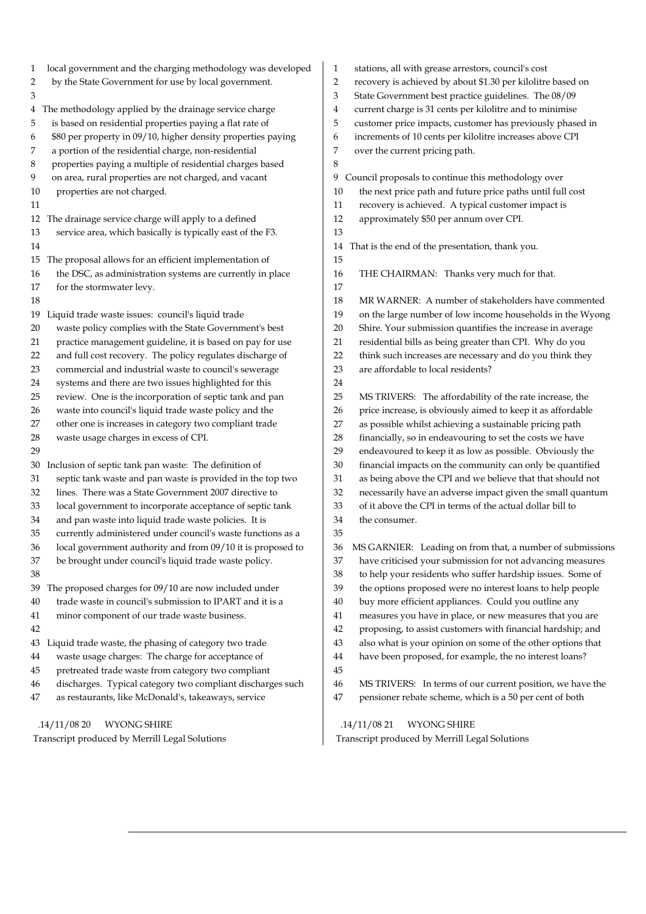| local government and the charging methodology was developed       | stations, all with grease arrestors, council's cost                        |
|-------------------------------------------------------------------|----------------------------------------------------------------------------|
| $\mathbf{1}$                                                      | $\mathbf{1}$                                                               |
| by the State Government for use by local government.              | $\overline{2}$                                                             |
| 2                                                                 | recovery is achieved by about \$1.30 per kilolitre based on                |
| 3                                                                 | 3<br>State Government best practice guidelines. The 08/09                  |
| 4 The methodology applied by the drainage service charge          | current charge is 31 cents per kilolitre and to minimise<br>$\overline{4}$ |
| is based on residential properties paying a flat rate of          | 5                                                                          |
| 5                                                                 | customer price impacts, customer has previously phased in                  |
| \$80 per property in 09/10, higher density properties paying      | increments of 10 cents per kilolitre increases above CPI                   |
| 6                                                                 | 6                                                                          |
| a portion of the residential charge, non-residential              | 7                                                                          |
| 7                                                                 | over the current pricing path.                                             |
| properties paying a multiple of residential charges based<br>8    | 8                                                                          |
| on area, rural properties are not charged, and vacant             | Council proposals to continue this methodology over                        |
| 9                                                                 | 9                                                                          |
| 10                                                                | the next price path and future price paths until full cost                 |
| properties are not charged.                                       | 10                                                                         |
| 11                                                                | recovery is achieved. A typical customer impact is<br>11                   |
| The drainage service charge will apply to a defined               | 12                                                                         |
| 12                                                                | approximately \$50 per annum over CPI.                                     |
| service area, which basically is typically east of the F3.<br>13  | 13                                                                         |
| 14                                                                | That is the end of the presentation, thank you.<br>14                      |
| The proposal allows for an efficient implementation of<br>15      | 15                                                                         |
| the DSC, as administration systems are currently in place         | 16                                                                         |
| 16                                                                | THE CHAIRMAN: Thanks very much for that.                                   |
| for the stormwater levy.<br>17                                    | 17                                                                         |
| 18                                                                | 18<br>MR WARNER: A number of stakeholders have commented                   |
| Liquid trade waste issues: council's liquid trade                 | 19                                                                         |
| 19                                                                | on the large number of low income households in the Wyong                  |
| waste policy complies with the State Government's best            | 20                                                                         |
| 20                                                                | Shire. Your submission quantifies the increase in average                  |
| practice management guideline, it is based on pay for use         | residential bills as being greater than CPI. Why do you                    |
| 21                                                                | 21                                                                         |
| and full cost recovery. The policy regulates discharge of         | think such increases are necessary and do you think they                   |
| 22                                                                | 22                                                                         |
| commercial and industrial waste to council's sewerage             | 23                                                                         |
| 23                                                                | are affordable to local residents?                                         |
| systems and there are two issues highlighted for this<br>24       | 24                                                                         |
| 25                                                                | 25                                                                         |
| review. One is the incorporation of septic tank and pan           | MS TRIVERS: The affordability of the rate increase, the                    |
| waste into council's liquid trade waste policy and the            | price increase, is obviously aimed to keep it as affordable                |
| 26                                                                | 26                                                                         |
| other one is increases in category two compliant trade            | as possible whilst achieving a sustainable pricing path                    |
| 27                                                                | 27                                                                         |
| waste usage charges in excess of CPI.                             | 28                                                                         |
| 28                                                                | financially, so in endeavouring to set the costs we have                   |
| 29                                                                | endeavoured to keep it as low as possible. Obviously the<br>29             |
| Inclusion of septic tank pan waste: The definition of             | 30                                                                         |
| 30                                                                | financial impacts on the community can only be quantified                  |
| septic tank waste and pan waste is provided in the top two        | as being above the CPI and we believe that that should not                 |
| 31                                                                | 31                                                                         |
| lines. There was a State Government 2007 directive to             | 32                                                                         |
| 32                                                                | necessarily have an adverse impact given the small quantum                 |
| local government to incorporate acceptance of septic tank         | of it above the CPI in terms of the actual dollar bill to                  |
| 33                                                                | 33                                                                         |
| and pan waste into liquid trade waste policies. It is             | 34                                                                         |
| 34                                                                | the consumer.                                                              |
| currently administered under council's waste functions as a<br>35 | 35                                                                         |
| 36                                                                | MS GARNIER: Leading on from that, a number of submissions                  |
| local government authority and from 09/10 it is proposed to       | 36                                                                         |
| be brought under council's liquid trade waste policy.             | have criticised your submission for not advancing measures                 |
| 37                                                                | 37                                                                         |
| 38                                                                | 38<br>to help your residents who suffer hardship issues. Some of           |
| The proposed charges for 09/10 are now included under             | the options proposed were no interest loans to help people                 |
| 39                                                                | 39                                                                         |
| trade waste in council's submission to IPART and it is a          | buy more efficient appliances. Could you outline any                       |
| 40                                                                | 40                                                                         |
| minor component of our trade waste business.                      | measures you have in place, or new measures that you are                   |
| 41                                                                | 41                                                                         |
| 42                                                                | proposing, to assist customers with financial hardship; and<br>42          |
| Liquid trade waste, the phasing of category two trade             | 43                                                                         |
| 43                                                                | also what is your opinion on some of the other options that                |
| waste usage charges: The charge for acceptance of                 | have been proposed, for example, the no interest loans?                    |
| 44                                                                | 44                                                                         |
| pretreated trade waste from category two compliant<br>45          | 45                                                                         |
| discharges. Typical category two compliant discharges such        | MS TRIVERS: In terms of our current position, we have the                  |
| 46                                                                | 46                                                                         |
| as restaurants, like McDonald's, takeaways, service               | pensioner rebate scheme, which is a 50 per cent of both                    |
| 47                                                                | 47                                                                         |
| .14/11/0820                                                       | .14/11/0821                                                                |
| <b>WYONG SHIRE</b>                                                | <b>WYONG SHIRE</b>                                                         |

 .14/11/08 20 WYONG SHIRE Transcript produced by Merrill Legal Solutions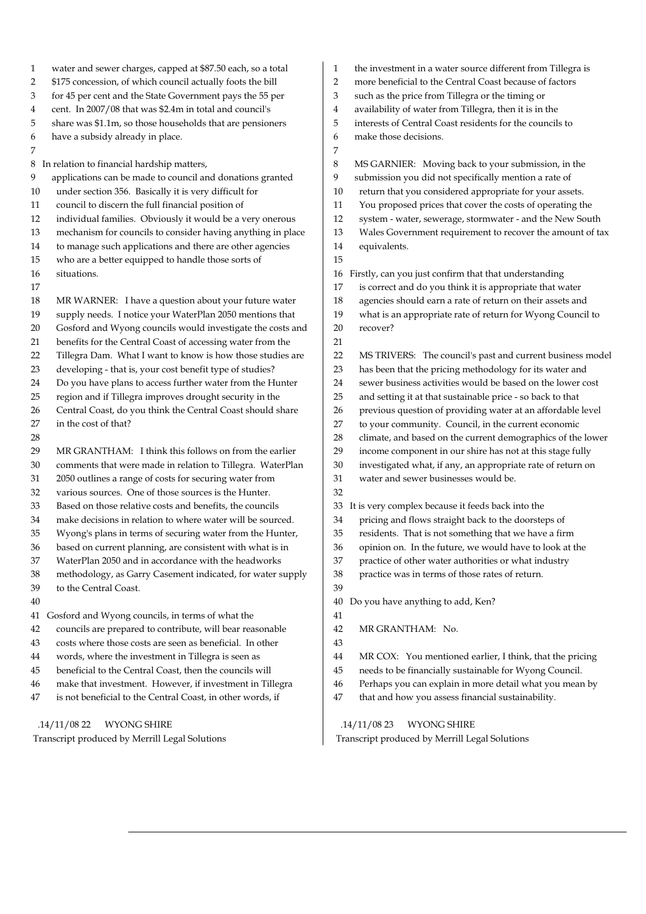- 1 water and sewer charges, capped at \$87.50 each, so a total
- 2 \$175 concession, of which council actually foots the bill
- 3 for 45 per cent and the State Government pays the 55 per
- 4 cent. In 2007/08 that was \$2.4m in total and council's
- 5 share was \$1.1m, so those households that are pensioners
- 6 have a subsidy already in place.
- 7

8 In relation to financial hardship matters,

- 9 applications can be made to council and donations granted
- 10 under section 356. Basically it is very difficult for
- 11 council to discern the full financial position of
- 12 individual families. Obviously it would be a very onerous
- 13 mechanism for councils to consider having anything in place
- 14 to manage such applications and there are other agencies
- 15 who are a better equipped to handle those sorts of
- 16 situations.
- 17

28

- 18 MR WARNER: I have a question about your future water
- 19 supply needs. I notice your WaterPlan 2050 mentions that
- 20 Gosford and Wyong councils would investigate the costs and
- 21 benefits for the Central Coast of accessing water from the
- 22 Tillegra Dam. What I want to know is how those studies are
- 23 developing that is, your cost benefit type of studies?
- 24 Do you have plans to access further water from the Hunter
- 25 region and if Tillegra improves drought security in the
- 26 Central Coast, do you think the Central Coast should share
- 27 in the cost of that?
- 29 MR GRANTHAM: I think this follows on from the earlier 30 comments that were made in relation to Tillegra. WaterPlan
- 31 2050 outlines a range of costs for securing water from
- 32 various sources. One of those sources is the Hunter.
- 33 Based on those relative costs and benefits, the councils
- 34 make decisions in relation to where water will be sourced.
- 35 Wyong's plans in terms of securing water from the Hunter,
- 36 based on current planning, are consistent with what is in
- 37 WaterPlan 2050 and in accordance with the headworks
- 38 methodology, as Garry Casement indicated, for water supply 39 to the Central Coast.
- 40
- 41 Gosford and Wyong councils, in terms of what the
- 42 councils are prepared to contribute, will bear reasonable
- 43 costs where those costs are seen as beneficial. In other
- 44 words, where the investment in Tillegra is seen as
- 45 beneficial to the Central Coast, then the councils will
- 46 make that investment. However, if investment in Tillegra
- 47 is not beneficial to the Central Coast, in other words, if

 .14/11/08 22 WYONG SHIRE Transcript produced by Merrill Legal Solutions

- 1 the investment in a water source different from Tillegra is
- 2 more beneficial to the Central Coast because of factors
- 3 such as the price from Tillegra or the timing or
- 4 availability of water from Tillegra, then it is in the
- 5 interests of Central Coast residents for the councils to
- 6 make those decisions.
- 7 8 MS GARNIER: Moving back to your submission, in the 9 submission you did not specifically mention a rate of 10 return that you considered appropriate for your assets. 11 You proposed prices that cover the costs of operating the 12 system - water, sewerage, stormwater - and the New South 13 Wales Government requirement to recover the amount of tax 14 equivalents. 15 16 Firstly, can you just confirm that that understanding 17 is correct and do you think it is appropriate that water 18 agencies should earn a rate of return on their assets and 19 what is an appropriate rate of return for Wyong Council to 20 recover? 21
- 22 MS TRIVERS: The council's past and current business model 23 has been that the pricing methodology for its water and 24 sewer business activities would be based on the lower cost 25 and setting it at that sustainable price - so back to that 26 previous question of providing water at an affordable level 27 to your community. Council, in the current economic 28 climate, and based on the current demographics of the lower 29 income component in our shire has not at this stage fully 30 investigated what, if any, an appropriate rate of return on 31 water and sewer businesses would be. 32
- 33 It is very complex because it feeds back into the
- 34 pricing and flows straight back to the doorsteps of
- 35 residents. That is not something that we have a firm
- 36 opinion on. In the future, we would have to look at the
- 37 practice of other water authorities or what industry
- 38 practice was in terms of those rates of return.
- 39

40 Do you have anything to add, Ken?

- 41
- 42 MR GRANTHAM: No.
- 43
- 44 MR COX: You mentioned earlier, I think, that the pricing
- 45 needs to be financially sustainable for Wyong Council.
- 46 Perhaps you can explain in more detail what you mean by
- 47 that and how you assess financial sustainability.

.14/11/08 23 WYONG SHIRE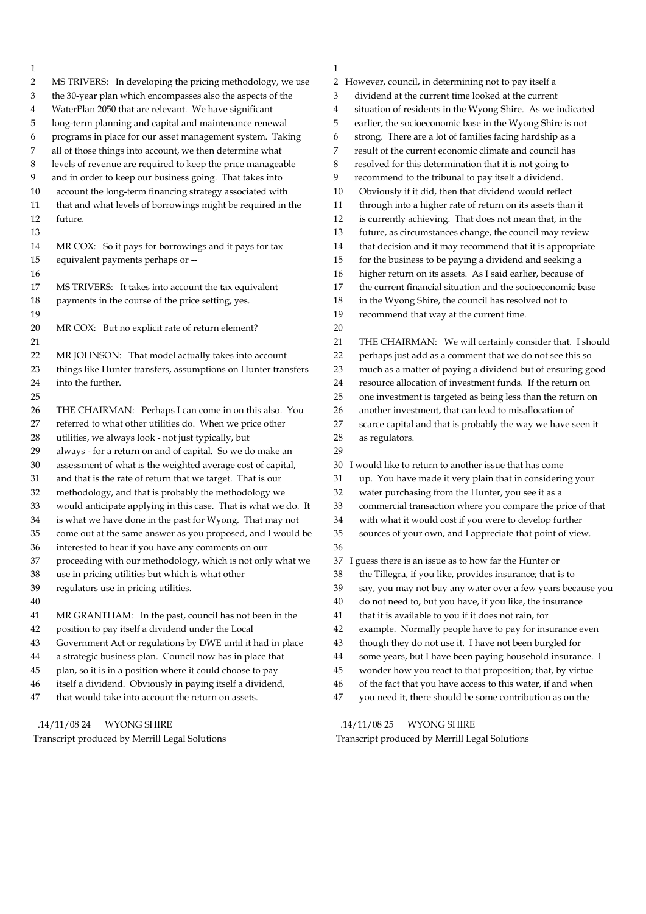| $\mathbf{1}$   |                                                                                                                 |
|----------------|-----------------------------------------------------------------------------------------------------------------|
| $\overline{2}$ | MS TRIVERS: In developing the pricing methodology, we use                                                       |
| 3              | the 30-year plan which encompasses also the aspects of the                                                      |
| 4              | WaterPlan 2050 that are relevant. We have significant                                                           |
| 5              | long-term planning and capital and maintenance renewal                                                          |
| 6              | programs in place for our asset management system. Taking                                                       |
| 7              | all of those things into account, we then determine what                                                        |
| 8              | levels of revenue are required to keep the price manageable                                                     |
| 9              | and in order to keep our business going. That takes into                                                        |
| 10             | account the long-term financing strategy associated with                                                        |
| 11             | that and what levels of borrowings might be required in the                                                     |
| 12             | future.                                                                                                         |
|                |                                                                                                                 |
| 13             |                                                                                                                 |
| 14             | MR COX: So it pays for borrowings and it pays for tax                                                           |
| 15             | equivalent payments perhaps or --                                                                               |
| 16             |                                                                                                                 |
| 17             | MS TRIVERS: It takes into account the tax equivalent                                                            |
| 18             | payments in the course of the price setting, yes.                                                               |
| 19             |                                                                                                                 |
| 20             | MR COX: But no explicit rate of return element?                                                                 |
| 21             |                                                                                                                 |
| 22             | MR JOHNSON: That model actually takes into account                                                              |
| 23             | things like Hunter transfers, assumptions on Hunter transfers                                                   |
| 24             | into the further.                                                                                               |
| 25             |                                                                                                                 |
| 26             | THE CHAIRMAN: Perhaps I can come in on this also. You                                                           |
| 27             | referred to what other utilities do. When we price other                                                        |
| 28             | utilities, we always look - not just typically, but                                                             |
| 29             | always - for a return on and of capital. So we do make an                                                       |
| 30             | assessment of what is the weighted average cost of capital,                                                     |
| 31             | and that is the rate of return that we target. That is our                                                      |
| 32             | methodology, and that is probably the methodology we                                                            |
| 33             | would anticipate applying in this case. That is what we do. It                                                  |
| 34             | is what we have done in the past for Wyong. That may not                                                        |
| 35             | come out at the same answer as you proposed, and I would be                                                     |
| 36             | interested to hear if you have any comments on our                                                              |
| 37             | proceeding with our methodology, which is not only what we                                                      |
| 38             | use in pricing utilities but which is what other                                                                |
| 39             |                                                                                                                 |
|                | regulators use in pricing utilities.                                                                            |
| 40             |                                                                                                                 |
| 41             | MR GRANTHAM: In the past, council has not been in the                                                           |
| 42             | position to pay itself a dividend under the Local                                                               |
| 43             | Government Act or regulations by DWE until it had in place                                                      |
| 44             | a strategic business plan. Council now has in place that                                                        |
| 45             | plan, so it is in a position where it could choose to pay                                                       |
|                |                                                                                                                 |
| 46             | itself a dividend. Obviously in paying itself a dividend,<br>that would take into account the return on assets. |

 .14/11/08 24 WYONG SHIRE Transcript produced by Merrill Legal Solutions

| $\mathbf{1}$                                                           |
|------------------------------------------------------------------------|
| $\overline{2}$<br>However, council, in determining not to pay itself a |
| dividend at the current time looked at the current<br>3                |
| situation of residents in the Wyong Shire. As we indicated<br>4        |
| 5<br>earlier, the socioeconomic base in the Wyong Shire is not         |
| strong. There are a lot of families facing hardship as a<br>6          |
| result of the current economic climate and council has<br>7            |
| resolved for this determination that it is not going to<br>8           |
| recommend to the tribunal to pay itself a dividend.<br>9               |
| 10<br>Obviously if it did, then that dividend would reflect            |
| through into a higher rate of return on its assets than it<br>11       |
| 12<br>is currently achieving. That does not mean that, in the          |
| 13<br>future, as circumstances change, the council may review          |
| 14<br>that decision and it may recommend that it is appropriate        |
| 15<br>for the business to be paying a dividend and seeking a           |
| 16<br>higher return on its assets. As I said earlier, because of       |
| 17<br>the current financial situation and the socioeconomic base       |
| 18<br>in the Wyong Shire, the council has resolved not to              |
| 19<br>recommend that way at the current time.                          |
| 20                                                                     |
| 21<br>THE CHAIRMAN: We will certainly consider that. I should          |
| 22<br>perhaps just add as a comment that we do not see this so         |
| 23<br>much as a matter of paying a dividend but of ensuring good       |
| resource allocation of investment funds. If the return on<br>24        |
| 25<br>one investment is targeted as being less than the return on      |
| another investment, that can lead to misallocation of<br>26            |
| 27<br>scarce capital and that is probably the way we have seen it      |
| 28<br>as regulators.                                                   |
| 29                                                                     |
| I would like to return to another issue that has come<br>30            |
| 31<br>up. You have made it very plain that in considering your         |
| 32<br>water purchasing from the Hunter, you see it as a                |
| 33<br>commercial transaction where you compare the price of that       |
| with what it would cost if you were to develop further<br>34           |
| sources of your own, and I appreciate that point of view.<br>35        |
| 36                                                                     |
| 37<br>I guess there is an issue as to how far the Hunter or            |
| 38<br>the Tillegra, if you like, provides insurance; that is to        |
| 39<br>say, you may not buy any water over a few years because you      |
| do not need to, but you have, if you like, the insurance<br>40         |
| 41<br>that it is available to you if it does not rain, for             |
| example. Normally people have to pay for insurance even<br>42          |
| 43<br>though they do not use it. I have not been burgled for           |
| 44<br>some years, but I have been paying household insurance. I        |
| 45<br>wonder how you react to that proposition; that, by virtue        |
| 46<br>of the fact that you have access to this water, if and when      |
| 47<br>you need it, there should be some contribution as on the         |
|                                                                        |

 .14/11/08 25 WYONG SHIRE Transcript produced by Merrill Legal Solutions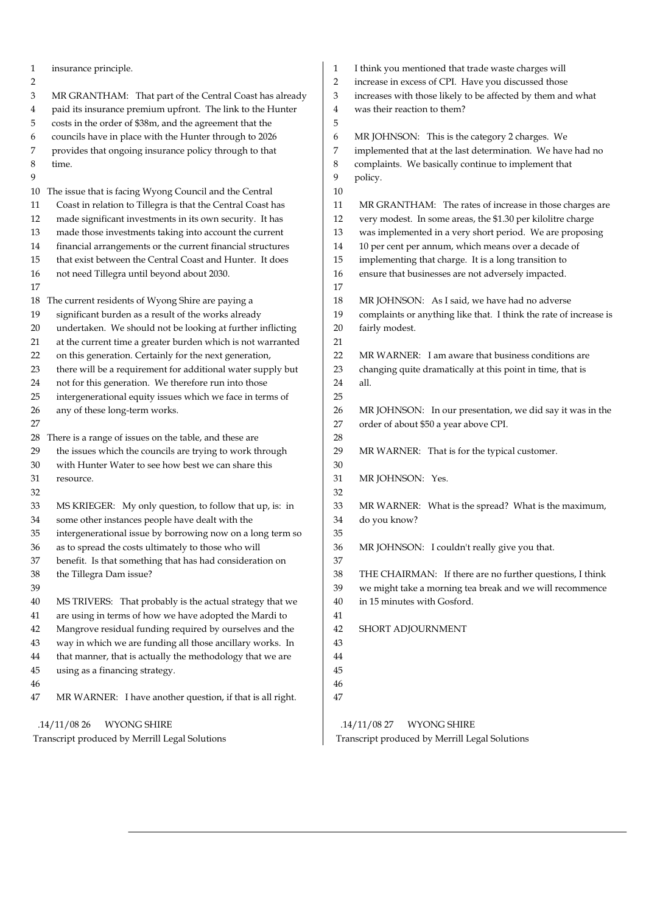| 1<br>2 | insurance principle.                                        | 1<br>2 | I think you mentioned that trade waste charges will<br>increase in excess of CPI. Have you discussed those |
|--------|-------------------------------------------------------------|--------|------------------------------------------------------------------------------------------------------------|
| 3      | MR GRANTHAM: That part of the Central Coast has already     | 3      | increases with those likely to be affected by them and what                                                |
| 4      | paid its insurance premium upfront. The link to the Hunter  | 4      | was their reaction to them?                                                                                |
| 5      | costs in the order of \$38m, and the agreement that the     | 5      |                                                                                                            |
| 6      | councils have in place with the Hunter through to 2026      | 6      | MR JOHNSON: This is the category 2 charges. We                                                             |
| 7      | provides that ongoing insurance policy through to that      | 7      | implemented that at the last determination. We have had no                                                 |
| 8      | time.                                                       | 8      | complaints. We basically continue to implement that                                                        |
| 9      |                                                             | 9      | policy.                                                                                                    |
|        | 10 The issue that is facing Wyong Council and the Central   | 10     |                                                                                                            |
| 11     | Coast in relation to Tillegra is that the Central Coast has | 11     | MR GRANTHAM: The rates of increase in those charges are                                                    |
| 12     | made significant investments in its own security. It has    | 12     | very modest. In some areas, the \$1.30 per kilolitre charge                                                |
| 13     | made those investments taking into account the current      | 13     | was implemented in a very short period. We are proposing                                                   |
| 14     | financial arrangements or the current financial structures  | 14     | 10 per cent per annum, which means over a decade of                                                        |
| 15     | that exist between the Central Coast and Hunter. It does    | 15     | implementing that charge. It is a long transition to                                                       |
| 16     | not need Tillegra until beyond about 2030.                  | 16     | ensure that businesses are not adversely impacted.                                                         |
| 17     |                                                             | 17     |                                                                                                            |
|        | 18 The current residents of Wyong Shire are paying a        | 18     | MR JOHNSON: As I said, we have had no adverse                                                              |
| 19     | significant burden as a result of the works already         | 19     | complaints or anything like that. I think the rate of increase is                                          |
| 20     | undertaken. We should not be looking at further inflicting  | 20     | fairly modest.                                                                                             |
| 21     | at the current time a greater burden which is not warranted | 21     |                                                                                                            |
| 22     | on this generation. Certainly for the next generation,      | 22     | MR WARNER: I am aware that business conditions are                                                         |
| 23     | there will be a requirement for additional water supply but | 23     | changing quite dramatically at this point in time, that is                                                 |
| 24     | not for this generation. We therefore run into those        | 24     | all.                                                                                                       |
| 25     | intergenerational equity issues which we face in terms of   | 25     |                                                                                                            |
| 26     | any of these long-term works.                               | 26     | MR JOHNSON: In our presentation, we did say it was in the                                                  |
| 27     |                                                             | 27     | order of about \$50 a year above CPI.                                                                      |
| 28     | There is a range of issues on the table, and these are      | 28     |                                                                                                            |
| 29     | the issues which the councils are trying to work through    | 29     | MR WARNER: That is for the typical customer.                                                               |
| 30     | with Hunter Water to see how best we can share this         | 30     |                                                                                                            |
| 31     | resource.                                                   | 31     | MR JOHNSON: Yes.                                                                                           |
| 32     |                                                             | 32     |                                                                                                            |
| 33     | MS KRIEGER: My only question, to follow that up, is: in     | 33     | MR WARNER: What is the spread? What is the maximum,                                                        |
| 34     | some other instances people have dealt with the             | 34     | do you know?                                                                                               |
| 35     | intergenerational issue by borrowing now on a long term so  | 35     |                                                                                                            |
| 36     | as to spread the costs ultimately to those who will         | 36     | MR JOHNSON: I couldn't really give you that.                                                               |
| 37     | benefit. Is that something that has had consideration on    | 37     |                                                                                                            |
| 38     | the Tillegra Dam issue?                                     | 38     | THE CHAIRMAN: If there are no further questions, I think                                                   |
| 39     |                                                             | 39     | we might take a morning tea break and we will recommence                                                   |
| 40     | MS TRIVERS: That probably is the actual strategy that we    | 40     | in 15 minutes with Gosford.                                                                                |
| 41     | are using in terms of how we have adopted the Mardi to      | 41     |                                                                                                            |
| 42     | Mangrove residual funding required by ourselves and the     | 42     | SHORT ADJOURNMENT                                                                                          |
| 43     | way in which we are funding all those ancillary works. In   | 43     |                                                                                                            |
| 44     | that manner, that is actually the methodology that we are   | 44     |                                                                                                            |
| 45     | using as a financing strategy.                              | 45     |                                                                                                            |
| 46     |                                                             | 46     |                                                                                                            |
| 47     | MR WARNER: I have another question, if that is all right.   | 47     |                                                                                                            |
|        | .14/11/0826<br><b>WYONG SHIRE</b>                           |        | .14/11/0827<br><b>WYONG SHIRE</b>                                                                          |
|        | Transcript produced by Merrill Legal Solutions              |        | Transcript produced by Merrill Legal Solutions                                                             |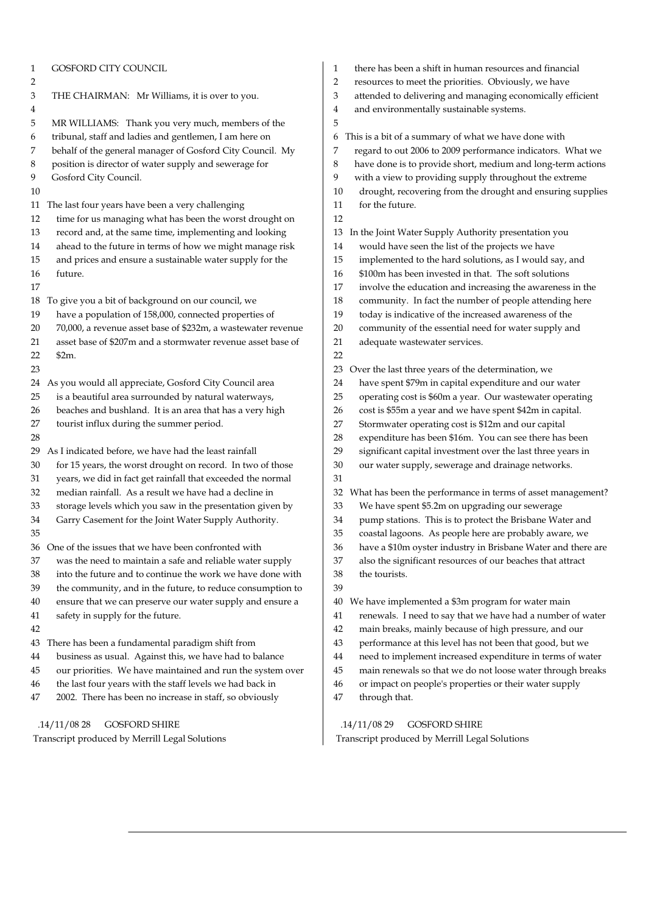| $\mathbf{1}$            | GOSFORD CITY COUNCIL                                         | $\mathbf{1}$        | there has been a shift in human                                      |
|-------------------------|--------------------------------------------------------------|---------------------|----------------------------------------------------------------------|
| $\overline{2}$<br>$\,3$ | THE CHAIRMAN: Mr Williams, it is over to you.                | $\overline{2}$<br>3 | resources to meet the priorities.<br>attended to delivering and mana |
| $\overline{4}$          |                                                              | 4                   | and environmentally sustainabl                                       |
| 5                       | MR WILLIAMS: Thank you very much, members of the             | 5                   |                                                                      |
| 6                       | tribunal, staff and ladies and gentlemen, I am here on       |                     | 6 This is a bit of a summary of what                                 |
| 7                       | behalf of the general manager of Gosford City Council. My    | 7                   | regard to out 2006 to 2009 perfo                                     |
| $\,8\,$                 | position is director of water supply and sewerage for        | $\,8\,$             | have done is to provide short, m                                     |
| 9                       | Gosford City Council.                                        | 9                   | with a view to providing supply                                      |
| 10                      |                                                              | 10                  | drought, recovering from the c                                       |
| 11                      | The last four years have been a very challenging             | 11                  | for the future.                                                      |
| 12                      | time for us managing what has been the worst drought on      | 12                  |                                                                      |
| 13                      | record and, at the same time, implementing and looking       | 13                  | In the Joint Water Supply Author                                     |
| 14                      | ahead to the future in terms of how we might manage risk     | 14                  | would have seen the list of the                                      |
| 15                      | and prices and ensure a sustainable water supply for the     | 15                  | implemented to the hard soluti                                       |
| 16                      | future.                                                      | 16                  | \$100m has been invested in tha                                      |
| 17                      |                                                              | 17                  | involve the education and incr                                       |
| 18                      | To give you a bit of background on our council, we           | 18                  | community. In fact the numbe                                         |
| 19                      | have a population of 158,000, connected properties of        | 19                  | today is indicative of the increa                                    |
| 20                      | 70,000, a revenue asset base of \$232m, a wastewater revenue | 20                  | community of the essential nee                                       |
| 21                      | asset base of \$207m and a stormwater revenue asset base of  | 21                  | adequate wastewater services.                                        |
| 22                      | \$2m.                                                        | 22                  |                                                                      |
| 23                      |                                                              | 23                  | Over the last three years of the do                                  |
|                         | 24 As you would all appreciate, Gosford City Council area    | 24                  | have spent \$79m in capital exp                                      |
| 25                      | is a beautiful area surrounded by natural waterways,         | 25                  | operating cost is \$60m a year.                                      |
| 26                      | beaches and bushland. It is an area that has a very high     | 26                  | cost is \$55m a year and we hav                                      |
| 27                      | tourist influx during the summer period.                     | 27                  | Stormwater operating cost is \$2                                     |
| 28                      |                                                              | 28                  | expenditure has been \$16m. Y                                        |
| 29                      | As I indicated before, we have had the least rainfall        | 29                  | significant capital investment o                                     |
| 30                      | for 15 years, the worst drought on record. In two of those   | 30                  | our water supply, sewerage an                                        |
| 31                      | years, we did in fact get rainfall that exceeded the normal  | 31                  |                                                                      |
| 32                      | median rainfall. As a result we have had a decline in        |                     | 32 What has been the performance i                                   |
| 33                      | storage levels which you saw in the presentation given by    | 33                  | We have spent \$5.2m on upgra                                        |
| 34                      | Garry Casement for the Joint Water Supply Authority.         | 34                  | pump stations. This is to prote                                      |
| 35                      |                                                              | 35                  | coastal lagoons. As people her                                       |
|                         | 36 One of the issues that we have been confronted with       | 36                  | have a \$10m oyster industry in                                      |
| 37                      | was the need to maintain a safe and reliable water supply    | 37                  | also the significant resources of                                    |
| 38                      | into the future and to continue the work we have done with   | 38                  | the tourists.                                                        |
| 39                      | the community, and in the future, to reduce consumption to   | 39                  |                                                                      |
| 40                      | ensure that we can preserve our water supply and ensure a    | 40                  | We have implemented a \$3m pro                                       |
| 41                      | safety in supply for the future.                             | 41                  | renewals. I need to say that we                                      |
| 42                      |                                                              | 42                  | main breaks, mainly because o                                        |
| 43                      | There has been a fundamental paradigm shift from             | 43                  | performance at this level has n                                      |
| 44                      | business as usual. Against this, we have had to balance      | 44                  | need to implement increased e                                        |
| 45                      | our priorities. We have maintained and run the system over   | 45                  | main renewals so that we do n                                        |
| 46                      | the last four years with the staff levels we had back in     | 46                  | or impact on people's propertie                                      |
| 47                      | 2002. There has been no increase in staff, so obviously      | 47                  | through that.                                                        |
|                         |                                                              |                     |                                                                      |
|                         | .14/11/0828<br><b>GOSFORD SHIRE</b>                          |                     | .14/11/0829<br><b>GOSFORD SHIRE</b>                                  |

- man resources and financial
- ties. Obviously, we have
- managing economically efficient
	- nable systems.
	- what we have done with
	- erformance indicators. What we
	- ort, medium and long-term actions
- upply throughout the extreme
- the drought and ensuring supplies
- ithority presentation you
- f the projects we have
- solutions, as I would say, and
- n that. The soft solutions
- increasing the awareness in the
- imber of people attending here
- ncreased awareness of the
- I need for water supply and
- he determination, we
- expenditure and our water
- ear. Our wastewater operating
- have spent \$42m in capital.
- is \$12m and our capital
- n. You can see there has been
- ent over the last three years in
- ge and drainage networks.

nce in terms of asset management?

- pgrading our sewerage
- protect the Brisbane Water and
- e here are probably aware, we
- ry in Brisbane Water and there are
- zes of our beaches that attract

program for water main

- at we have had a number of water
- use of high pressure, and our
- as not been that good, but we
- ed expenditure in terms of water
- do not loose water through breaks
- berties or their water supply

 .14/11/08 29 GOSFORD SHIRE Transcript produced by Merrill Legal Solutions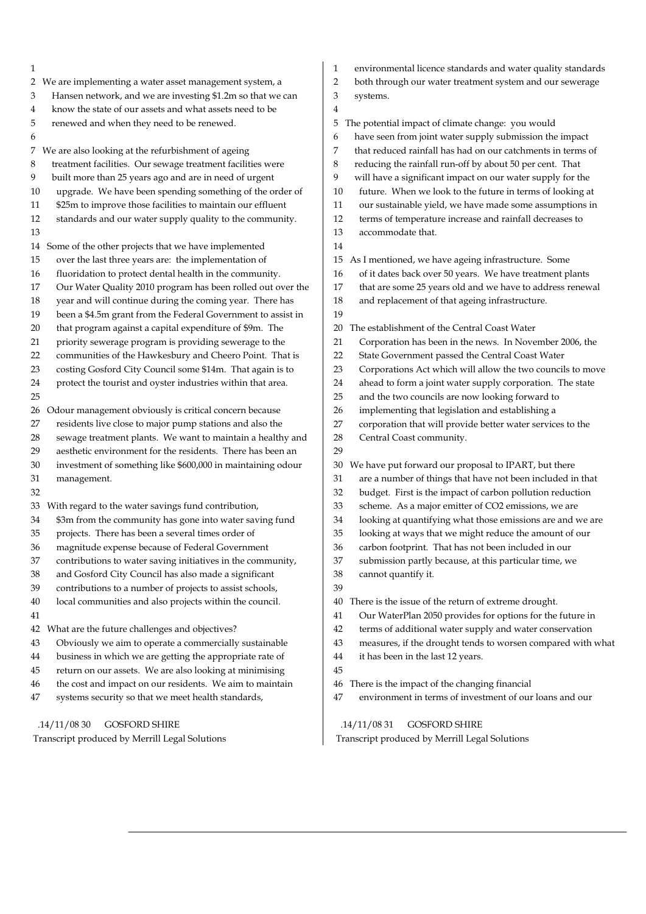1 2 We are implementing a water asset management system, a 3 Hansen network, and we are investing \$1.2m so that we can 4 know the state of our assets and what assets need to be 5 renewed and when they need to be renewed. 6 7 We are also looking at the refurbishment of ageing 8 treatment facilities. Our sewage treatment facilities were 9 built more than 25 years ago and are in need of urgent 10 upgrade. We have been spending something of the order of 11 \$25m to improve those facilities to maintain our effluent 12 standards and our water supply quality to the community. 13 14 Some of the other projects that we have implemented 15 over the last three years are: the implementation of 16 fluoridation to protect dental health in the community. 17 Our Water Quality 2010 program has been rolled out over the 18 year and will continue during the coming year. There has 19 been a \$4.5m grant from the Federal Government to assist in 20 that program against a capital expenditure of \$9m. The 21 priority sewerage program is providing sewerage to the 22 communities of the Hawkesbury and Cheero Point. That is 23 costing Gosford City Council some \$14m. That again is to 24 protect the tourist and oyster industries within that area. 25 26 Odour management obviously is critical concern because 27 residents live close to major pump stations and also the 28 sewage treatment plants. We want to maintain a healthy and 29 aesthetic environment for the residents. There has been an 30 investment of something like \$600,000 in maintaining odour 31 management. 32 33 With regard to the water savings fund contribution, 34 \$3m from the community has gone into water saving fund 35 projects. There has been a several times order of 36 magnitude expense because of Federal Government 37 contributions to water saving initiatives in the community, 38 and Gosford City Council has also made a significant 39 contributions to a number of projects to assist schools, 40 local communities and also projects within the council. 41 42 What are the future challenges and objectives? 43 Obviously we aim to operate a commercially sustainable 44 business in which we are getting the appropriate rate of 45 return on our assets. We are also looking at minimising 46 the cost and impact on our residents. We aim to maintain 47 systems security so that we meet health standards, 1 environmental licence standards and water quality standards 2 both through our water treatment system and our sewerage 3 systems. 4 5 The potential impact of climate change: you would 6 have seen from joint water supply submission the impact 7 that reduced rainfall has had on our catchments in terms of 8 reducing the rainfall run-off by about 50 per cent. That 9 will have a significant impact on our water supply for the 10 future. When we look to the future in terms of looking at 11 our sustainable yield, we have made some assumptions in 12 terms of temperature increase and rainfall decreases to 13 accommodate that. 14 15 As I mentioned, we have ageing infrastructure. Some 16 of it dates back over 50 years. We have treatment plants 17 that are some 25 years old and we have to address renewal 18 and replacement of that ageing infrastructure. 19 20 The establishment of the Central Coast Water 21 Corporation has been in the news. In November 2006, the 22 State Government passed the Central Coast Water 23 Corporations Act which will allow the two councils to move 24 ahead to form a joint water supply corporation. The state 25 and the two councils are now looking forward to 26 implementing that legislation and establishing a 27 corporation that will provide better water services to the 28 Central Coast community. 29 30 We have put forward our proposal to IPART, but there 31 are a number of things that have not been included in that 32 budget. First is the impact of carbon pollution reduction 33 scheme. As a major emitter of CO2 emissions, we are 34 looking at quantifying what those emissions are and we are 35 looking at ways that we might reduce the amount of our 36 carbon footprint. That has not been included in our 37 submission partly because, at this particular time, we 38 cannot quantify it. 39 40 There is the issue of the return of extreme drought. 41 Our WaterPlan 2050 provides for options for the future in 42 terms of additional water supply and water conservation 43 measures, if the drought tends to worsen compared with what 44 it has been in the last 12 years. 45 46 There is the impact of the changing financial 47 environment in terms of investment of our loans and our .14/11/08 31 GOSFORD SHIRE

Transcript produced by Merrill Legal Solutions

.14/11/08 30 GOSFORD SHIRE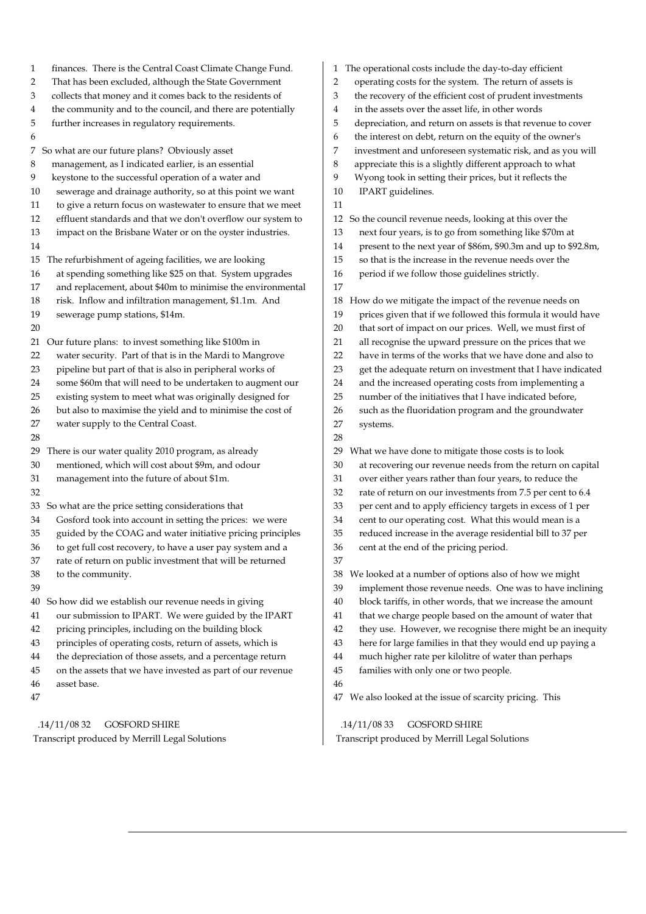| finances. There is the Central Coast Climate Change Fund.<br>$\mathbf{1}$ | 1 The operational costs include the day-to-day efficient            |
|---------------------------------------------------------------------------|---------------------------------------------------------------------|
| 2                                                                         | operating costs for the system. The return of assets is             |
| That has been excluded, although the State Government                     | $\overline{2}$                                                      |
| collects that money and it comes back to the residents of                 | the recovery of the efficient cost of prudent investments           |
| 3                                                                         | 3                                                                   |
| the community and to the council, and there are potentially               | in the assets over the asset life, in other words                   |
| 4                                                                         | 4                                                                   |
| 5                                                                         | 5                                                                   |
| further increases in regulatory requirements.                             | depreciation, and return on assets is that revenue to cover         |
| 6                                                                         | the interest on debt, return on the equity of the owner's<br>6      |
| 7 So what are our future plans? Obviously asset                           | 7<br>investment and unforeseen systematic risk, and as you will     |
| 8                                                                         | appreciate this is a slightly different approach to what            |
| management, as I indicated earlier, is an essential                       | 8                                                                   |
| 9                                                                         | Wyong took in setting their prices, but it reflects the             |
| keystone to the successful operation of a water and                       | 9                                                                   |
| sewerage and drainage authority, so at this point we want                 | IPART guidelines.                                                   |
| 10                                                                        | 10                                                                  |
| to give a return focus on wastewater to ensure that we meet<br>11         | 11                                                                  |
| effluent standards and that we don't overflow our system to<br>12         | So the council revenue needs, looking at this over the              |
| 13                                                                        | 12                                                                  |
| impact on the Brisbane Water or on the oyster industries.                 | next four years, is to go from something like \$70m at<br>13        |
| 14                                                                        | present to the next year of \$86m, \$90.3m and up to \$92.8m,<br>14 |
| 15 The refurbishment of ageing facilities, we are looking                 | so that is the increase in the revenue needs over the<br>15         |
| at spending something like \$25 on that. System upgrades                  | 16                                                                  |
| 16                                                                        | period if we follow those guidelines strictly.                      |
| and replacement, about \$40m to minimise the environmental<br>17          | 17                                                                  |
| 18                                                                        | How do we mitigate the impact of the revenue needs on               |
| risk. Inflow and infiltration management, \$1.1m. And                     | 18                                                                  |
| 19                                                                        | prices given that if we followed this formula it would have         |
| sewerage pump stations, \$14m.                                            | 19                                                                  |
| 20                                                                        | that sort of impact on our prices. Well, we must first of<br>20     |
| Our future plans: to invest something like \$100m in                      | all recognise the upward pressure on the prices that we             |
| 21                                                                        | 21                                                                  |
| water security. Part of that is in the Mardi to Mangrove                  | have in terms of the works that we have done and also to            |
| 22                                                                        | 22                                                                  |
| pipeline but part of that is also in peripheral works of                  | 23                                                                  |
| 23                                                                        | get the adequate return on investment that I have indicated         |
| some \$60m that will need to be undertaken to augment our                 | and the increased operating costs from implementing a               |
| 24                                                                        | 24                                                                  |
| 25                                                                        | number of the initiatives that I have indicated before,             |
| existing system to meet what was originally designed for                  | 25                                                                  |
| 26                                                                        | 26                                                                  |
| but also to maximise the yield and to minimise the cost of                | such as the fluoridation program and the groundwater                |
| 27                                                                        | 27                                                                  |
| water supply to the Central Coast.                                        | systems.                                                            |
| 28                                                                        | 28                                                                  |
| There is our water quality 2010 program, as already                       | What we have done to mitigate those costs is to look                |
| 29                                                                        | 29                                                                  |
| mentioned, which will cost about \$9m, and odour                          | 30                                                                  |
| 30                                                                        | at recovering our revenue needs from the return on capital          |
| 31                                                                        | over either years rather than four years, to reduce the             |
| management into the future of about \$1m.                                 | 31                                                                  |
| 32                                                                        | rate of return on our investments from 7.5 per cent to 6.4<br>32    |
| 33 So what are the price setting considerations that                      | per cent and to apply efficiency targets in excess of 1 per<br>33   |
| Gosford took into account in setting the prices: we were                  | cent to our operating cost. What this would mean is a               |
| 34                                                                        | 34                                                                  |
| guided by the COAG and water initiative pricing principles                | reduced increase in the average residential bill to 37 per          |
| 35                                                                        | 35                                                                  |
| 36                                                                        | 36                                                                  |
| to get full cost recovery, to have a user pay system and a                | cent at the end of the pricing period.                              |
| rate of return on public investment that will be returned<br>37           | 37                                                                  |
| 38                                                                        | We looked at a number of options also of how we might               |
| to the community.                                                         | 38                                                                  |
| 39                                                                        | implement those revenue needs. One was to have inclining<br>39      |
| 40 So how did we establish our revenue needs in giving                    | block tariffs, in other words, that we increase the amount<br>40    |
| our submission to IPART. We were guided by the IPART                      | that we charge people based on the amount of water that             |
| 41                                                                        | 41                                                                  |
| pricing principles, including on the building block                       | they use. However, we recognise there might be an inequity          |
| 42                                                                        | 42                                                                  |
| principles of operating costs, return of assets, which is                 | here for large families in that they would end up paying a          |
| 43                                                                        | 43                                                                  |
| the depreciation of those assets, and a percentage return                 | much higher rate per kilolitre of water than perhaps                |
| 44                                                                        | 44                                                                  |
| on the assets that we have invested as part of our revenue                | families with only one or two people.                               |
| 45                                                                        | 45                                                                  |
| asset base.<br>46                                                         | 46                                                                  |
| 47                                                                        | We also looked at the issue of scarcity pricing. This<br>47         |
|                                                                           |                                                                     |
| .14/11/0832                                                               | .14/11/0833                                                         |
| <b>GOSFORD SHIRE</b>                                                      | <b>GOSFORD SHIRE</b>                                                |

 $\overline{\phantom{a}}$ 

Transcript produced by Merrill Legal Solutions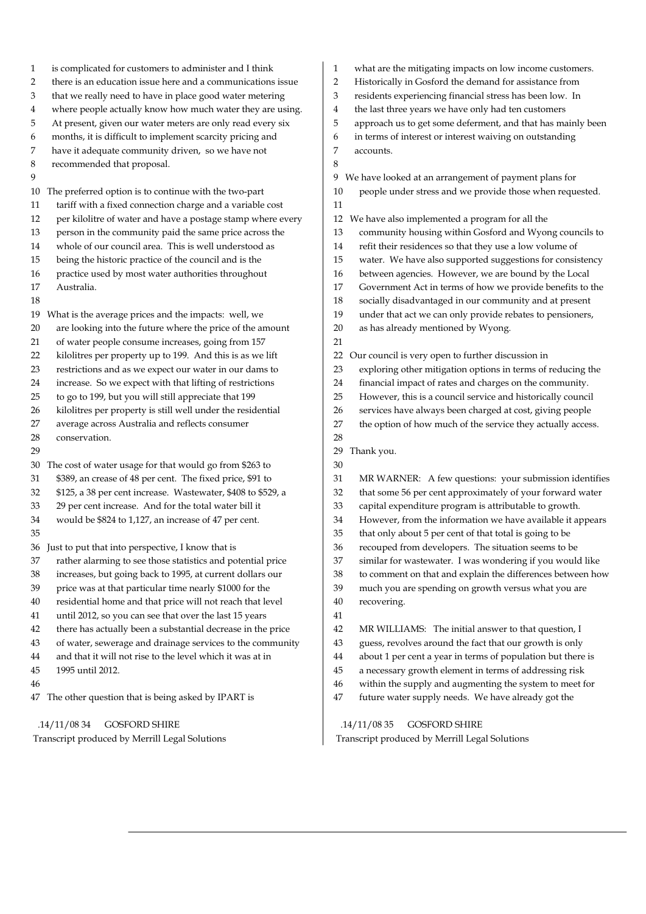1 is complicated for customers to administer and I think 2 there is an education issue here and a communications issue 3 that we really need to have in place good water metering 4 where people actually know how much water they are using. 5 At present, given our water meters are only read every six 6 months, it is difficult to implement scarcity pricing and 7 have it adequate community driven, so we have not 8 recommended that proposal.  $\overline{Q}$ 10 The preferred option is to continue with the two-part 11 tariff with a fixed connection charge and a variable cost 12 per kilolitre of water and have a postage stamp where every 13 person in the community paid the same price across the 14 whole of our council area. This is well understood as 15 being the historic practice of the council and is the 16 practice used by most water authorities throughout 17 Australia. 18 19 What is the average prices and the impacts: well, we 20 are looking into the future where the price of the amount 21 of water people consume increases, going from 157 22 kilolitres per property up to 199. And this is as we lift 23 restrictions and as we expect our water in our dams to 24 increase. So we expect with that lifting of restrictions 25 to go to 199, but you will still appreciate that 199 26 kilolitres per property is still well under the residential 27 average across Australia and reflects consumer 28 conservation. 29 30 The cost of water usage for that would go from \$263 to 31 \$389, an crease of 48 per cent. The fixed price, \$91 to 32 \$125, a 38 per cent increase. Wastewater, \$408 to \$529, a 33 29 per cent increase. And for the total water bill it 34 would be \$824 to 1,127, an increase of 47 per cent. 35 36 Just to put that into perspective, I know that is 37 rather alarming to see those statistics and potential price 38 increases, but going back to 1995, at current dollars our 39 price was at that particular time nearly \$1000 for the 40 residential home and that price will not reach that level 41 until 2012, so you can see that over the last 15 years 42 there has actually been a substantial decrease in the price 43 of water, sewerage and drainage services to the community 44 and that it will not rise to the level which it was at in 45 1995 until 2012. 46 47 The other question that is being asked by IPART is

.14/11/08 34 GOSFORD SHIRE

Transcript produced by Merrill Legal Solutions

- 1 what are the mitigating impacts on low income customers.
- 2 Historically in Gosford the demand for assistance from
- 3 residents experiencing financial stress has been low. In
- 4 the last three years we have only had ten customers
- 5 approach us to get some deferment, and that has mainly been
- 6 in terms of interest or interest waiving on outstanding
- 7 accounts.

8

9 We have looked at an arrangement of payment plans for

- 10 people under stress and we provide those when requested. 11
- 12 We have also implemented a program for all the
- 13 community housing within Gosford and Wyong councils to
- 14 refit their residences so that they use a low volume of
- 15 water. We have also supported suggestions for consistency
- 16 between agencies. However, we are bound by the Local
- 17 Government Act in terms of how we provide benefits to the
- 18 socially disadvantaged in our community and at present
- 19 under that act we can only provide rebates to pensioners,
- 20 as has already mentioned by Wyong.
- 21
- 22 Our council is very open to further discussion in
- 23 exploring other mitigation options in terms of reducing the
- 24 financial impact of rates and charges on the community.
- 25 However, this is a council service and historically council
- 26 services have always been charged at cost, giving people
- 27 the option of how much of the service they actually access.
- 29 Thank you.
- 30

28

- 31 MR WARNER: A few questions: your submission identifies
- 32 that some 56 per cent approximately of your forward water
- 33 capital expenditure program is attributable to growth.
- 34 However, from the information we have available it appears
- 35 that only about 5 per cent of that total is going to be
- 36 recouped from developers. The situation seems to be
- 37 similar for wastewater. I was wondering if you would like
- 38 to comment on that and explain the differences between how
- 39 much you are spending on growth versus what you are 40 recovering.
- 41
- 42 MR WILLIAMS: The initial answer to that question, I
- 43 guess, revolves around the fact that our growth is only
- 44 about 1 per cent a year in terms of population but there is
- 45 a necessary growth element in terms of addressing risk
- 46 within the supply and augmenting the system to meet for
- 47 future water supply needs. We have already got the

 .14/11/08 35 GOSFORD SHIRE Transcript produced by Merrill Legal Solutions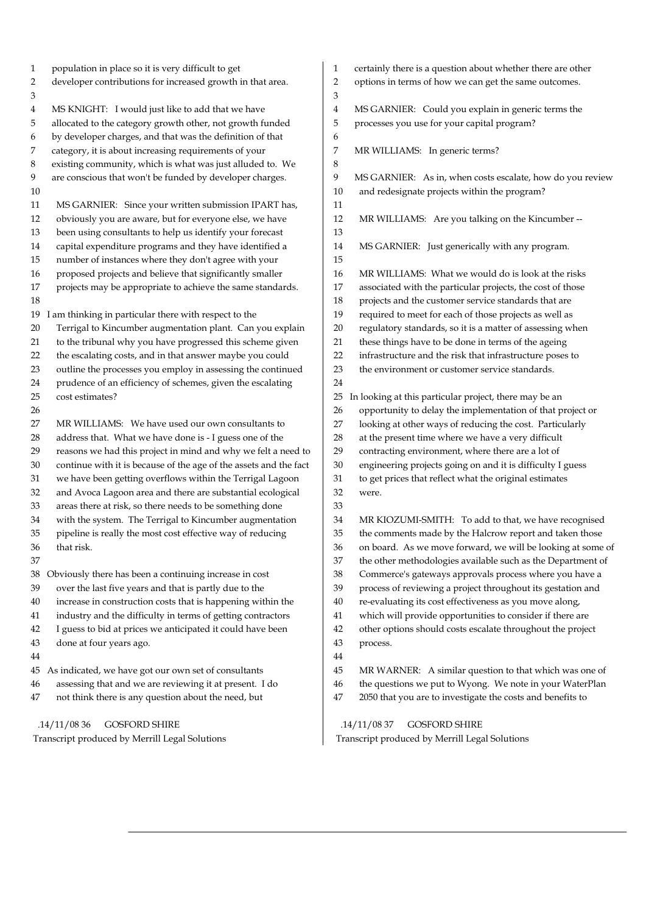1 population in place so it is very difficult to get 2 developer contributions for increased growth in that area. 3 4 MS KNIGHT: I would just like to add that we have 5 allocated to the category growth other, not growth funded 6 by developer charges, and that was the definition of that 7 category, it is about increasing requirements of your 8 existing community, which is what was just alluded to. We 9 are conscious that won't be funded by developer charges. 10 11 MS GARNIER: Since your written submission IPART has, 12 obviously you are aware, but for everyone else, we have 13 been using consultants to help us identify your forecast 14 capital expenditure programs and they have identified a 15 number of instances where they don't agree with your 16 proposed projects and believe that significantly smaller 17 projects may be appropriate to achieve the same standards. 18 19 I am thinking in particular there with respect to the 20 Terrigal to Kincumber augmentation plant. Can you explain 21 to the tribunal why you have progressed this scheme given 22 the escalating costs, and in that answer maybe you could 23 outline the processes you employ in assessing the continued 24 prudence of an efficiency of schemes, given the escalating 25 cost estimates? 26 27 MR WILLIAMS: We have used our own consultants to 28 address that. What we have done is - I guess one of the 29 reasons we had this project in mind and why we felt a need to 30 continue with it is because of the age of the assets and the fact 31 we have been getting overflows within the Terrigal Lagoon 32 and Avoca Lagoon area and there are substantial ecological 33 areas there at risk, so there needs to be something done 34 with the system. The Terrigal to Kincumber augmentation 35 pipeline is really the most cost effective way of reducing 36 that risk. 37 38 Obviously there has been a continuing increase in cost 39 over the last five years and that is partly due to the 40 increase in construction costs that is happening within the 41 industry and the difficulty in terms of getting contractors 42 I guess to bid at prices we anticipated it could have been 43 done at four years ago. 44 45 As indicated, we have got our own set of consultants 46 assessing that and we are reviewing it at present. I do 47 not think there is any question about the need, but 1 certainly there is a question about whether there are other 2 options in terms of how we can get the same outcomes. 3 4 MS GARNIER: Could you explain in generic terms the 5 processes you use for your capital program? 6 7 MR WILLIAMS: In generic terms? 8 9 MS GARNIER: As in, when costs escalate, how do you review 10 and redesignate projects within the program? 11 12 MR WILLIAMS: Are you talking on the Kincumber -- 13 14 MS GARNIER: Just generically with any program. 15 16 MR WILLIAMS: What we would do is look at the risks 17 associated with the particular projects, the cost of those 18 projects and the customer service standards that are 19 required to meet for each of those projects as well as 20 regulatory standards, so it is a matter of assessing when 21 these things have to be done in terms of the ageing 22 infrastructure and the risk that infrastructure poses to 23 the environment or customer service standards. 24 25 In looking at this particular project, there may be an 26 opportunity to delay the implementation of that project or 27 looking at other ways of reducing the cost. Particularly 28 at the present time where we have a very difficult 29 contracting environment, where there are a lot of 30 engineering projects going on and it is difficulty I guess 31 to get prices that reflect what the original estimates 32 were. 33 34 MR KIOZUMI-SMITH: To add to that, we have recognised 35 the comments made by the Halcrow report and taken those 36 on board. As we move forward, we will be looking at some of 37 the other methodologies available such as the Department of 38 Commerce's gateways approvals process where you have a 39 process of reviewing a project throughout its gestation and 40 re-evaluating its cost effectiveness as you move along, 41 which will provide opportunities to consider if there are 42 other options should costs escalate throughout the project 43 process. 44 45 MR WARNER: A similar question to that which was one of 46 the questions we put to Wyong. We note in your WaterPlan 47 2050 that you are to investigate the costs and benefits to

 .14/11/08 36 GOSFORD SHIRE Transcript produced by Merrill Legal Solutions

 .14/11/08 37 GOSFORD SHIRE Transcript produced by Merrill Legal Solutions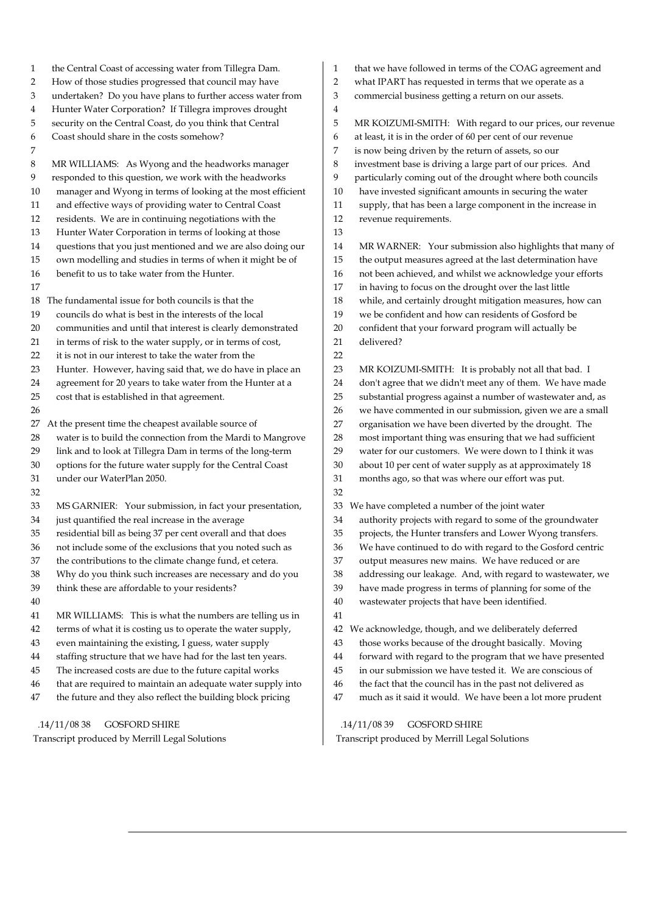1 the Central Coast of accessing water from Tillegra Dam. 2 How of those studies progressed that council may have 3 undertaken? Do you have plans to further access water from 4 Hunter Water Corporation? If Tillegra improves drought 5 security on the Central Coast, do you think that Central 6 Coast should share in the costs somehow? 7 8 MR WILLIAMS: As Wyong and the headworks manager 9 responded to this question, we work with the headworks 10 manager and Wyong in terms of looking at the most efficient 11 and effective ways of providing water to Central Coast 12 residents. We are in continuing negotiations with the 13 Hunter Water Corporation in terms of looking at those 14 questions that you just mentioned and we are also doing our 15 own modelling and studies in terms of when it might be of 16 benefit to us to take water from the Hunter. 17 18 The fundamental issue for both councils is that the 19 councils do what is best in the interests of the local 20 communities and until that interest is clearly demonstrated 21 in terms of risk to the water supply, or in terms of cost, 22 it is not in our interest to take the water from the 23 Hunter. However, having said that, we do have in place an 24 agreement for 20 years to take water from the Hunter at a 25 cost that is established in that agreement. 26 27 At the present time the cheapest available source of 28 water is to build the connection from the Mardi to Mangrove 29 link and to look at Tillegra Dam in terms of the long-term 30 options for the future water supply for the Central Coast 31 under our WaterPlan 2050. 32 33 MS GARNIER: Your submission, in fact your presentation, 34 just quantified the real increase in the average 35 residential bill as being 37 per cent overall and that does 36 not include some of the exclusions that you noted such as 37 the contributions to the climate change fund, et cetera. 38 Why do you think such increases are necessary and do you 39 think these are affordable to your residents? 40 41 MR WILLIAMS: This is what the numbers are telling us in 42 terms of what it is costing us to operate the water supply, 43 even maintaining the existing, I guess, water supply 44 staffing structure that we have had for the last ten years. 45 The increased costs are due to the future capital works 46 that are required to maintain an adequate water supply into 47 the future and they also reflect the building block pricing .14/11/08 38 GOSFORD SHIRE 4 12 revenue requirements. 13 21 delivered? 22 31 months ago, so that was where our effort was put. 32 41 42 We acknowledge, though, and we deliberately deferred

Transcript produced by Merrill Legal Solutions

- 1 that we have followed in terms of the COAG agreement and
- 2 what IPART has requested in terms that we operate as a
- 3 commercial business getting a return on our assets.

5 MR KOIZUMI-SMITH: With regard to our prices, our revenue 6 at least, it is in the order of 60 per cent of our revenue 7 is now being driven by the return of assets, so our 8 investment base is driving a large part of our prices. And 9 particularly coming out of the drought where both councils 10 have invested significant amounts in securing the water 11 supply, that has been a large component in the increase in 14 MR WARNER: Your submission also highlights that many of 15 the output measures agreed at the last determination have 16 not been achieved, and whilst we acknowledge your efforts 17 in having to focus on the drought over the last little 18 while, and certainly drought mitigation measures, how can 19 we be confident and how can residents of Gosford be 20 confident that your forward program will actually be

23 MR KOIZUMI-SMITH: It is probably not all that bad. I 24 don't agree that we didn't meet any of them. We have made 25 substantial progress against a number of wastewater and, as 26 we have commented in our submission, given we are a small 27 organisation we have been diverted by the drought. The 28 most important thing was ensuring that we had sufficient 29 water for our customers. We were down to I think it was 30 about 10 per cent of water supply as at approximately 18

33 We have completed a number of the joint water

- 34 authority projects with regard to some of the groundwater
- 35 projects, the Hunter transfers and Lower Wyong transfers.
- 36 We have continued to do with regard to the Gosford centric
- 37 output measures new mains. We have reduced or are
- 38 addressing our leakage. And, with regard to wastewater, we
- 39 have made progress in terms of planning for some of the
- 40 wastewater projects that have been identified.
	-
- 43 those works because of the drought basically. Moving
- 44 forward with regard to the program that we have presented
- 45 in our submission we have tested it. We are conscious of
- 46 the fact that the council has in the past not delivered as
- 47 much as it said it would. We have been a lot more prudent

 .14/11/08 39 GOSFORD SHIRE Transcript produced by Merrill Legal Solutions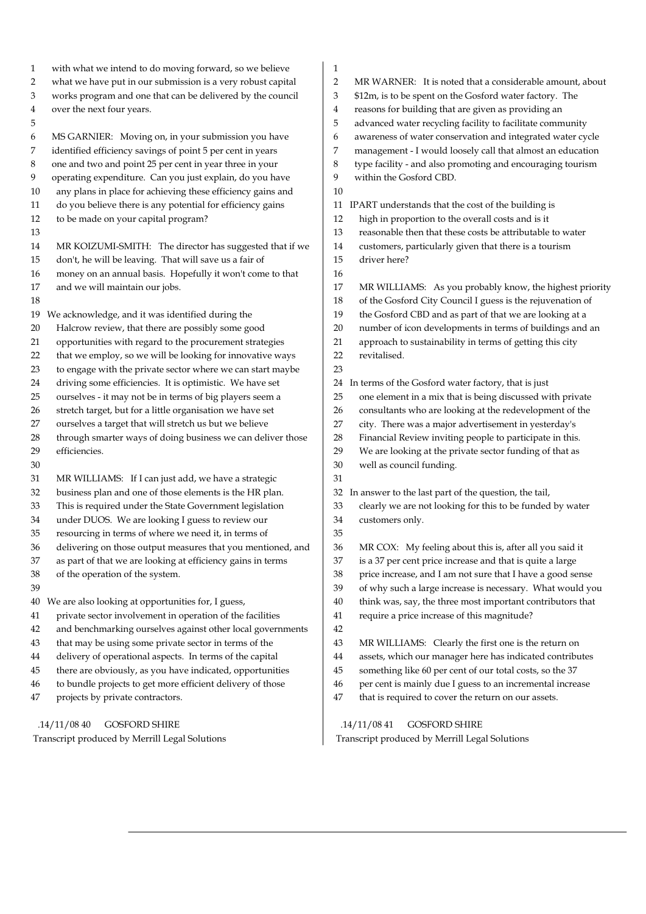| $\mathbf{1}$     | with what we intend to do moving forward, so we believe     | 1              |                                            |
|------------------|-------------------------------------------------------------|----------------|--------------------------------------------|
| $\overline{2}$   | what we have put in our submission is a very robust capital | $\overline{2}$ | MR WARNER: It is noted that a con          |
| 3                | works program and one that can be delivered by the council  | 3              | \$12m, is to be spent on the Gosford w     |
| $\bf 4$          | over the next four years.                                   | 4              | reasons for building that are given as     |
| 5                |                                                             | 5              | advanced water recycling facility to f     |
| $\boldsymbol{6}$ | MS GARNIER: Moving on, in your submission you have          | 6              | awareness of water conservation and        |
| 7                | identified efficiency savings of point 5 per cent in years  | 7              | management - I would loosely call th       |
| $\,8\,$          | one and two and point 25 per cent in year three in your     | 8              | type facility - and also promoting and     |
| $\boldsymbol{9}$ | operating expenditure. Can you just explain, do you have    | 9              | within the Gosford CBD.                    |
| 10               | any plans in place for achieving these efficiency gains and | 10             |                                            |
| 11               | do you believe there is any potential for efficiency gains  | 11             | IPART understands that the cost of the     |
| 12               | to be made on your capital program?                         | 12             | high in proportion to the overall cos      |
| 13               |                                                             | 13             | reasonable then that these costs be a      |
| 14               | MR KOIZUMI-SMITH: The director has suggested that if we     | 14             | customers, particularly given that th      |
| 15               | don't, he will be leaving. That will save us a fair of      | 15             | driver here?                               |
| 16               | money on an annual basis. Hopefully it won't come to that   | 16             |                                            |
| 17               | and we will maintain our jobs.                              | 17             | MR WILLIAMS: As you probably l             |
| 18               |                                                             | 18             | of the Gosford City Council I guess        |
|                  | 19 We acknowledge, and it was identified during the         | 19             | the Gosford CBD and as part of that        |
| 20               | Halcrow review, that there are possibly some good           | 20             | number of icon developments in ter         |
| 21               | opportunities with regard to the procurement strategies     | 21             | approach to sustainability in terms o      |
| 22               | that we employ, so we will be looking for innovative ways   | 22             | revitalised.                               |
| 23               | to engage with the private sector where we can start maybe  | 23             |                                            |
| $24\,$           | driving some efficiencies. It is optimistic. We have set    | 24             | In terms of the Gosford water factory,     |
| $25\,$           | ourselves - it may not be in terms of big players seem a    | 25             | one element in a mix that is being di      |
| 26               | stretch target, but for a little organisation we have set   | 26             | consultants who are looking at the r       |
| 27               | ourselves a target that will stretch us but we believe      | 27             | city. There was a major advertisem         |
| 28               | through smarter ways of doing business we can deliver those | 28             | Financial Review inviting people to        |
| 29               | efficiencies.                                               | 29             | We are looking at the private sector       |
| 30               |                                                             | 30             | well as council funding.                   |
| 31               | MR WILLIAMS: If I can just add, we have a strategic         | 31             |                                            |
| 32               | business plan and one of those elements is the HR plan.     | 32             | In answer to the last part of the question |
| $33\,$           | This is required under the State Government legislation     | 33             | clearly we are not looking for this to     |
| 34               | under DUOS. We are looking I guess to review our            | 34             | customers only.                            |
| 35               | resourcing in terms of where we need it, in terms of        | 35             |                                            |
| 36               | delivering on those output measures that you mentioned, and | 36             | MR COX: My feeling about this is,          |
| 37               | as part of that we are looking at efficiency gains in terms | 37             | is a 37 per cent price increase and th     |
| 38               | of the operation of the system.                             | 38             | price increase, and I am not sure tha      |
| 39               |                                                             | 39             | of why such a large increase is neces      |
|                  | 40 We are also looking at opportunities for, I guess,       | 40             | think was, say, the three most impor       |
| 41               | private sector involvement in operation of the facilities   | 41             | require a price increase of this magr      |
| 42               | and benchmarking ourselves against other local governments  | 42             |                                            |
| 43               | that may be using some private sector in terms of the       | 43             | MR WILLIAMS: Clearly the first of          |
| $\bf 44$         | delivery of operational aspects. In terms of the capital    | 44             | assets, which our manager here has         |
| 45               | there are obviously, as you have indicated, opportunities   | 45             | something like 60 per cent of our to       |
| 46               | to bundle projects to get more efficient delivery of those  | 46             | per cent is mainly due I guess to an       |
| 47               | projects by private contractors.                            | 47             | that is required to cover the return o     |
|                  |                                                             |                |                                            |
|                  | .14/11/0840<br>GOSFORD SHIRE                                |                | .14/11/0841<br><b>GOSFORD SHIRE</b>        |

nsiderable amount, about

water factory. The

s providing an

facilitate community

- integrated water cycle
- nat almost an education
- d encouraging tourism
- <sub>1e</sub> building is
- sts and is it
- attributable to water
- here is a tourism
- know, the highest priority
- is the rejuvenation of
- t we are looking at a
- rms of buildings and an
- of getting this city
- that is just
- iscussed with private
- redevelopment of the
- ent in yesterday's
- participate in this.
- funding of that as

on, the tail,

- o be funded by water
- after all you said it nat is quite a large
- at I have a good sense
- ssary. What would you
- rtant contributors that
- nitude?
- ne is the return on
- indicated contributes
- tal costs, so the 37
- incremental increase
- on our assets.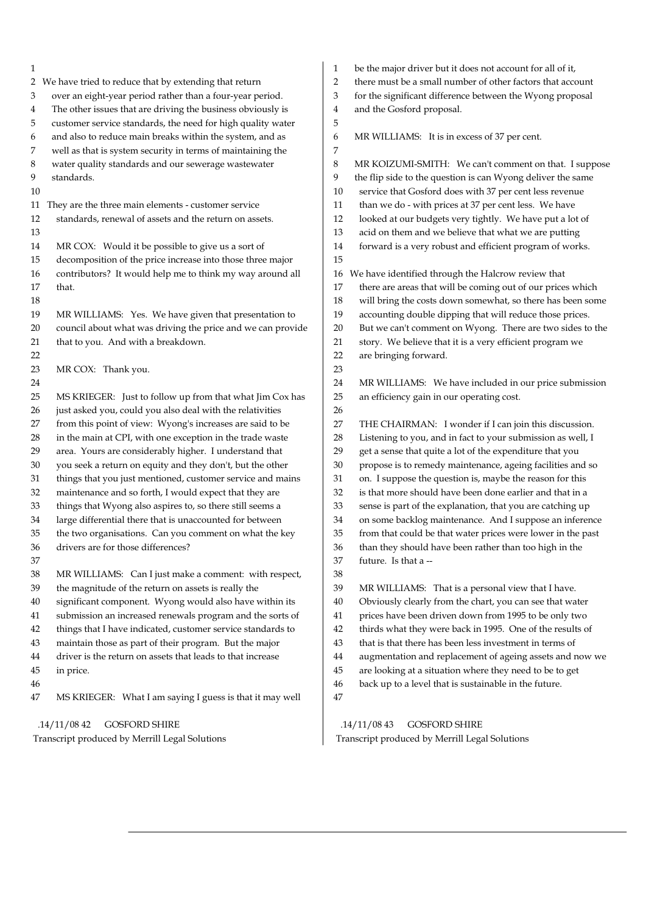1 2 We have tried to reduce that by extending that return 3 over an eight-year period rather than a four-year period. 4 The other issues that are driving the business obviously is 5 customer service standards, the need for high quality water 6 and also to reduce main breaks within the system, and as 7 well as that is system security in terms of maintaining the 8 water quality standards and our sewerage wastewater 9 standards. 10 11 They are the three main elements - customer service 12 standards, renewal of assets and the return on assets. 13 14 MR COX: Would it be possible to give us a sort of 15 decomposition of the price increase into those three major 16 contributors? It would help me to think my way around all 17 that. 18 19 MR WILLIAMS: Yes. We have given that presentation to 20 council about what was driving the price and we can provide 21 that to you. And with a breakdown. 22 23 MR COX: Thank you. 24 25 MS KRIEGER: Just to follow up from that what Jim Cox has 26 just asked you, could you also deal with the relativities 27 from this point of view: Wyong's increases are said to be 28 in the main at CPI, with one exception in the trade waste 29 area. Yours are considerably higher. I understand that 30 you seek a return on equity and they don't, but the other 31 things that you just mentioned, customer service and mains 32 maintenance and so forth, I would expect that they are 33 things that Wyong also aspires to, so there still seems a 34 large differential there that is unaccounted for between 35 the two organisations. Can you comment on what the key 36 drivers are for those differences? 37 38 MR WILLIAMS: Can I just make a comment: with respect, 39 the magnitude of the return on assets is really the 40 significant component. Wyong would also have within its 41 submission an increased renewals program and the sorts of 42 things that I have indicated, customer service standards to 43 maintain those as part of their program. But the major 44 driver is the return on assets that leads to that increase 45 in price. 46 47 MS KRIEGER: What I am saying I guess is that it may well 5 7 15 23 26 38 47

.14/11/08 42 GOSFORD SHIRE

Transcript produced by Merrill Legal Solutions

|  | be the major driver but it does not account for all of it, |
|--|------------------------------------------------------------|
|--|------------------------------------------------------------|

2 there must be a small number of other factors that account

3 for the significant difference between the Wyong proposal

4 and the Gosford proposal.

6 MR WILLIAMS: It is in excess of 37 per cent.

8 MR KOIZUMI-SMITH: We can't comment on that. I suppose 9 the flip side to the question is can Wyong deliver the same 10 service that Gosford does with 37 per cent less revenue 11 than we do - with prices at 37 per cent less. We have 12 looked at our budgets very tightly. We have put a lot of 13 acid on them and we believe that what we are putting 14 forward is a very robust and efficient program of works. 16 We have identified through the Halcrow review that 17 there are areas that will be coming out of our prices which 18 will bring the costs down somewhat, so there has been some 19 accounting double dipping that will reduce those prices. 20 But we can't comment on Wyong. There are two sides to the 21 story. We believe that it is a very efficient program we 22 are bringing forward. 24 MR WILLIAMS: We have included in our price submission 25 an efficiency gain in our operating cost. 27 THE CHAIRMAN: I wonder if I can join this discussion. 28 Listening to you, and in fact to your submission as well, I 29 get a sense that quite a lot of the expenditure that you 30 propose is to remedy maintenance, ageing facilities and so 31 on. I suppose the question is, maybe the reason for this 32 is that more should have been done earlier and that in a 33 sense is part of the explanation, that you are catching up 34 on some backlog maintenance. And I suppose an inference 35 from that could be that water prices were lower in the past 36 than they should have been rather than too high in the 37 future. Is that a -- 39 MR WILLIAMS: That is a personal view that I have. 40 Obviously clearly from the chart, you can see that water 41 prices have been driven down from 1995 to be only two 42 thirds what they were back in 1995. One of the results of 43 that is that there has been less investment in terms of 44 augmentation and replacement of ageing assets and now we

- 45 are looking at a situation where they need to be to get
- 46 back up to a level that is sustainable in the future.

 .14/11/08 43 GOSFORD SHIRE Transcript produced by Merrill Legal Solutions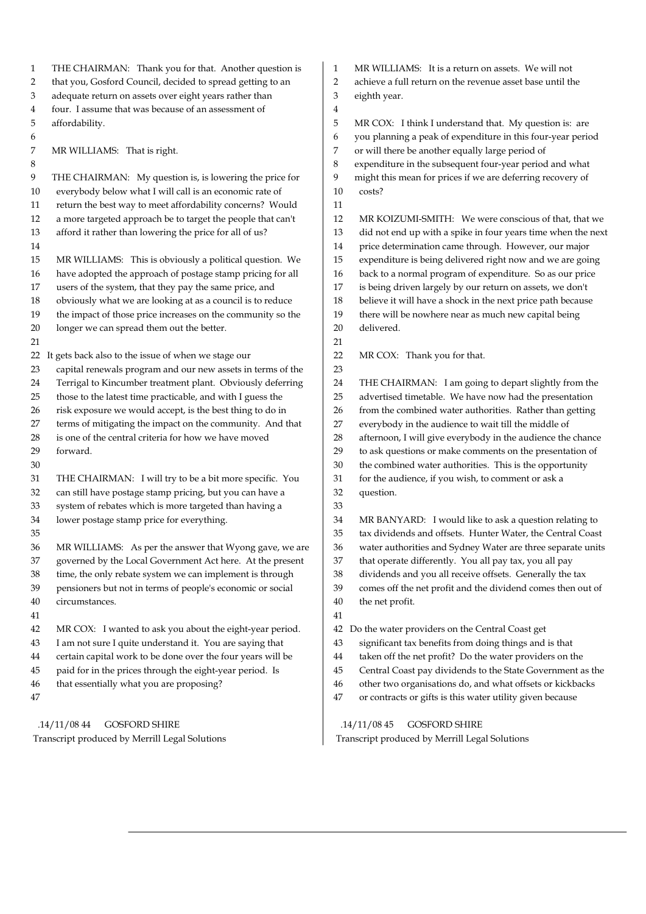1 THE CHAIRMAN: Thank you for that. Another question is 2 that you, Gosford Council, decided to spread getting to an 3 adequate return on assets over eight years rather than 4 four. I assume that was because of an assessment of 5 affordability. 6 7 MR WILLIAMS: That is right. 8 9 THE CHAIRMAN: My question is, is lowering the price for 10 everybody below what I will call is an economic rate of 11 return the best way to meet affordability concerns? Would 12 a more targeted approach be to target the people that can't 13 afford it rather than lowering the price for all of us? 14 15 MR WILLIAMS: This is obviously a political question. We 16 have adopted the approach of postage stamp pricing for all 17 users of the system, that they pay the same price, and 18 obviously what we are looking at as a council is to reduce 19 the impact of those price increases on the community so the 20 longer we can spread them out the better. 21 22 It gets back also to the issue of when we stage our 23 capital renewals program and our new assets in terms of the 24 Terrigal to Kincumber treatment plant. Obviously deferring 25 those to the latest time practicable, and with I guess the 26 risk exposure we would accept, is the best thing to do in 27 terms of mitigating the impact on the community. And that 28 is one of the central criteria for how we have moved 29 forward. 30 31 THE CHAIRMAN: I will try to be a bit more specific. You 32 can still have postage stamp pricing, but you can have a 33 system of rebates which is more targeted than having a 34 lower postage stamp price for everything. 35 36 MR WILLIAMS: As per the answer that Wyong gave, we are 37 governed by the Local Government Act here. At the present 38 time, the only rebate system we can implement is through 39 pensioners but not in terms of people's economic or social 40 circumstances. 41 42 MR COX: I wanted to ask you about the eight-year period. 43 I am not sure I quite understand it. You are saying that 44 certain capital work to be done over the four years will be 45 paid for in the prices through the eight-year period. Is 46 that essentially what you are proposing? 47 1 MR WILLIAMS: It is a return on assets. We will not 2 achieve a full return on the revenue asset base until the 3 eighth year. 4 5 MR COX: I think I understand that. My question is: are 6 you planning a peak of expenditure in this four-year period 7 or will there be another equally large period of 8 expenditure in the subsequent four-year period and what 9 might this mean for prices if we are deferring recovery of 10 costs? 11 12 MR KOIZUMI-SMITH: We were conscious of that, that we 13 did not end up with a spike in four years time when the next 14 price determination came through. However, our major 15 expenditure is being delivered right now and we are going 16 back to a normal program of expenditure. So as our price 17 is being driven largely by our return on assets, we don't 18 believe it will have a shock in the next price path because 19 there will be nowhere near as much new capital being 20 delivered. 21 22 MR COX: Thank you for that. 23 24 THE CHAIRMAN: I am going to depart slightly from the 25 advertised timetable. We have now had the presentation 26 from the combined water authorities. Rather than getting 27 everybody in the audience to wait till the middle of 28 afternoon, I will give everybody in the audience the chance 29 to ask questions or make comments on the presentation of 30 the combined water authorities. This is the opportunity 31 for the audience, if you wish, to comment or ask a 32 question. 33 34 MR BANYARD: I would like to ask a question relating to 35 tax dividends and offsets. Hunter Water, the Central Coast 36 water authorities and Sydney Water are three separate units 37 that operate differently. You all pay tax, you all pay 38 dividends and you all receive offsets. Generally the tax 39 comes off the net profit and the dividend comes then out of 40 the net profit. 41 42 Do the water providers on the Central Coast get 43 significant tax benefits from doing things and is that 44 taken off the net profit? Do the water providers on the 45 Central Coast pay dividends to the State Government as the 46 other two organisations do, and what offsets or kickbacks 47 or contracts or gifts is this water utility given because

 .14/11/08 44 GOSFORD SHIRE Transcript produced by Merrill Legal Solutions

 .14/11/08 45 GOSFORD SHIRE Transcript produced by Merrill Legal Solutions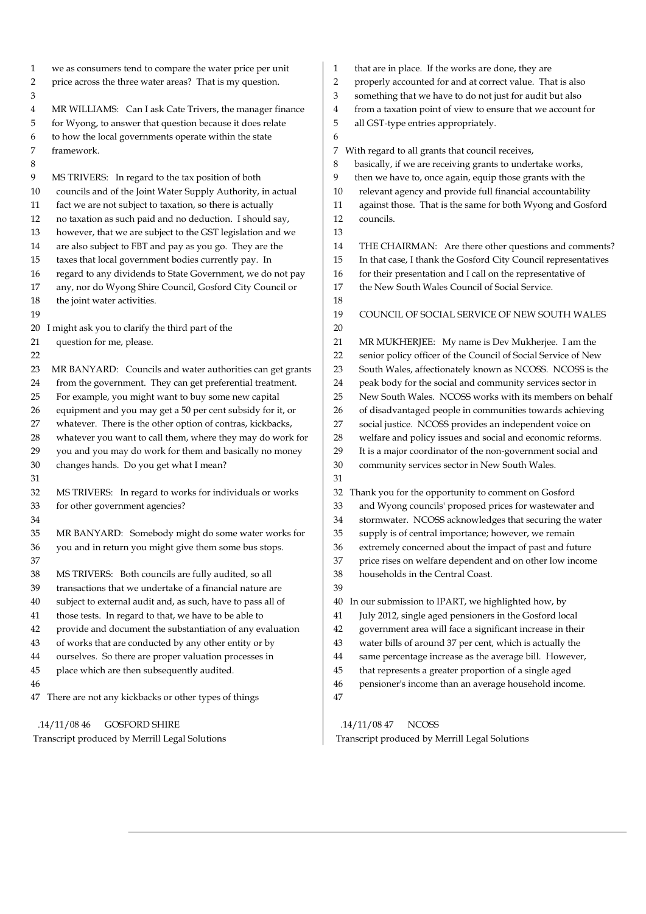1 we as consumers tend to compare the water price per unit 2 price across the three water areas? That is my question. 3 4 MR WILLIAMS: Can I ask Cate Trivers, the manager finance 5 for Wyong, to answer that question because it does relate 6 to how the local governments operate within the state 7 framework. 8 9 MS TRIVERS: In regard to the tax position of both 10 councils and of the Joint Water Supply Authority, in actual 11 fact we are not subject to taxation, so there is actually 12 no taxation as such paid and no deduction. I should say, 13 however, that we are subject to the GST legislation and we 14 are also subject to FBT and pay as you go. They are the 15 taxes that local government bodies currently pay. In 16 regard to any dividends to State Government, we do not pay 17 any, nor do Wyong Shire Council, Gosford City Council or 18 the joint water activities. 19 20 I might ask you to clarify the third part of the 21 question for me, please. 22 23 MR BANYARD: Councils and water authorities can get grants 24 from the government. They can get preferential treatment. 25 For example, you might want to buy some new capital 26 equipment and you may get a 50 per cent subsidy for it, or 27 whatever. There is the other option of contras, kickbacks, 28 whatever you want to call them, where they may do work for 29 you and you may do work for them and basically no money 30 changes hands. Do you get what I mean? 31 32 MS TRIVERS: In regard to works for individuals or works 33 for other government agencies? 34 35 MR BANYARD: Somebody might do some water works for 36 you and in return you might give them some bus stops. 37 38 MS TRIVERS: Both councils are fully audited, so all 39 transactions that we undertake of a financial nature are 40 subject to external audit and, as such, have to pass all of 41 those tests. In regard to that, we have to be able to 42 provide and document the substantiation of any evaluation 43 of works that are conducted by any other entity or by 44 ourselves. So there are proper valuation processes in 45 place which are then subsequently audited. 46 47 There are not any kickbacks or other types of things .14/11/08 46 GOSFORD SHIRE 1 that are in place. If the works are done, they are 2 properly accounted for and at correct value. That is also 3 something that we have to do not just for audit but also 4 from a taxation point of view to ensure that we account for 5 all GST-type entries appropriately. 6 7 With regard to all grants that council receives, 8 basically, if we are receiving grants to undertake works, 9 then we have to, once again, equip those grants with the 10 relevant agency and provide full financial accountability 11 against those. That is the same for both Wyong and Gosford 12 councils. 13 14 THE CHAIRMAN: Are there other questions and comments? 15 In that case, I thank the Gosford City Council representatives 16 for their presentation and I call on the representative of 17 the New South Wales Council of Social Service. 18 19 COUNCIL OF SOCIAL SERVICE OF NEW SOUTH WALES 20 21 MR MUKHERJEE: My name is Dev Mukherjee. I am the 22 senior policy officer of the Council of Social Service of New 23 South Wales, affectionately known as NCOSS. NCOSS is the 24 peak body for the social and community services sector in 25 New South Wales. NCOSS works with its members on behalf 26 of disadvantaged people in communities towards achieving 27 social justice. NCOSS provides an independent voice on 28 welfare and policy issues and social and economic reforms. 29 It is a major coordinator of the non-government social and 30 community services sector in New South Wales. 31 32 Thank you for the opportunity to comment on Gosford 33 and Wyong councils' proposed prices for wastewater and 34 stormwater. NCOSS acknowledges that securing the water 35 supply is of central importance; however, we remain 36 extremely concerned about the impact of past and future 37 price rises on welfare dependent and on other low income 38 households in the Central Coast. 39 40 In our submission to IPART, we highlighted how, by 41 July 2012, single aged pensioners in the Gosford local 42 government area will face a significant increase in their 43 water bills of around 37 per cent, which is actually the 44 same percentage increase as the average bill. However, 45 that represents a greater proportion of a single aged 46 pensioner's income than an average household income. 47

Transcript produced by Merrill Legal Solutions

 .14/11/08 47 NCOSS Transcript produced by Merrill Legal Solutions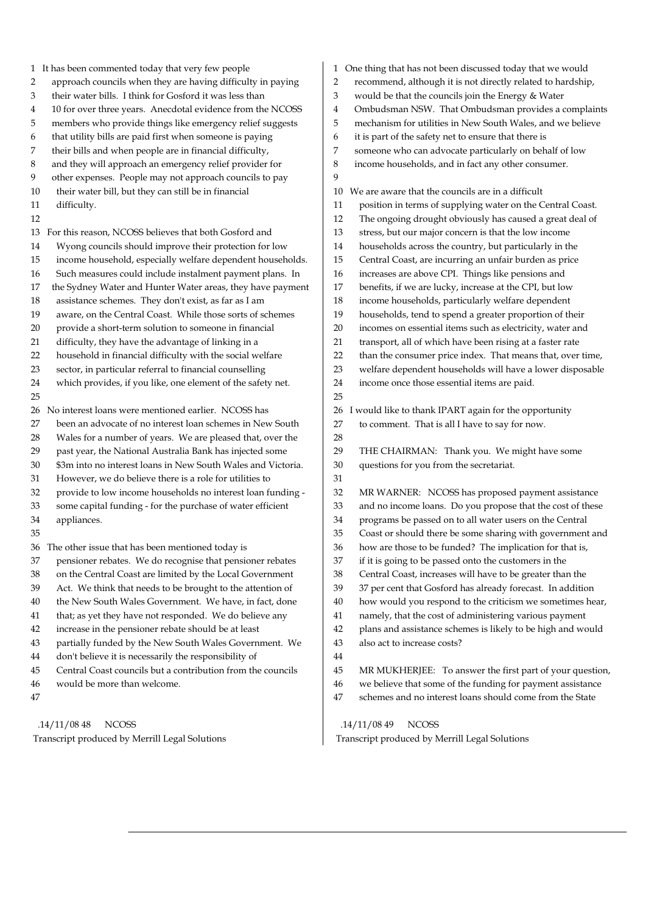| $\mathbf{1}$   | It has been commented today that very few people             |    | 1 One thing tha |
|----------------|--------------------------------------------------------------|----|-----------------|
| 2              | approach councils when they are having difficulty in paying  | 2  | recommen        |
| 3              | their water bills. I think for Gosford it was less than      | 3  | would be t      |
| $\overline{4}$ | 10 for over three years. Anecdotal evidence from the NCOSS   | 4  | Ombudsm         |
| 5              | members who provide things like emergency relief suggests    | 5  | mechanism       |
| 6              | that utility bills are paid first when someone is paying     | 6  | it is part of   |
| 7              | their bills and when people are in financial difficulty,     | 7  | someone w       |
| 8              | and they will approach an emergency relief provider for      | 8  | income hor      |
| 9              | other expenses. People may not approach councils to pay      | 9  |                 |
| 10             | their water bill, but they can still be in financial         | 10 | We are awai     |
| 11             | difficulty.                                                  | 11 | position is     |
| 12             |                                                              | 12 | The ongoi       |
| 13             | For this reason, NCOSS believes that both Gosford and        | 13 | stress, but     |
| 14             | Wyong councils should improve their protection for low       | 14 | householo       |
| 15             | income household, especially welfare dependent households.   | 15 | Central C       |
| 16             | Such measures could include instalment payment plans. In     | 16 | increases       |
| 17             | the Sydney Water and Hunter Water areas, they have payment   | 17 | benefits, i     |
| 18             | assistance schemes. They don't exist, as far as I am         | 18 | income ho       |
| 19             | aware, on the Central Coast. While those sorts of schemes    | 19 | household       |
| 20             | provide a short-term solution to someone in financial        | 20 | incomes c       |
| 21             | difficulty, they have the advantage of linking in a          | 21 | transport,      |
| 22             | household in financial difficulty with the social welfare    | 22 | than the c      |
| 23             | sector, in particular referral to financial counselling      | 23 | welfare de      |
| 24             | which provides, if you like, one element of the safety net.  | 24 | income or       |
| 25             |                                                              | 25 |                 |
| 26             | No interest loans were mentioned earlier. NCOSS has          | 26 | I would like    |
| 27             | been an advocate of no interest loan schemes in New South    | 27 | to comme        |
| 28             | Wales for a number of years. We are pleased that, over the   | 28 |                 |
| 29             | past year, the National Australia Bank has injected some     | 29 | THE CHA         |
| 30             | \$3m into no interest loans in New South Wales and Victoria. | 30 | questions       |
| 31             | However, we do believe there is a role for utilities to      | 31 |                 |
| 32             | provide to low income households no interest loan funding -  | 32 | <b>MR WAR</b>   |
| 33             | some capital funding - for the purchase of water efficient   | 33 | and no in       |
| 34             | appliances.                                                  | 34 | programs        |
| 35             |                                                              | 35 | Coast or s      |
|                | 36 The other issue that has been mentioned today is          | 36 | how are tl      |
| 37             | pensioner rebates. We do recognise that pensioner rebates    | 37 | if it is goin   |
| 38             | on the Central Coast are limited by the Local Government     | 38 | Central C       |
| 39             | Act. We think that needs to be brought to the attention of   | 39 | 37 per cer      |
| 40             | the New South Wales Government. We have, in fact, done       | 40 | how wou         |
| 41             | that; as yet they have not responded. We do believe any      | 41 | namely, tl      |
| 42             | increase in the pensioner rebate should be at least          | 42 | plans and       |
| 43             | partially funded by the New South Wales Government. We       | 43 | also act to     |
| 44             | don't believe it is necessarily the responsibility of        | 44 |                 |
| 45             | Central Coast councils but a contribution from the councils  | 45 | <b>MR MUK</b>   |
| 46             | would be more than welcome.                                  | 46 | we believ       |
| 47             |                                                              | 47 | schemes a       |
|                |                                                              |    |                 |

 .14/11/08 48 NCOSS Transcript produced by Merrill Legal Solutions

- at has not been discussed today that we would
- d, although it is not directly related to hardship,
- that the councils join the Energy & Water
- an NSW. That Ombudsman provides a complaints
- m for utilities in New South Wales, and we believe
- the safety net to ensure that there is
- vho can advocate particularly on behalf of low
- useholds, and in fact any other consumer.

re that the councils are in a difficult

- in terms of supplying water on the Central Coast.
- ing drought obviously has caused a great deal of
- It our major concern is that the low income
- ds across the country, but particularly in the
- Coast, are incurring an unfair burden as price
- are above CPI. Things like pensions and
- if we are lucky, increase at the CPI, but low
- ouseholds, particularly welfare dependent
- ds, tend to spend a greater proportion of their
- on essential items such as electricity, water and
- all of which have been rising at a faster rate
- consumer price index. That means that, over time,
- ependent households will have a lower disposable
	- nce those essential items are paid.

to thank IPART again for the opportunity

- ent. That is all I have to say for now.
- AIRMAN: Thank you. We might have some
- for you from the secretariat.
	- RNER: NCOSS has proposed payment assistance
- acome loans. Do you propose that the cost of these
- be passed on to all water users on the Central
- should there be some sharing with government and
- those to be funded? The implication for that is, ng to be passed onto the customers in the
- Coast, increases will have to be greater than the
- nt that Gosford has already forecast. In addition
- dd you respond to the criticism we sometimes hear,
- hat the cost of administering various payment
- assistance schemes is likely to be high and would
- o increase costs?
- (HERJEE: To answer the first part of your question,
- e that some of the funding for payment assistance
- and no interest loans should come from the State

.14/11/08 49 NCOSS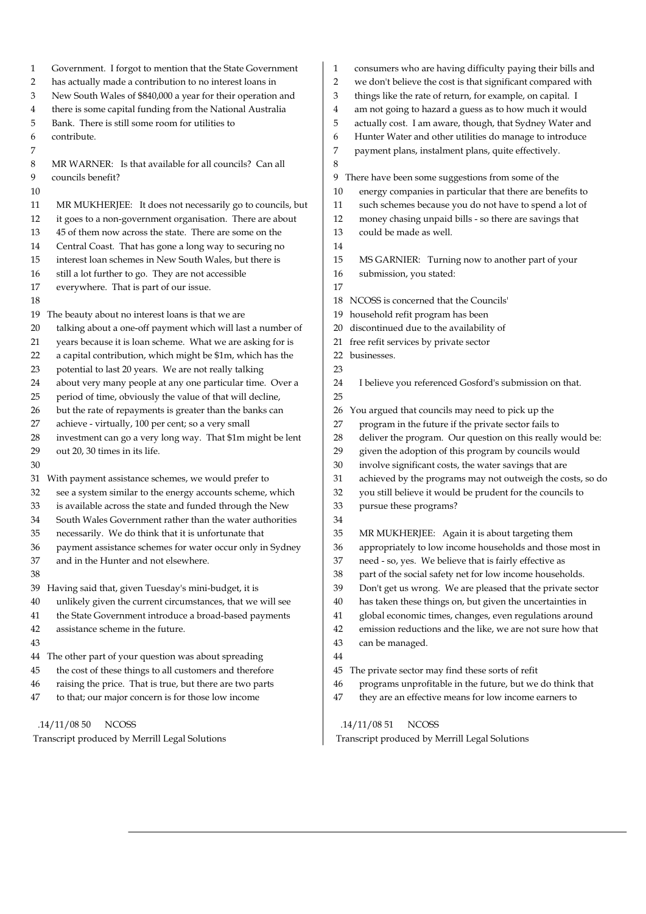1 Government. I forgot to mention that the State Government 2 has actually made a contribution to no interest loans in 3 New South Wales of \$840,000 a year for their operation and 4 there is some capital funding from the National Australia 5 Bank. There is still some room for utilities to 6 contribute. 7 8 MR WARNER: Is that available for all councils? Can all 9 councils benefit? 10 11 MR MUKHERJEE: It does not necessarily go to councils, but 12 it goes to a non-government organisation. There are about 13 45 of them now across the state. There are some on the 14 Central Coast. That has gone a long way to securing no 15 interest loan schemes in New South Wales, but there is 16 still a lot further to go. They are not accessible 17 everywhere. That is part of our issue. 18 19 The beauty about no interest loans is that we are 20 talking about a one-off payment which will last a number of 21 years because it is loan scheme. What we are asking for is 22 a capital contribution, which might be \$1m, which has the 23 potential to last 20 years. We are not really talking 24 about very many people at any one particular time. Over a 25 period of time, obviously the value of that will decline, 26 but the rate of repayments is greater than the banks can 27 achieve - virtually, 100 per cent; so a very small 28 investment can go a very long way. That \$1m might be lent 29 out 20, 30 times in its life. 30 31 With payment assistance schemes, we would prefer to 32 see a system similar to the energy accounts scheme, which 33 is available across the state and funded through the New 34 South Wales Government rather than the water authorities 35 necessarily. We do think that it is unfortunate that 36 payment assistance schemes for water occur only in Sydney 37 and in the Hunter and not elsewhere. 38 39 Having said that, given Tuesday's mini-budget, it is 40 unlikely given the current circumstances, that we will see 41 the State Government introduce a broad-based payments 42 assistance scheme in the future. 43 44 The other part of your question was about spreading 45 the cost of these things to all customers and therefore 46 raising the price. That is true, but there are two parts 47 to that; our major concern is for those low income 8 14 17 23 25 34 44

.14/11/08 50 NCOSS

Transcript produced by Merrill Legal Solutions

- 1 consumers who are having difficulty paying their bills and
- 2 we don't believe the cost is that significant compared with
- 3 things like the rate of return, for example, on capital. I
- 4 am not going to hazard a guess as to how much it would
- 5 actually cost. I am aware, though, that Sydney Water and
- 6 Hunter Water and other utilities do manage to introduce
- 7 payment plans, instalment plans, quite effectively.

9 There have been some suggestions from some of the

- 10 energy companies in particular that there are benefits to
- 11 such schemes because you do not have to spend a lot of
- 12 money chasing unpaid bills so there are savings that
- 13 could be made as well.
- 15 MS GARNIER: Turning now to another part of your
- 16 submission, you stated:
- 18 NCOSS is concerned that the Councils'
- 19 household refit program has been
- 20 discontinued due to the availability of
- 21 free refit services by private sector
- 22 businesses.

24 I believe you referenced Gosford's submission on that.

- 26 You argued that councils may need to pick up the
- 27 program in the future if the private sector fails to
- 28 deliver the program. Our question on this really would be:
- 29 given the adoption of this program by councils would
- 30 involve significant costs, the water savings that are
- 31 achieved by the programs may not outweigh the costs, so do
- 32 you still believe it would be prudent for the councils to
- 33 pursue these programs?
- 35 MR MUKHERJEE: Again it is about targeting them
- 36 appropriately to low income households and those most in
- 37 need so, yes. We believe that is fairly effective as
- 38 part of the social safety net for low income households.
- 39 Don't get us wrong. We are pleased that the private sector
- 40 has taken these things on, but given the uncertainties in
- 41 global economic times, changes, even regulations around
- 42 emission reductions and the like, we are not sure how that
- 43 can be managed.
- 45 The private sector may find these sorts of refit
- 46 programs unprofitable in the future, but we do think that
- 47 they are an effective means for low income earners to

.14/11/08 51 NCOSS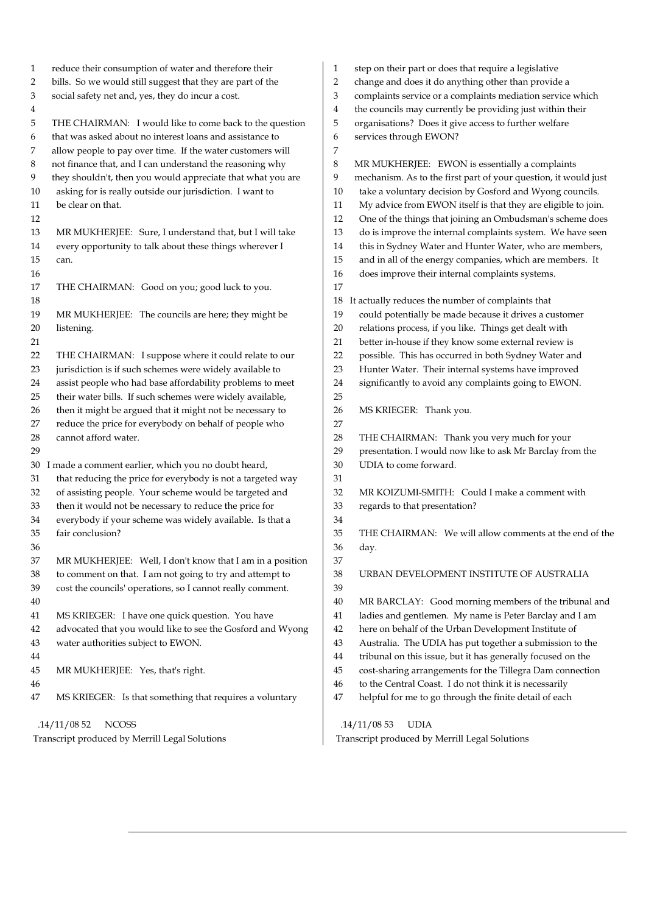| 1        | reduce their consumption of water and therefore their                                                                  | 1        | step on their part or does that require a legislative                                                      |
|----------|------------------------------------------------------------------------------------------------------------------------|----------|------------------------------------------------------------------------------------------------------------|
| 2        | bills. So we would still suggest that they are part of the                                                             | 2        | change and does it do anything other than provide a                                                        |
| 3        | social safety net and, yes, they do incur a cost.                                                                      | 3        | complaints service or a complaints mediation service which                                                 |
| 4        |                                                                                                                        | 4        | the councils may currently be providing just within their                                                  |
| 5        | THE CHAIRMAN: I would like to come back to the question                                                                | 5        | organisations? Does it give access to further welfare                                                      |
| 6        | that was asked about no interest loans and assistance to                                                               | 6        | services through EWON?                                                                                     |
| 7        | allow people to pay over time. If the water customers will                                                             | 7        |                                                                                                            |
| 8        | not finance that, and I can understand the reasoning why                                                               | 8        | MR MUKHERJEE: EWON is essentially a complaints                                                             |
| 9        | they shouldn't, then you would appreciate that what you are                                                            | 9        | mechanism. As to the first part of your question, it would just                                            |
| 10       | asking for is really outside our jurisdiction. I want to                                                               | 10       | take a voluntary decision by Gosford and Wyong councils.                                                   |
| 11       | be clear on that.                                                                                                      | 11       | My advice from EWON itself is that they are eligible to join.                                              |
| 12       |                                                                                                                        | 12       | One of the things that joining an Ombudsman's scheme does                                                  |
| 13       | MR MUKHERJEE: Sure, I understand that, but I will take                                                                 | 13       | do is improve the internal complaints system. We have seen                                                 |
| 14       | every opportunity to talk about these things wherever I                                                                | 14       | this in Sydney Water and Hunter Water, who are members,                                                    |
| 15       | can.                                                                                                                   | 15       | and in all of the energy companies, which are members. It                                                  |
| 16       |                                                                                                                        | 16       | does improve their internal complaints systems.                                                            |
| 17       | THE CHAIRMAN: Good on you; good luck to you.                                                                           | 17       |                                                                                                            |
| 18       |                                                                                                                        | 18       | It actually reduces the number of complaints that                                                          |
| 19       | MR MUKHERJEE: The councils are here; they might be                                                                     | 19       | could potentially be made because it drives a customer                                                     |
| 20       | listening.                                                                                                             | 20       | relations process, if you like. Things get dealt with                                                      |
| 21       |                                                                                                                        | 21       | better in-house if they know some external review is                                                       |
| 22       | THE CHAIRMAN: I suppose where it could relate to our<br>jurisdiction is if such schemes were widely available to       | 22       | possible. This has occurred in both Sydney Water and<br>Hunter Water. Their internal systems have improved |
| 23       |                                                                                                                        | 23       |                                                                                                            |
| 24       | assist people who had base affordability problems to meet<br>their water bills. If such schemes were widely available, | 24<br>25 | significantly to avoid any complaints going to EWON.                                                       |
| 25<br>26 | then it might be argued that it might not be necessary to                                                              | 26       | MS KRIEGER: Thank you.                                                                                     |
| 27       | reduce the price for everybody on behalf of people who                                                                 | 27       |                                                                                                            |
| 28       | cannot afford water.                                                                                                   | 28       | THE CHAIRMAN: Thank you very much for your                                                                 |
| 29       |                                                                                                                        | 29       | presentation. I would now like to ask Mr Barclay from the                                                  |
| 30       | I made a comment earlier, which you no doubt heard,                                                                    | 30       | UDIA to come forward.                                                                                      |
| 31       | that reducing the price for everybody is not a targeted way                                                            | 31       |                                                                                                            |
| 32       | of assisting people. Your scheme would be targeted and                                                                 | 32       | MR KOIZUMI-SMITH: Could I make a comment with                                                              |
| 33       | then it would not be necessary to reduce the price for                                                                 | 33       | regards to that presentation?                                                                              |
| 34       | everybody if your scheme was widely available. Is that a                                                               | 34       |                                                                                                            |
| 35       | fair conclusion?                                                                                                       | 35       | THE CHAIRMAN: We will allow comments at the end of the                                                     |
| 36       |                                                                                                                        | 36       | day.                                                                                                       |
| 37       | MR MUKHERJEE: Well, I don't know that I am in a position                                                               | 37       |                                                                                                            |
| 38       | to comment on that. I am not going to try and attempt to                                                               | 38       | URBAN DEVELOPMENT INSTITUTE OF AUSTRALIA                                                                   |
| 39       | cost the councils' operations, so I cannot really comment.                                                             | 39       |                                                                                                            |
| 40       |                                                                                                                        | 40       | MR BARCLAY: Good morning members of the tribunal and                                                       |
| 41       | MS KRIEGER: I have one quick question. You have                                                                        | 41       | ladies and gentlemen. My name is Peter Barclay and I am                                                    |
| 42       | advocated that you would like to see the Gosford and Wyong                                                             | 42       | here on behalf of the Urban Development Institute of                                                       |
| 43       | water authorities subject to EWON.                                                                                     | 43       | Australia. The UDIA has put together a submission to the                                                   |
| 44       |                                                                                                                        | 44       | tribunal on this issue, but it has generally focused on the                                                |
| 45       | MR MUKHERJEE: Yes, that's right.                                                                                       | 45       | cost-sharing arrangements for the Tillegra Dam connection                                                  |
| 46       |                                                                                                                        | 46       | to the Central Coast. I do not think it is necessarily                                                     |
| 47       | MS KRIEGER: Is that something that requires a voluntary                                                                | 47       | helpful for me to go through the finite detail of each                                                     |
|          | .14/11/0852<br><b>NCOSS</b>                                                                                            |          | .14/11/0853<br><b>UDIA</b>                                                                                 |
|          | Transcript produced by Merrill Legal Solutions                                                                         |          | Transcript produced by Merrill Legal Solutions                                                             |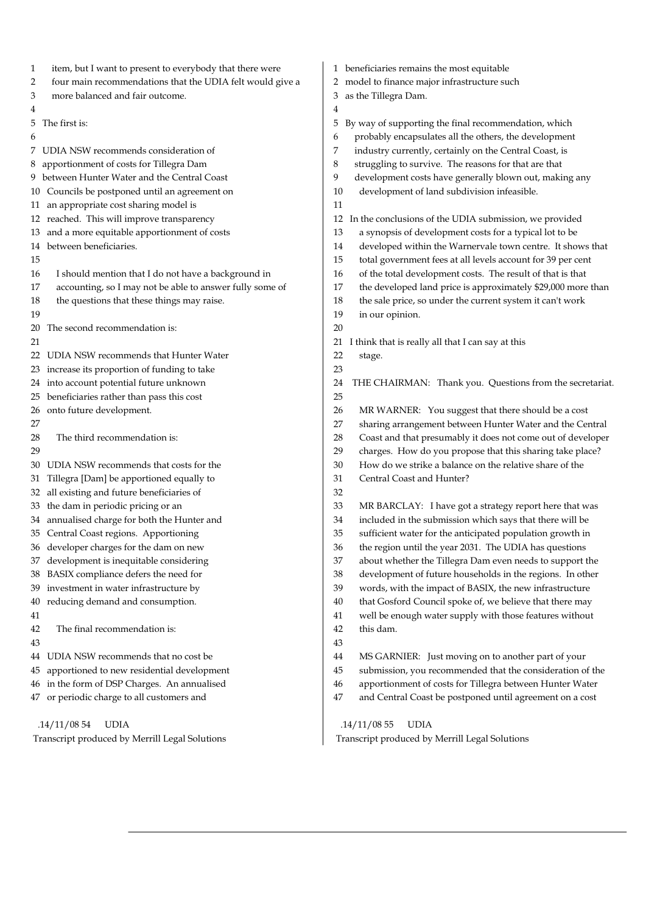| item, but I want to present to everybody that there were<br>1<br>four main recommendations that the UDIA felt would give a<br>2 | beneficiaries remains the most equitable<br>1<br>model to finance major infrastructure such<br>2 |  |  |
|---------------------------------------------------------------------------------------------------------------------------------|--------------------------------------------------------------------------------------------------|--|--|
|                                                                                                                                 |                                                                                                  |  |  |
| more balanced and fair outcome.<br>3                                                                                            | as the Tillegra Dam.<br>3                                                                        |  |  |
| 4                                                                                                                               | 4                                                                                                |  |  |
| The first is:<br>5                                                                                                              | By way of supporting the final recommendation, which<br>5                                        |  |  |
| 6                                                                                                                               | probably encapsulates all the others, the development<br>6                                       |  |  |
| 7 UDIA NSW recommends consideration of                                                                                          | industry currently, certainly on the Central Coast, is<br>7                                      |  |  |
| apportionment of costs for Tillegra Dam<br>8                                                                                    | struggling to survive. The reasons for that are that<br>8                                        |  |  |
| 9 between Hunter Water and the Central Coast                                                                                    | development costs have generally blown out, making any<br>9                                      |  |  |
| 10 Councils be postponed until an agreement on                                                                                  | development of land subdivision infeasible.<br>10                                                |  |  |
| an appropriate cost sharing model is<br>$11 -$                                                                                  | 11                                                                                               |  |  |
| 12 reached. This will improve transparency                                                                                      | In the conclusions of the UDIA submission, we provided<br>12                                     |  |  |
| and a more equitable apportionment of costs<br>13                                                                               | a synopsis of development costs for a typical lot to be<br>13                                    |  |  |
| 14 between beneficiaries.                                                                                                       | developed within the Warnervale town centre. It shows that<br>14                                 |  |  |
| 15                                                                                                                              | 15<br>total government fees at all levels account for 39 per cent                                |  |  |
| I should mention that I do not have a background in<br>16                                                                       | of the total development costs. The result of that is that<br>16                                 |  |  |
| accounting, so I may not be able to answer fully some of<br>17                                                                  | the developed land price is approximately \$29,000 more than<br>17                               |  |  |
| the questions that these things may raise.<br>18                                                                                | the sale price, so under the current system it can't work<br>18                                  |  |  |
| 19                                                                                                                              | 19<br>in our opinion.                                                                            |  |  |
| The second recommendation is:<br>20                                                                                             | 20                                                                                               |  |  |
| 21                                                                                                                              | I think that is really all that I can say at this<br>21                                          |  |  |
| UDIA NSW recommends that Hunter Water<br>22                                                                                     | 22<br>stage.                                                                                     |  |  |
| increase its proportion of funding to take<br>23                                                                                | 23                                                                                               |  |  |
| 24 into account potential future unknown                                                                                        | 24<br>THE CHAIRMAN: Thank you. Questions from the secretariat.                                   |  |  |
| beneficiaries rather than pass this cost<br>25                                                                                  | 25                                                                                               |  |  |
| onto future development.<br>26                                                                                                  | 26<br>MR WARNER: You suggest that there should be a cost                                         |  |  |
| 27                                                                                                                              | sharing arrangement between Hunter Water and the Central<br>27                                   |  |  |
| The third recommendation is:<br>28                                                                                              | Coast and that presumably it does not come out of developer<br>28                                |  |  |
| 29                                                                                                                              | charges. How do you propose that this sharing take place?<br>29                                  |  |  |
| UDIA NSW recommends that costs for the<br>30                                                                                    | How do we strike a balance on the relative share of the<br>30                                    |  |  |
| Tillegra [Dam] be apportioned equally to<br>31                                                                                  | 31<br>Central Coast and Hunter?                                                                  |  |  |
| all existing and future beneficiaries of<br>32                                                                                  | 32                                                                                               |  |  |
| the dam in periodic pricing or an<br>33                                                                                         | 33<br>MR BARCLAY: I have got a strategy report here that was                                     |  |  |
| 34 annualised charge for both the Hunter and                                                                                    | included in the submission which says that there will be<br>34                                   |  |  |
| 35 Central Coast regions. Apportioning                                                                                          | 35<br>sufficient water for the anticipated population growth in                                  |  |  |
| developer charges for the dam on new<br>36                                                                                      | the region until the year 2031. The UDIA has questions<br>36                                     |  |  |
| development is inequitable considering<br>37                                                                                    | about whether the Tillegra Dam even needs to support the<br>37                                   |  |  |
| BASIX compliance defers the need for<br>38                                                                                      | development of future households in the regions. In other<br>38                                  |  |  |
| investment in water infrastructure by<br>39                                                                                     | words, with the impact of BASIX, the new infrastructure<br>39                                    |  |  |
| reducing demand and consumption.<br>40                                                                                          | that Gosford Council spoke of, we believe that there may<br>40                                   |  |  |
| 41                                                                                                                              | well be enough water supply with those features without<br>41                                    |  |  |
| The final recommendation is:<br>42                                                                                              | this dam.<br>42                                                                                  |  |  |
| 43                                                                                                                              | 43                                                                                               |  |  |
| UDIA NSW recommends that no cost be<br>44                                                                                       | MS GARNIER: Just moving on to another part of your<br>44                                         |  |  |
| apportioned to new residential development<br>45                                                                                | submission, you recommended that the consideration of the<br>45                                  |  |  |
| in the form of DSP Charges. An annualised<br>46                                                                                 | apportionment of costs for Tillegra between Hunter Water<br>46                                   |  |  |
| or periodic charge to all customers and<br>47                                                                                   | and Central Coast be postponed until agreement on a cost<br>47                                   |  |  |
|                                                                                                                                 |                                                                                                  |  |  |
| .14/11/0854<br><b>UDIA</b>                                                                                                      | .14/11/0855<br><b>UDIA</b>                                                                       |  |  |
| Transcript produced by Merrill Legal Solutions                                                                                  | Transcript produced by Merrill Legal Solutions                                                   |  |  |
|                                                                                                                                 |                                                                                                  |  |  |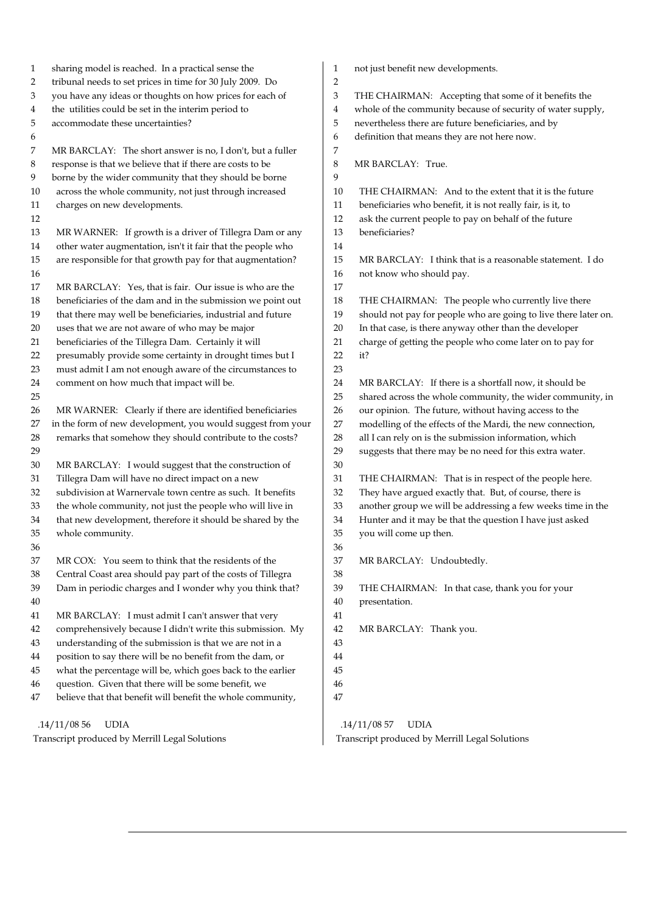| 1  | sharing model is reached. In a practical sense the          | 1              | not just benefit new developments.                              |
|----|-------------------------------------------------------------|----------------|-----------------------------------------------------------------|
| 2  | tribunal needs to set prices in time for 30 July 2009. Do   | $\overline{2}$ |                                                                 |
| 3  | you have any ideas or thoughts on how prices for each of    | 3              | THE CHAIRMAN: Accepting that some of it benefits the            |
| 4  | the utilities could be set in the interim period to         | 4              | whole of the community because of security of water supply,     |
| 5  | accommodate these uncertainties?                            | 5              | nevertheless there are future beneficiaries, and by             |
| 6  |                                                             | 6              | definition that means they are not here now.                    |
| 7  | MR BARCLAY: The short answer is no, I don't, but a fuller   | 7              |                                                                 |
| 8  | response is that we believe that if there are costs to be   | 8              | MR BARCLAY: True.                                               |
| 9  | borne by the wider community that they should be borne      | 9              |                                                                 |
| 10 | across the whole community, not just through increased      | 10             | THE CHAIRMAN: And to the extent that it is the future           |
| 11 | charges on new developments.                                | 11             | beneficiaries who benefit, it is not really fair, is it, to     |
| 12 |                                                             | 12             | ask the current people to pay on behalf of the future           |
| 13 | MR WARNER: If growth is a driver of Tillegra Dam or any     | 13             | beneficiaries?                                                  |
| 14 | other water augmentation, isn't it fair that the people who | 14             |                                                                 |
| 15 | are responsible for that growth pay for that augmentation?  | 15             | MR BARCLAY: I think that is a reasonable statement. I do        |
| 16 |                                                             | 16             | not know who should pay.                                        |
| 17 | MR BARCLAY: Yes, that is fair. Our issue is who are the     | 17             |                                                                 |
| 18 | beneficiaries of the dam and in the submission we point out | 18             | THE CHAIRMAN: The people who currently live there               |
| 19 | that there may well be beneficiaries, industrial and future | 19             | should not pay for people who are going to live there later on. |
| 20 | uses that we are not aware of who may be major              | 20             | In that case, is there anyway other than the developer          |
| 21 | beneficiaries of the Tillegra Dam. Certainly it will        | 21             | charge of getting the people who come later on to pay for       |
| 22 | presumably provide some certainty in drought times but I    | 22             | it?                                                             |
| 23 | must admit I am not enough aware of the circumstances to    | 23             |                                                                 |
| 24 | comment on how much that impact will be.                    | 24             | MR BARCLAY: If there is a shortfall now, it should be           |
| 25 |                                                             | 25             | shared across the whole community, the wider community, in      |
| 26 | MR WARNER: Clearly if there are identified beneficiaries    | 26             | our opinion. The future, without having access to the           |
| 27 | in the form of new development, you would suggest from your | 27             | modelling of the effects of the Mardi, the new connection,      |
| 28 | remarks that somehow they should contribute to the costs?   | 28             | all I can rely on is the submission information, which          |
| 29 |                                                             | 29             | suggests that there may be no need for this extra water.        |
| 30 | MR BARCLAY: I would suggest that the construction of        | 30             |                                                                 |
| 31 | Tillegra Dam will have no direct impact on a new            | 31             | THE CHAIRMAN: That is in respect of the people here.            |
| 32 | subdivision at Warnervale town centre as such. It benefits  | 32             | They have argued exactly that. But, of course, there is         |
| 33 | the whole community, not just the people who will live in   | 33             | another group we will be addressing a few weeks time in the     |
| 34 | that new development, therefore it should be shared by the  | 34             | Hunter and it may be that the question I have just asked        |
| 35 | whole community.                                            | 35             | you will come up then.                                          |
| 36 |                                                             | 36             |                                                                 |
| 37 | MR COX: You seem to think that the residents of the         | 37             | MR BARCLAY: Undoubtedly.                                        |
| 38 | Central Coast area should pay part of the costs of Tillegra | 38             |                                                                 |
| 39 | Dam in periodic charges and I wonder why you think that?    | 39             | THE CHAIRMAN: In that case, thank you for your                  |
| 40 |                                                             | 40             | presentation.                                                   |
| 41 | MR BARCLAY: I must admit I can't answer that very           | 41             |                                                                 |
| 42 | comprehensively because I didn't write this submission. My  | 42             | MR BARCLAY: Thank you.                                          |
| 43 | understanding of the submission is that we are not in a     | 43             |                                                                 |
| 44 | position to say there will be no benefit from the dam, or   | 44             |                                                                 |
| 45 | what the percentage will be, which goes back to the earlier | 45             |                                                                 |
| 46 | question. Given that there will be some benefit, we         | 46             |                                                                 |
| 47 | believe that that benefit will benefit the whole community, | 47             |                                                                 |
|    | <b>UDIA</b><br>.14/11/0856                                  |                | .14/11/0857<br><b>UDIA</b>                                      |
|    | Transcript produced by Merrill Legal Solutions              |                | Transcript produced by Merrill Legal Solutions                  |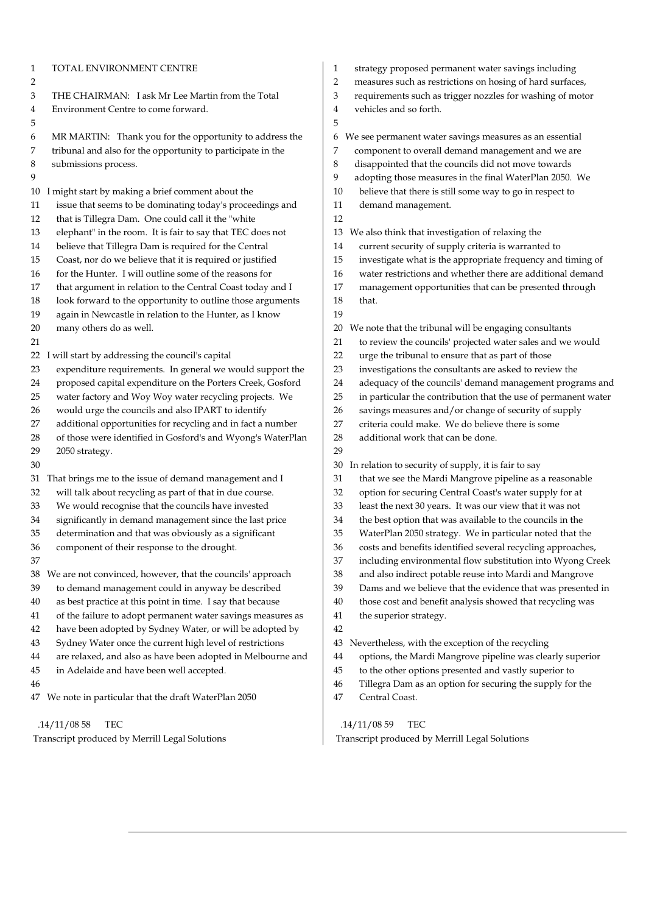| TOTAL ENVIRONMENT CENTRE<br>1<br>2                             | strategy proposed permanent water savings including<br>1<br>measures such as restrictions on hosing of hard surfaces<br>2 |
|----------------------------------------------------------------|---------------------------------------------------------------------------------------------------------------------------|
| THE CHAIRMAN: I ask Mr Lee Martin from the Total               | requirements such as trigger nozzles for washing of mo                                                                    |
| 3                                                              | 3                                                                                                                         |
| Environment Centre to come forward.                            | vehicles and so forth.                                                                                                    |
| 4                                                              | 4                                                                                                                         |
| 5                                                              | 5                                                                                                                         |
| MR MARTIN: Thank you for the opportunity to address the        | We see permanent water savings measures as an essential                                                                   |
| 6                                                              | 6                                                                                                                         |
| tribunal and also for the opportunity to participate in the    | component to overall demand management and we are                                                                         |
| 7                                                              | 7                                                                                                                         |
| 8                                                              | disappointed that the councils did not move towards                                                                       |
| submissions process.                                           | 8                                                                                                                         |
| 9                                                              | adopting those measures in the final WaterPlan 2050. V<br>9                                                               |
| I might start by making a brief comment about the              | believe that there is still some way to go in respect to                                                                  |
| 10                                                             | 10                                                                                                                        |
| issue that seems to be dominating today's proceedings and      | 11                                                                                                                        |
| 11                                                             | demand management.                                                                                                        |
| 12<br>that is Tillegra Dam. One could call it the "white       | 12                                                                                                                        |
| $13\,$                                                         | We also think that investigation of relaxing the                                                                          |
| elephant" in the room. It is fair to say that TEC does not     | 13                                                                                                                        |
| believe that Tillegra Dam is required for the Central          | current security of supply criteria is warranted to                                                                       |
| 14                                                             | 14                                                                                                                        |
| $15\,$                                                         | investigate what is the appropriate frequency and timi                                                                    |
| Coast, nor do we believe that it is required or justified      | 15                                                                                                                        |
| $16\,$                                                         | water restrictions and whether there are additional der                                                                   |
| for the Hunter. I will outline some of the reasons for         | 16                                                                                                                        |
| that argument in relation to the Central Coast today and I     | 17                                                                                                                        |
| 17                                                             | management opportunities that can be presented throu                                                                      |
| 18                                                             | 18                                                                                                                        |
| look forward to the opportunity to outline those arguments     | that.                                                                                                                     |
| 19<br>again in Newcastle in relation to the Hunter, as I know  | 19                                                                                                                        |
| $20\,$                                                         | We note that the tribunal will be engaging consultants                                                                    |
| many others do as well.                                        | 20                                                                                                                        |
| 21                                                             | to review the councils' projected water sales and we wo<br>21                                                             |
| 22                                                             | urge the tribunal to ensure that as part of those                                                                         |
| I will start by addressing the council's capital               | 22                                                                                                                        |
| 23                                                             | investigations the consultants are asked to review the                                                                    |
| expenditure requirements. In general we would support the      | 23                                                                                                                        |
| proposed capital expenditure on the Porters Creek, Gosford     | adequacy of the councils' demand management progra                                                                        |
| 24                                                             | 24                                                                                                                        |
| $25\,$                                                         | in particular the contribution that the use of permanen                                                                   |
| water factory and Woy Woy water recycling projects. We         | 25                                                                                                                        |
| would urge the councils and also IPART to identify             | savings measures and/or change of security of supply                                                                      |
| 26                                                             | 26                                                                                                                        |
| additional opportunities for recycling and in fact a number    | 27                                                                                                                        |
| 27                                                             | criteria could make. We do believe there is some                                                                          |
| of those were identified in Gosford's and Wyong's WaterPlan    | 28                                                                                                                        |
| 28                                                             | additional work that can be done.                                                                                         |
| 29<br>2050 strategy.                                           | 29                                                                                                                        |
| 30                                                             | In relation to security of supply, it is fair to say<br>30                                                                |
| That brings me to the issue of demand management and I         | that we see the Mardi Mangrove pipeline as a reasonal                                                                     |
| 31                                                             | 31                                                                                                                        |
| 32                                                             | option for securing Central Coast's water supply for at                                                                   |
| will talk about recycling as part of that in due course.       | 32                                                                                                                        |
| We would recognise that the councils have invested             | 33                                                                                                                        |
| 33                                                             | least the next 30 years. It was our view that it was not                                                                  |
| 34                                                             | the best option that was available to the councils in the                                                                 |
| significantly in demand management since the last price        | 34                                                                                                                        |
| 35                                                             | 35                                                                                                                        |
| determination and that was obviously as a significant          | WaterPlan 2050 strategy. We in particular noted that t                                                                    |
| 36                                                             | 36                                                                                                                        |
| component of their response to the drought.                    | costs and benefits identified several recycling approacl                                                                  |
| 37                                                             | 37<br>including environmental flow substitution into Wyong                                                                |
| We are not convinced, however, that the councils' approach     | 38                                                                                                                        |
| 38                                                             | and also indirect potable reuse into Mardi and Mangro                                                                     |
| to demand management could in anyway be described              | 39                                                                                                                        |
| 39                                                             | Dams and we believe that the evidence that was preser                                                                     |
| as best practice at this point in time. I say that because     | 40                                                                                                                        |
| 40                                                             | those cost and benefit analysis showed that recycling v                                                                   |
| 41                                                             | 41                                                                                                                        |
| of the failure to adopt permanent water savings measures as    | the superior strategy.                                                                                                    |
| have been adopted by Sydney Water, or will be adopted by<br>42 | 42                                                                                                                        |
| 43                                                             | Nevertheless, with the exception of the recycling                                                                         |
| Sydney Water once the current high level of restrictions       | 43                                                                                                                        |
| 44                                                             | 44                                                                                                                        |
| are relaxed, and also as have been adopted in Melbourne and    | options, the Mardi Mangrove pipeline was clearly supe                                                                     |
| 45                                                             | 45                                                                                                                        |
| in Adelaide and have been well accepted.                       | to the other options presented and vastly superior to                                                                     |
| 46                                                             | 46<br>Tillegra Dam as an option for securing the supply for t                                                             |
| 47                                                             | 47                                                                                                                        |
| We note in particular that the draft WaterPlan 2050            | Central Coast.                                                                                                            |
| .14/11/0858                                                    | .14/11/0859                                                                                                               |
| <b>TEC</b>                                                     | <b>TEC</b>                                                                                                                |

- d permanent water savings including
- s restrictions on hosing of hard surfaces,
- ch as trigger nozzles for washing of motor
- orth.

ï

erall demand management and we are at the councils did not move towards neasures in the final WaterPlan 2050. We re is still some way to go in respect to ement. investigation of relaxing the of supply criteria is warranted to It is the appropriate frequency and timing of ns and whether there are additional demand pportunities that can be presented through ribunal will be engaging consultants <sub>2</sub> buncils' projected water sales and we would al to ensure that as part of those he consultants are asked to review the councils' demand management programs and contribution that the use of permanent water es and/or change of security of supply ake. We do believe there is some that can be done. rity of supply, it is fair to say Mardi Mangrove pipeline as a reasonable ing Central Coast's water supply for at years. It was our view that it was not that was available to the councils in the strategy. We in particular noted that the its identified several recycling approaches, onmental flow substitution into Wyong Creek <sup>2</sup>t potable reuse into Mardi and Mangrove elieve that the evidence that was presented in benefit analysis showed that recycling was ategy. h the exception of the recycling rdi Mangrove pipeline was clearly superior ions presented and vastly superior to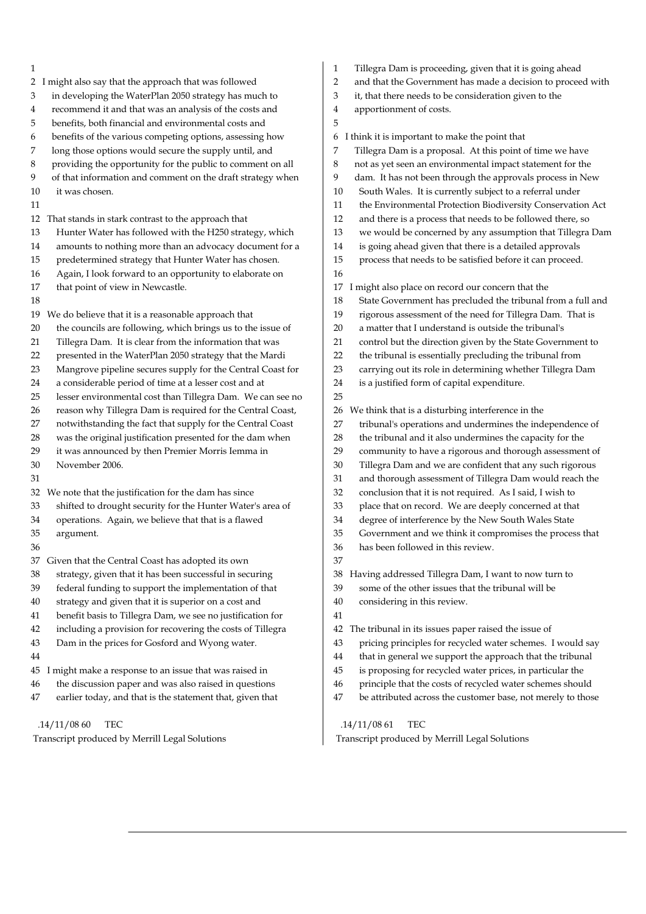| 1                                                                | Tillegra Dam is proceeding, given that it is going ahead<br>1                 |
|------------------------------------------------------------------|-------------------------------------------------------------------------------|
| 2 I might also say that the approach that was followed           | $\overline{c}$<br>and that the Government has made a decision to proceed with |
| in developing the WaterPlan 2050 strategy has much to            | 3                                                                             |
| 3                                                                | it, that there needs to be consideration given to the                         |
| recommend it and that was an analysis of the costs and           | 4                                                                             |
| 4                                                                | apportionment of costs.                                                       |
| benefits, both financial and environmental costs and<br>5        | 5                                                                             |
| benefits of the various competing options, assessing how         | think it is important to make the point that                                  |
| 6                                                                | 6                                                                             |
| long those options would secure the supply until, and            | Tillegra Dam is a proposal. At this point of time we have                     |
| 7                                                                | 7                                                                             |
| providing the opportunity for the public to comment on all       | not as yet seen an environmental impact statement for the                     |
| 8                                                                | 8                                                                             |
| 9                                                                | 9                                                                             |
| of that information and comment on the draft strategy when       | dam. It has not been through the approvals process in New                     |
| it was chosen.                                                   | South Wales. It is currently subject to a referral under                      |
| 10                                                               | 10                                                                            |
| 11                                                               | the Environmental Protection Biodiversity Conservation Act<br>11              |
| 12 That stands in stark contrast to the approach that            | 12<br>and there is a process that needs to be followed there, so              |
| Hunter Water has followed with the H250 strategy, which          | 13                                                                            |
| 13                                                               | we would be concerned by any assumption that Tillegra Dam                     |
| amounts to nothing more than an advocacy document for a          | is going ahead given that there is a detailed approvals                       |
| 14                                                               | 14                                                                            |
| predetermined strategy that Hunter Water has chosen.             | 15                                                                            |
| 15                                                               | process that needs to be satisfied before it can proceed.                     |
| Again, I look forward to an opportunity to elaborate on<br>16    | 16                                                                            |
| that point of view in Newcastle.                                 | I might also place on record our concern that the                             |
| 17                                                               | 17                                                                            |
| 18                                                               | State Government has precluded the tribunal from a full and<br>18             |
| We do believe that it is a reasonable approach that              | rigorous assessment of the need for Tillegra Dam. That is                     |
| 19                                                               | 19                                                                            |
| the councils are following, which brings us to the issue of      | 20                                                                            |
| 20                                                               | a matter that I understand is outside the tribunal's                          |
| Tillegra Dam. It is clear from the information that was          | control but the direction given by the State Government to                    |
| 21                                                               | 21                                                                            |
| presented in the WaterPlan 2050 strategy that the Mardi          | the tribunal is essentially precluding the tribunal from                      |
| 22                                                               | 22                                                                            |
| 23                                                               | 23                                                                            |
| Mangrove pipeline secures supply for the Central Coast for       | carrying out its role in determining whether Tillegra Dam                     |
| a considerable period of time at a lesser cost and at            | 24                                                                            |
| 24                                                               | is a justified form of capital expenditure.                                   |
| lesser environmental cost than Tillegra Dam. We can see no<br>25 | 25                                                                            |
| reason why Tillegra Dam is required for the Central Coast,       | We think that is a disturbing interference in the                             |
| 26                                                               | 26                                                                            |
| notwithstanding the fact that supply for the Central Coast       | tribunal's operations and undermines the independence of                      |
| 27                                                               | 27                                                                            |
| was the original justification presented for the dam when        | 28                                                                            |
| 28                                                               | the tribunal and it also undermines the capacity for the                      |
| it was announced by then Premier Morris Iemma in                 | community to have a rigorous and thorough assessment of                       |
| 29                                                               | 29                                                                            |
| November 2006.                                                   | 30                                                                            |
| 30                                                               | Tillegra Dam and we are confident that any such rigorous                      |
| 31                                                               | and thorough assessment of Tillegra Dam would reach the<br>31                 |
| 32 We note that the justification for the dam has since          | conclusion that it is not required. As I said, I wish to<br>32                |
| shifted to drought security for the Hunter Water's area of       | 33                                                                            |
| 33                                                               | place that on record. We are deeply concerned at that                         |
| operations. Again, we believe that that is a flawed              | degree of interference by the New South Wales State                           |
| 34                                                               | 34                                                                            |
| 35                                                               | 35                                                                            |
| argument.                                                        | Government and we think it compromises the process that                       |
| 36                                                               | has been followed in this review.<br>36                                       |
| 37 Given that the Central Coast has adopted its own              | 37                                                                            |
| strategy, given that it has been successful in securing          | Having addressed Tillegra Dam, I want to now turn to                          |
| 38                                                               | 38                                                                            |
| federal funding to support the implementation of that            | some of the other issues that the tribunal will be                            |
| 39                                                               | 39                                                                            |
| strategy and given that it is superior on a cost and             | 40                                                                            |
| 40                                                               | considering in this review.                                                   |
| benefit basis to Tillegra Dam, we see no justification for<br>41 | 41                                                                            |
| including a provision for recovering the costs of Tillegra       | The tribunal in its issues paper raised the issue of                          |
| 42                                                               | 42                                                                            |
| 43                                                               | pricing principles for recycled water schemes. I would say                    |
| Dam in the prices for Gosford and Wyong water.                   | 43                                                                            |
| 44                                                               | that in general we support the approach that the tribunal<br>44               |
| I might make a response to an issue that was raised in           | is proposing for recycled water prices, in particular the                     |
| 45                                                               | 45                                                                            |
| the discussion paper and was also raised in questions            | principle that the costs of recycled water schemes should                     |
| 46                                                               | 46                                                                            |
| earlier today, and that is the statement that, given that        | be attributed across the customer base, not merely to those                   |
| 47                                                               | 47                                                                            |
|                                                                  |                                                                               |

.14/11/08 60 TEC

Transcript produced by Merrill Legal Solutions

.14/11/08 61 TEC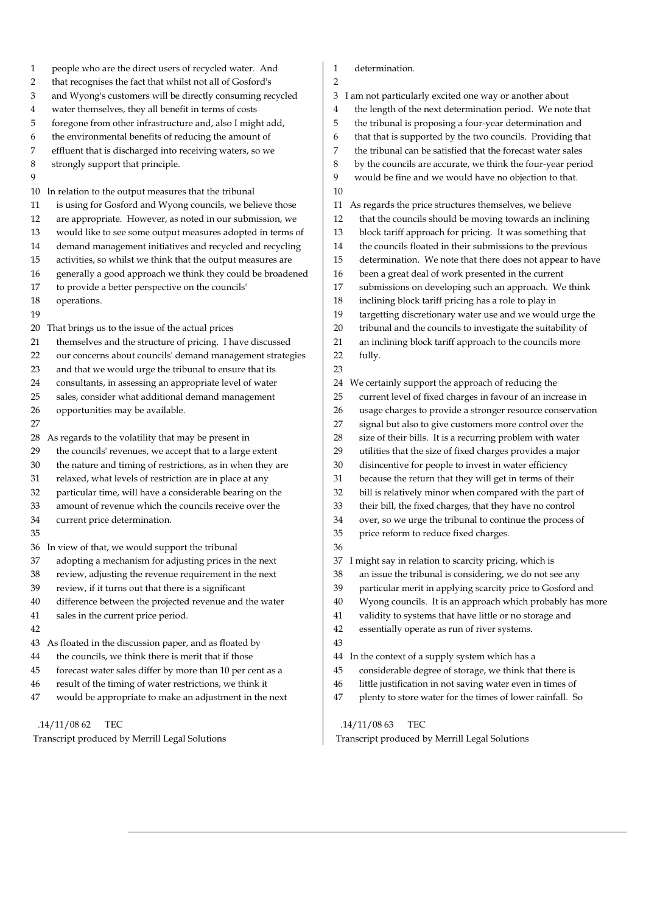1 people who are the direct users of recycled water. And 2 that recognises the fact that whilst not all of Gosford's 3 and Wyong's customers will be directly consuming recycled 4 water themselves, they all benefit in terms of costs 5 foregone from other infrastructure and, also I might add, 6 the environmental benefits of reducing the amount of 7 effluent that is discharged into receiving waters, so we 8 strongly support that principle.  $\overline{Q}$ 10 In relation to the output measures that the tribunal 11 is using for Gosford and Wyong councils, we believe those 12 are appropriate. However, as noted in our submission, we 13 would like to see some output measures adopted in terms of 14 demand management initiatives and recycled and recycling 15 activities, so whilst we think that the output measures are 16 generally a good approach we think they could be broadened 17 to provide a better perspective on the councils' 18 operations. 19 20 That brings us to the issue of the actual prices 21 themselves and the structure of pricing. I have discussed 22 our concerns about councils' demand management strategies 23 and that we would urge the tribunal to ensure that its 24 consultants, in assessing an appropriate level of water 25 sales, consider what additional demand management 26 opportunities may be available. 27 28 As regards to the volatility that may be present in 29 the councils' revenues, we accept that to a large extent 30 the nature and timing of restrictions, as in when they are 31 relaxed, what levels of restriction are in place at any 32 particular time, will have a considerable bearing on the 33 amount of revenue which the councils receive over the 34 current price determination. 35 36 In view of that, we would support the tribunal 37 adopting a mechanism for adjusting prices in the next 38 review, adjusting the revenue requirement in the next 39 review, if it turns out that there is a significant 40 difference between the projected revenue and the water 41 sales in the current price period. 42 43 As floated in the discussion paper, and as floated by 44 the councils, we think there is merit that if those 45 forecast water sales differ by more than 10 per cent as a 46 result of the timing of water restrictions, we think it 47 would be appropriate to make an adjustment in the next

#### .14/11/08 62 TEC

Transcript produced by Merrill Legal Solutions

- 1 determination.
- 2

3 I am not particularly excited one way or another about

- 4 the length of the next determination period. We note that
- 5 the tribunal is proposing a four-year determination and
- 6 that that is supported by the two councils. Providing that
- 7 the tribunal can be satisfied that the forecast water sales
- 8 by the councils are accurate, we think the four-year period
- 9 would be fine and we would have no objection to that. 10
- 11 As regards the price structures themselves, we believe
- 12 that the councils should be moving towards an inclining
- 13 block tariff approach for pricing. It was something that
- 14 the councils floated in their submissions to the previous
- 15 determination. We note that there does not appear to have
- 16 been a great deal of work presented in the current
- 17 submissions on developing such an approach. We think
- 18 inclining block tariff pricing has a role to play in
- 19 targetting discretionary water use and we would urge the
- 20 tribunal and the councils to investigate the suitability of
- 21 an inclining block tariff approach to the councils more 22 fully.
- 23
- 24 We certainly support the approach of reducing the
- 25 current level of fixed charges in favour of an increase in
- 26 usage charges to provide a stronger resource conservation
- 27 signal but also to give customers more control over the
- 28 size of their bills. It is a recurring problem with water
- 29 utilities that the size of fixed charges provides a major
- 30 disincentive for people to invest in water efficiency
- 31 because the return that they will get in terms of their
- 32 bill is relatively minor when compared with the part of
- 33 their bill, the fixed charges, that they have no control
- 34 over, so we urge the tribunal to continue the process of
- 35 price reform to reduce fixed charges.
- 36
- 37 I might say in relation to scarcity pricing, which is
- 38 an issue the tribunal is considering, we do not see any
- 39 particular merit in applying scarcity price to Gosford and
- 40 Wyong councils. It is an approach which probably has more
- 41 validity to systems that have little or no storage and
- 42 essentially operate as run of river systems.
- 43
- 44 In the context of a supply system which has a
- 45 considerable degree of storage, we think that there is
- 46 little justification in not saving water even in times of
- 47 plenty to store water for the times of lower rainfall. So

.14/11/08 63 TEC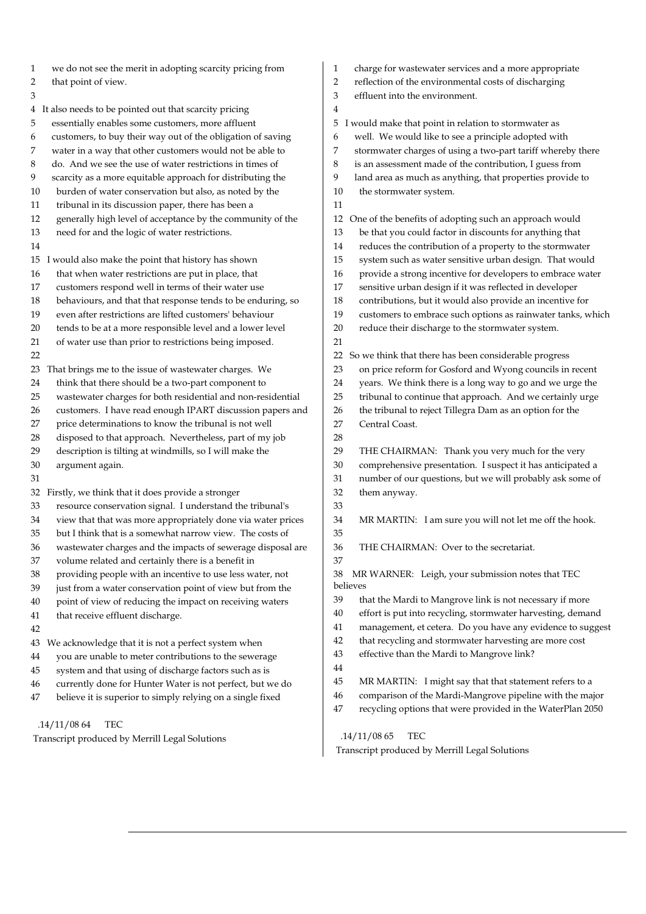| we do not see the merit in adopting scarcity pricing from       | charge for wastewater services and a more appropriate            |
|-----------------------------------------------------------------|------------------------------------------------------------------|
| 1                                                               | 1                                                                |
| $\overline{\mathbf{c}}$                                         | reflection of the environmental costs of discharging             |
| that point of view.                                             | 2                                                                |
| 3                                                               | effluent into the environment.<br>3                              |
| 4 It also needs to be pointed out that scarcity pricing         | 4                                                                |
| essentially enables some customers, more affluent               | 5                                                                |
| 5                                                               | I would make that point in relation to stormwater as             |
| customers, to buy their way out of the obligation of saving     | well. We would like to see a principle adopted with              |
| 6                                                               | 6                                                                |
| 7                                                               | 7                                                                |
| water in a way that other customers would not be able to        | stormwater charges of using a two-part tariff whereby there      |
| do. And we see the use of water restrictions in times of        | is an assessment made of the contribution, I guess from          |
| 8                                                               | 8                                                                |
| 9                                                               | land area as much as anything, that properties provide to        |
| scarcity as a more equitable approach for distributing the      | 9                                                                |
| burden of water conservation but also, as noted by the          | 10                                                               |
| 10                                                              | the stormwater system.                                           |
| tribunal in its discussion paper, there has been a<br>11        | 11                                                               |
| 12                                                              | One of the benefits of adopting such an approach would           |
| generally high level of acceptance by the community of the      | 12                                                               |
| need for and the logic of water restrictions.                   | be that you could factor in discounts for anything that          |
| 13                                                              | 13                                                               |
| 14                                                              | reduces the contribution of a property to the stormwater<br>14   |
| 15 I would also make the point that history has shown           | system such as water sensitive urban design. That would<br>15    |
| 16                                                              | provide a strong incentive for developers to embrace water       |
| that when water restrictions are put in place, that             | 16                                                               |
| 17                                                              | 17                                                               |
| customers respond well in terms of their water use              | sensitive urban design if it was reflected in developer          |
| 18                                                              | contributions, but it would also provide an incentive for        |
| behaviours, and that that response tends to be enduring, so     | 18                                                               |
| 19                                                              | customers to embrace such options as rainwater tanks, which      |
| even after restrictions are lifted customers' behaviour         | 19                                                               |
| tends to be at a more responsible level and a lower level       | 20                                                               |
| 20                                                              | reduce their discharge to the stormwater system.                 |
| of water use than prior to restrictions being imposed.<br>21    | 21                                                               |
| 22                                                              | So we think that there has been considerable progress<br>22      |
| That brings me to the issue of wastewater charges. We           | on price reform for Gosford and Wyong councils in recent         |
| 23                                                              | 23                                                               |
| think that there should be a two-part component to              | years. We think there is a long way to go and we urge the        |
| 24                                                              | 24                                                               |
| wastewater charges for both residential and non-residential     | tribunal to continue that approach. And we certainly urge        |
| 25                                                              | 25                                                               |
| customers. I have read enough IPART discussion papers and       | the tribunal to reject Tillegra Dam as an option for the         |
| 26                                                              | 26                                                               |
| price determinations to know the tribunal is not well           | 27                                                               |
| 27                                                              | Central Coast.                                                   |
| disposed to that approach. Nevertheless, part of my job<br>28   | 28                                                               |
| description is tilting at windmills, so I will make the         | 29                                                               |
| 29                                                              | THE CHAIRMAN: Thank you very much for the very                   |
| 30                                                              | comprehensive presentation. I suspect it has anticipated a       |
| argument again.                                                 | 30                                                               |
| 31                                                              | number of our questions, but we will probably ask some of<br>31  |
| 32 Firstly, we think that it does provide a stronger            | 32<br>them anyway.                                               |
| resource conservation signal. I understand the tribunal's<br>33 | 33                                                               |
| view that that was more appropriately done via water prices     | 34                                                               |
| 34                                                              | MR MARTIN: I am sure you will not let me off the hook.           |
| 35<br>but I think that is a somewhat narrow view. The costs of  | 35                                                               |
| 36                                                              | $36\,$                                                           |
| wastewater charges and the impacts of sewerage disposal are     | THE CHAIRMAN: Over to the secretariat.                           |
| volume related and certainly there is a benefit in<br>37        | 37                                                               |
| providing people with an incentive to use less water, not       | 38                                                               |
| 38                                                              | MR WARNER: Leigh, your submission notes that TEC                 |
| just from a water conservation point of view but from the<br>39 | believes                                                         |
| point of view of reducing the impact on receiving waters        | 39                                                               |
| 40                                                              | that the Mardi to Mangrove link is not necessary if more         |
| that receive effluent discharge.                                | 40                                                               |
| 41                                                              | effort is put into recycling, stormwater harvesting, demand      |
| 42                                                              | management, et cetera. Do you have any evidence to suggest<br>41 |
| We acknowledge that it is not a perfect system when             | that recycling and stormwater harvesting are more cost           |
| 43                                                              | 42                                                               |
| you are unable to meter contributions to the sewerage           | effective than the Mardi to Mangrove link?                       |
| 44                                                              | 43                                                               |
| system and that using of discharge factors such as is<br>45     | 44                                                               |
| currently done for Hunter Water is not perfect, but we do       | 45                                                               |
| 46                                                              | MR MARTIN: I might say that that statement refers to a           |
| believe it is superior to simply relying on a single fixed      | comparison of the Mardi-Mangrove pipeline with the major         |
| 47                                                              | 46                                                               |
|                                                                 | recycling options that were provided in the WaterPlan 2050<br>47 |

.14/11/08 65 TEC

.14/11/08 64 TEC

Transcript produced by Merrill Legal Solutions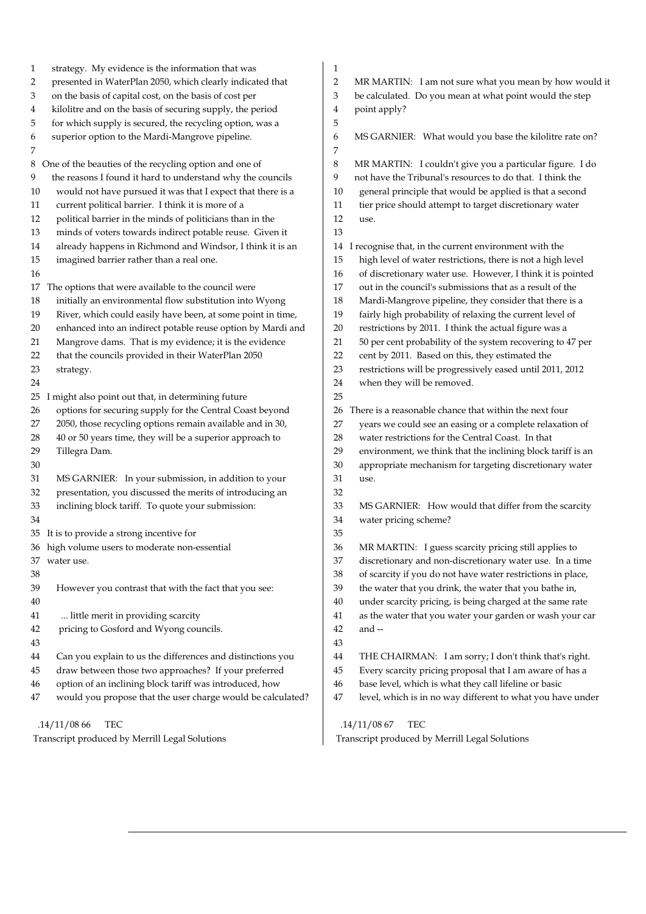| strategy. My evidence is the information that was<br>1         | 1                                                                 |
|----------------------------------------------------------------|-------------------------------------------------------------------|
| presented in WaterPlan 2050, which clearly indicated that      | $\overline{2}$                                                    |
| 2                                                              | MR MARTIN: I am not sure what you mean by how would it            |
| on the basis of capital cost, on the basis of cost per         | 3                                                                 |
| 3                                                              | be calculated. Do you mean at what point would the step           |
| kilolitre and on the basis of securing supply, the period      | point apply?                                                      |
| 4                                                              | 4                                                                 |
| for which supply is secured, the recycling option, was a<br>5  | 5                                                                 |
| superior option to the Mardi-Mangrove pipeline.                | MS GARNIER: What would you base the kilolitre rate on?            |
| 6                                                              | 6                                                                 |
| 7                                                              | 7                                                                 |
| 8 One of the beauties of the recycling option and one of       | 8<br>MR MARTIN: I couldn't give you a particular figure. I do     |
| the reasons I found it hard to understand why the councils     | not have the Tribunal's resources to do that. I think the         |
| 9                                                              | 9                                                                 |
| would not have pursued it was that I expect that there is a    | general principle that would be applied is that a second          |
| 10                                                             | 10                                                                |
| current political barrier. I think it is more of a             | tier price should attempt to target discretionary water           |
| 11                                                             | 11                                                                |
| 12                                                             | 12                                                                |
| political barrier in the minds of politicians than in the      | use.                                                              |
| minds of voters towards indirect potable reuse. Given it<br>13 | 13                                                                |
| already happens in Richmond and Windsor, I think it is an      | I recognise that, in the current environment with the             |
| 14                                                             | 14                                                                |
| 15                                                             | 15                                                                |
| imagined barrier rather than a real one.                       | high level of water restrictions, there is not a high level       |
| 16                                                             | of discretionary water use. However, I think it is pointed<br>16  |
| The options that were available to the council were            | out in the council's submissions that as a result of the          |
| 17                                                             | 17                                                                |
| 18                                                             | 18                                                                |
| initially an environmental flow substitution into Wyong        | Mardi-Mangrove pipeline, they consider that there is a            |
| River, which could easily have been, at some point in time,    | 19                                                                |
| 19                                                             | fairly high probability of relaxing the current level of          |
| enhanced into an indirect potable reuse option by Mardi and    | restrictions by 2011. I think the actual figure was a             |
| 20                                                             | 20                                                                |
| Mangrove dams. That is my evidence; it is the evidence         | 50 per cent probability of the system recovering to 47 per        |
| 21                                                             | 21                                                                |
| that the councils provided in their WaterPlan 2050             | cent by 2011. Based on this, they estimated the                   |
| 22                                                             | 22                                                                |
| 23                                                             | restrictions will be progressively eased until 2011, 2012         |
| strategy.                                                      | 23                                                                |
| 24                                                             | when they will be removed.<br>24                                  |
| 25 I<br>might also point out that, in determining future       | 25                                                                |
| options for securing supply for the Central Coast beyond       | There is a reasonable chance that within the next four            |
| 26                                                             | 26                                                                |
| 2050, those recycling options remain available and in 30,      | years we could see an easing or a complete relaxation of          |
| 27                                                             | 27                                                                |
| 40 or 50 years time, they will be a superior approach to       | 28                                                                |
| 28                                                             | water restrictions for the Central Coast. In that                 |
| Tillegra Dam.                                                  | 29                                                                |
| 29                                                             | environment, we think that the inclining block tariff is an       |
| 30                                                             | 30<br>appropriate mechanism for targeting discretionary water     |
| 31                                                             | 31                                                                |
| MS GARNIER: In your submission, in addition to your            | use.                                                              |
| presentation, you discussed the merits of introducing an<br>32 | 32                                                                |
| inclining block tariff. To quote your submission:              | 33                                                                |
| 33                                                             | MS GARNIER: How would that differ from the scarcity               |
| 34                                                             | 34<br>water pricing scheme?                                       |
| 35 It is to provide a strong incentive for                     | 35                                                                |
| 36 high volume users to moderate non-essential                 | MR MARTIN: I guess scarcity pricing still applies to<br>36        |
| 37 water use.                                                  | discretionary and non-discretionary water use. In a time<br>37    |
| 38                                                             | of scarcity if you do not have water restrictions in place,<br>38 |
| 39                                                             | the water that you drink, the water that you bathe in,            |
| However you contrast that with the fact that you see:          | 39                                                                |
| 40                                                             | under scarcity pricing, is being charged at the same rate<br>40   |
| little merit in providing scarcity                             | as the water that you water your garden or wash your car          |
| 41                                                             | 41                                                                |
| pricing to Gosford and Wyong councils.                         | 42                                                                |
| 42                                                             | and --                                                            |
| 43                                                             | 43                                                                |
| Can you explain to us the differences and distinctions you     | 44                                                                |
| 44                                                             | THE CHAIRMAN: I am sorry; I don't think that's right.             |
| draw between those two approaches? If your preferred           | Every scarcity pricing proposal that I am aware of has a          |
| 45                                                             | 45                                                                |
| option of an inclining block tariff was introduced, how        | base level, which is what they call lifeline or basic             |
| 46                                                             | 46                                                                |
| would you propose that the user charge would be calculated?    | level, which is in no way different to what you have under        |
| 47                                                             | 47                                                                |
| .14/11/0866                                                    | .14/11/0867                                                       |
| TEC                                                            | TEC                                                               |
| Transcript produced by Merrill Legal Solutions                 | Transcript produced by Merrill Legal Solutions                    |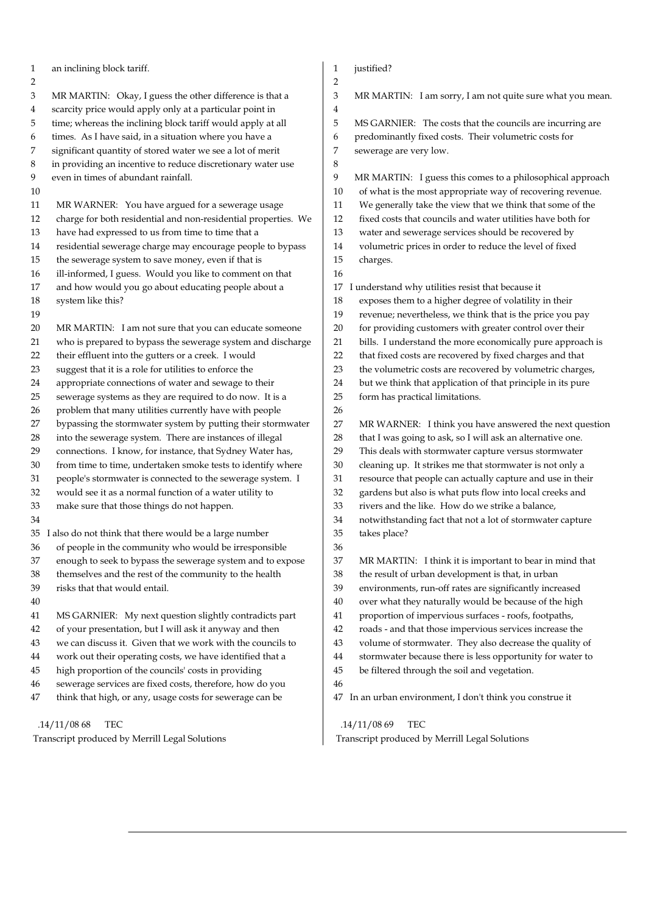1 an inclining block tariff. 2 3 MR MARTIN: Okay, I guess the other difference is that a 4 scarcity price would apply only at a particular point in 5 time; whereas the inclining block tariff would apply at all 6 times. As I have said, in a situation where you have a 7 significant quantity of stored water we see a lot of merit 8 in providing an incentive to reduce discretionary water use 9 even in times of abundant rainfall. 10 11 MR WARNER: You have argued for a sewerage usage 12 charge for both residential and non-residential properties. We 13 have had expressed to us from time to time that a 14 residential sewerage charge may encourage people to bypass 15 the sewerage system to save money, even if that is 16 ill-informed, I guess. Would you like to comment on that 17 and how would you go about educating people about a 18 system like this? 19 20 MR MARTIN: I am not sure that you can educate someone 21 who is prepared to bypass the sewerage system and discharge 22 their effluent into the gutters or a creek. I would 23 suggest that it is a role for utilities to enforce the 24 appropriate connections of water and sewage to their 25 sewerage systems as they are required to do now. It is a 26 problem that many utilities currently have with people 27 bypassing the stormwater system by putting their stormwater 28 into the sewerage system. There are instances of illegal 29 connections. I know, for instance, that Sydney Water has, 30 from time to time, undertaken smoke tests to identify where 31 people's stormwater is connected to the sewerage system. I 32 would see it as a normal function of a water utility to 33 make sure that those things do not happen. 34 35 I also do not think that there would be a large number 36 of people in the community who would be irresponsible 37 enough to seek to bypass the sewerage system and to expose 38 themselves and the rest of the community to the health 39 risks that that would entail. 40 41 MS GARNIER: My next question slightly contradicts part 42 of your presentation, but I will ask it anyway and then 43 we can discuss it. Given that we work with the councils to 44 work out their operating costs, we have identified that a 45 high proportion of the councils' costs in providing 46 sewerage services are fixed costs, therefore, how do you 47 think that high, or any, usage costs for sewerage can be .14/11/08 68 TEC 1 iustified? 2 3 MR MARTIN: I am sorry, I am not quite sure what you mean. 4 5 MS GARNIER: The costs that the councils are incurring are 6 predominantly fixed costs. Their volumetric costs for 7 sewerage are very low. 8 9 MR MARTIN: I guess this comes to a philosophical approach 10 of what is the most appropriate way of recovering revenue. 11 We generally take the view that we think that some of the 12 fixed costs that councils and water utilities have both for 13 water and sewerage services should be recovered by 14 volumetric prices in order to reduce the level of fixed 15 charges. 16 17 I understand why utilities resist that because it 18 exposes them to a higher degree of volatility in their 19 revenue; nevertheless, we think that is the price you pay 20 for providing customers with greater control over their 21 bills. I understand the more economically pure approach is 22 that fixed costs are recovered by fixed charges and that 23 the volumetric costs are recovered by volumetric charges, 24 but we think that application of that principle in its pure 25 form has practical limitations. 26 27 MR WARNER: I think you have answered the next question 28 that I was going to ask, so I will ask an alternative one. 29 This deals with stormwater capture versus stormwater 30 cleaning up. It strikes me that stormwater is not only a 31 resource that people can actually capture and use in their 32 gardens but also is what puts flow into local creeks and 33 rivers and the like. How do we strike a balance, 34 notwithstanding fact that not a lot of stormwater capture 35 takes place? 36 37 MR MARTIN: I think it is important to bear in mind that 38 the result of urban development is that, in urban 39 environments, run-off rates are significantly increased 40 over what they naturally would be because of the high 41 proportion of impervious surfaces - roofs, footpaths, 42 roads - and that those impervious services increase the 43 volume of stormwater. They also decrease the quality of 44 stormwater because there is less opportunity for water to 45 be filtered through the soil and vegetation. 46 47 In an urban environment, I don't think you construe it .14/11/08 69 TEC

Transcript produced by Merrill Legal Solutions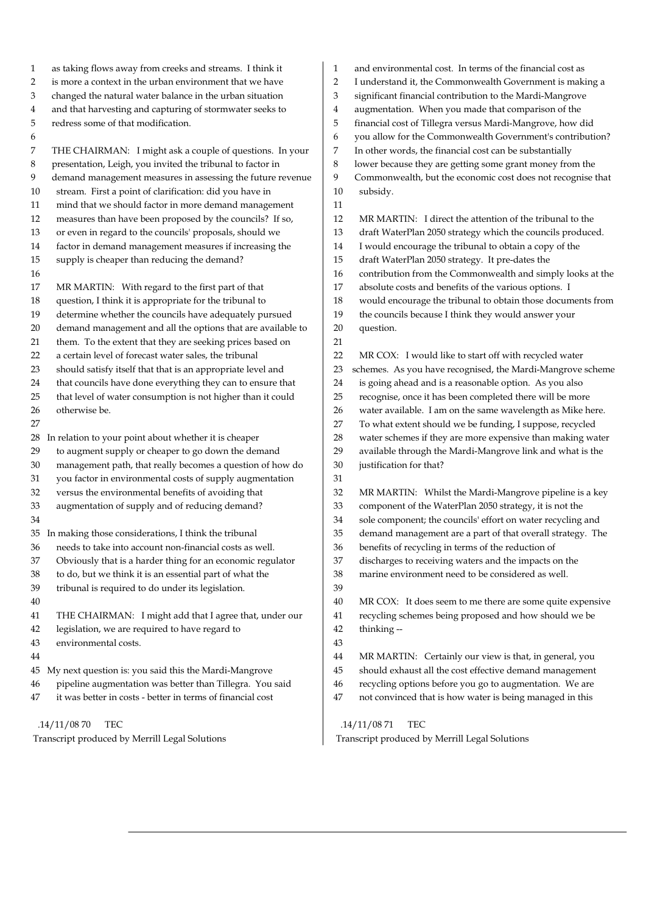1 as taking flows away from creeks and streams. I think it 2 is more a context in the urban environment that we have 3 changed the natural water balance in the urban situation 4 and that harvesting and capturing of stormwater seeks to 5 redress some of that modification. 6 7 THE CHAIRMAN: I might ask a couple of questions. In your 8 presentation, Leigh, you invited the tribunal to factor in 9 demand management measures in assessing the future revenue 10 stream. First a point of clarification: did you have in 11 mind that we should factor in more demand management 12 measures than have been proposed by the councils? If so, 13 or even in regard to the councils' proposals, should we 14 factor in demand management measures if increasing the 15 supply is cheaper than reducing the demand? 16 17 MR MARTIN: With regard to the first part of that 18 question, I think it is appropriate for the tribunal to 19 determine whether the councils have adequately pursued 20 demand management and all the options that are available to 21 them. To the extent that they are seeking prices based on 22 a certain level of forecast water sales, the tribunal 23 should satisfy itself that that is an appropriate level and 24 that councils have done everything they can to ensure that 25 that level of water consumption is not higher than it could 26 otherwise be. 27 28 In relation to your point about whether it is cheaper 29 to augment supply or cheaper to go down the demand 30 management path, that really becomes a question of how do 31 you factor in environmental costs of supply augmentation 32 versus the environmental benefits of avoiding that 33 augmentation of supply and of reducing demand? 34 35 In making those considerations, I think the tribunal 36 needs to take into account non-financial costs as well. 37 Obviously that is a harder thing for an economic regulator 38 to do, but we think it is an essential part of what the 39 tribunal is required to do under its legislation. 40 41 THE CHAIRMAN: I might add that I agree that, under our 42 legislation, we are required to have regard to 43 environmental costs. 44 45 My next question is: you said this the Mardi-Mangrove 46 pipeline augmentation was better than Tillegra. You said 47 it was better in costs - better in terms of financial cost .14/11/08 70 TEC 1 and environmental cost. In terms of the financial cost as 2 I understand it, the Commonwealth Government is making a 3 significant financial contribution to the Mardi-Mangrove 4 augmentation. When you made that comparison of the 5 financial cost of Tillegra versus Mardi-Mangrove, how did 6 you allow for the Commonwealth Government's contribution? 7 In other words, the financial cost can be substantially 8 lower because they are getting some grant money from the 9 Commonwealth, but the economic cost does not recognise that 10 subsidy. 11 12 MR MARTIN: I direct the attention of the tribunal to the 13 draft WaterPlan 2050 strategy which the councils produced. 14 I would encourage the tribunal to obtain a copy of the 15 draft WaterPlan 2050 strategy. It pre-dates the 16 contribution from the Commonwealth and simply looks at the 17 absolute costs and benefits of the various options. I 18 would encourage the tribunal to obtain those documents from 19 the councils because I think they would answer your 20 question. 21 22 MR COX: I would like to start off with recycled water 23 schemes. As you have recognised, the Mardi-Mangrove scheme 24 is going ahead and is a reasonable option. As you also 25 recognise, once it has been completed there will be more 26 water available. I am on the same wavelength as Mike here. 27 To what extent should we be funding, I suppose, recycled 28 water schemes if they are more expensive than making water 29 available through the Mardi-Mangrove link and what is the 30 justification for that? 31 32 MR MARTIN: Whilst the Mardi-Mangrove pipeline is a key 33 component of the WaterPlan 2050 strategy, it is not the 34 sole component; the councils' effort on water recycling and 35 demand management are a part of that overall strategy. The 36 benefits of recycling in terms of the reduction of 37 discharges to receiving waters and the impacts on the 38 marine environment need to be considered as well. 39 40 MR COX: It does seem to me there are some quite expensive 41 recycling schemes being proposed and how should we be 42 thinking -- 43 44 MR MARTIN: Certainly our view is that, in general, you 45 should exhaust all the cost effective demand management 46 recycling options before you go to augmentation. We are 47 not convinced that is how water is being managed in this .14/11/08 71 TEC

Transcript produced by Merrill Legal Solutions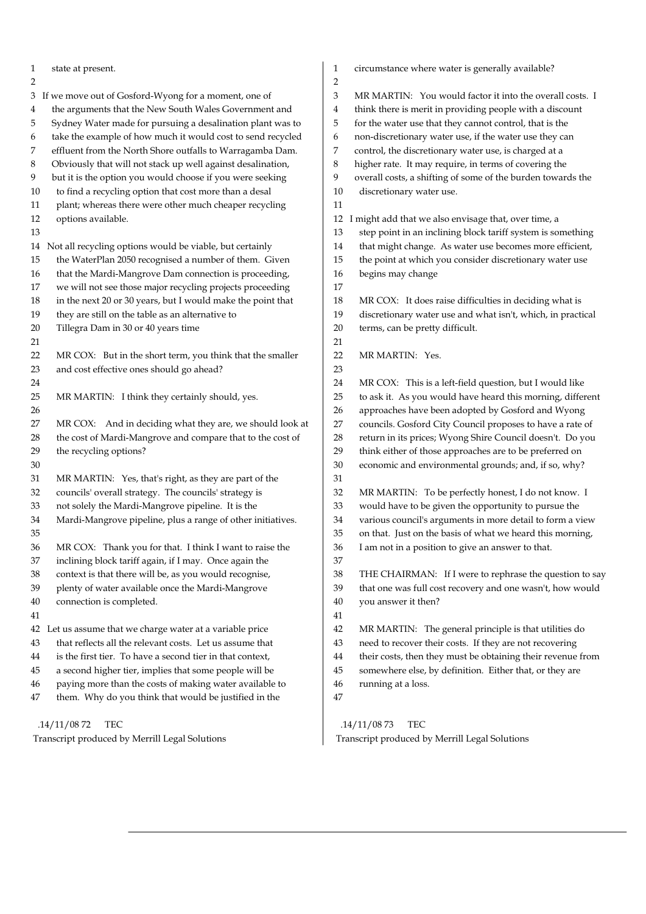| state at present.                                               | circumstance where water is generally available?                   |
|-----------------------------------------------------------------|--------------------------------------------------------------------|
| 1                                                               | 1                                                                  |
| 2<br>3 If we move out of Gosford-Wyong for a moment, one of     | 2<br>3<br>MR MARTIN: You would factor it into the overall costs. I |
| the arguments that the New South Wales Government and           | think there is merit in providing people with a discount           |
| 4                                                               | 4                                                                  |
| Sydney Water made for pursuing a desalination plant was to      | 5                                                                  |
| 5                                                               | for the water use that they cannot control, that is the            |
| take the example of how much it would cost to send recycled     | non-discretionary water use, if the water use they can             |
| 6                                                               | 6                                                                  |
| effluent from the North Shore outfalls to Warragamba Dam.       | control, the discretionary water use, is charged at a              |
| 7                                                               | 7                                                                  |
| 8                                                               | higher rate. It may require, in terms of covering the              |
| Obviously that will not stack up well against desalination,     | 8                                                                  |
| but it is the option you would choose if you were seeking       | 9                                                                  |
| 9                                                               | overall costs, a shifting of some of the burden towards the        |
| to find a recycling option that cost more than a desal          | 10                                                                 |
| 10                                                              | discretionary water use.                                           |
| plant; whereas there were other much cheaper recycling<br>11    | 11                                                                 |
| 12                                                              | 12                                                                 |
| options available.                                              | I might add that we also envisage that, over time, a               |
| 13                                                              | step point in an inclining block tariff system is something<br>13  |
| Not all recycling options would be viable, but certainly        | that might change. As water use becomes more efficient,            |
| 14                                                              | 14                                                                 |
| 15                                                              | 15                                                                 |
| the WaterPlan 2050 recognised a number of them. Given           | the point at which you consider discretionary water use            |
| that the Mardi-Mangrove Dam connection is proceeding,           | 16                                                                 |
| 16                                                              | begins may change                                                  |
| we will not see those major recycling projects proceeding<br>17 | 17                                                                 |
| in the next 20 or 30 years, but I would make the point that     | 18                                                                 |
| 18                                                              | MR COX: It does raise difficulties in deciding what is             |
| they are still on the table as an alternative to                | 19                                                                 |
| 19                                                              | discretionary water use and what isn't, which, in practical        |
| 20                                                              | 20                                                                 |
| Tillegra Dam in 30 or 40 years time                             | terms, can be pretty difficult.                                    |
| 21                                                              | 21                                                                 |
| MR COX: But in the short term, you think that the smaller       | 22                                                                 |
| 22                                                              | MR MARTIN: Yes.                                                    |
| and cost effective ones should go ahead?<br>23                  | 23                                                                 |
| 24                                                              | MR COX: This is a left-field question, but I would like<br>24      |
| $25\,$                                                          | 25                                                                 |
| MR MARTIN: I think they certainly should, yes.                  | to ask it. As you would have heard this morning, different         |
| 26                                                              | approaches have been adopted by Gosford and Wyong<br>26            |
| MR COX: And in deciding what they are, we should look at        | councils. Gosford City Council proposes to have a rate of          |
| 27                                                              | 27                                                                 |
| the cost of Mardi-Mangrove and compare that to the cost of      | return in its prices; Wyong Shire Council doesn't. Do you          |
| 28                                                              | 28                                                                 |
| 29                                                              | think either of those approaches are to be preferred on            |
| the recycling options?                                          | 29                                                                 |
| 30                                                              | 30<br>economic and environmental grounds; and, if so, why?         |
| 31<br>MR MARTIN: Yes, that's right, as they are part of the     | 31                                                                 |
| councils' overall strategy. The councils' strategy is           | 32                                                                 |
| 32                                                              | MR MARTIN: To be perfectly honest, I do not know. I                |
| not solely the Mardi-Mangrove pipeline. It is the               | 33                                                                 |
| 33                                                              | would have to be given the opportunity to pursue the               |
| Mardi-Mangrove pipeline, plus a range of other initiatives.     | various council's arguments in more detail to form a view          |
| 34                                                              | 34                                                                 |
| 35                                                              | on that. Just on the basis of what we heard this morning,<br>35    |
| $36\,$                                                          | 36                                                                 |
| MR COX: Thank you for that. I think I want to raise the         | I am not in a position to give an answer to that.                  |
| inclining block tariff again, if I may. Once again the<br>37    | 37                                                                 |
| context is that there will be, as you would recognise,          | 38                                                                 |
| 38                                                              | THE CHAIRMAN: If I were to rephrase the question to say            |
| 39                                                              | 39                                                                 |
| plenty of water available once the Mardi-Mangrove               | that one was full cost recovery and one wasn't, how would          |
| 40                                                              | 40                                                                 |
| connection is completed.                                        | you answer it then?                                                |
| 41                                                              | 41                                                                 |
| Let us assume that we charge water at a variable price          | 42                                                                 |
| 42                                                              | MR MARTIN: The general principle is that utilities do              |
| that reflects all the relevant costs. Let us assume that        | 43                                                                 |
| 43                                                              | need to recover their costs. If they are not recovering            |
| 44                                                              | $\bf 44$                                                           |
| is the first tier. To have a second tier in that context,       | their costs, then they must be obtaining their revenue from        |
| 45                                                              | 45                                                                 |
| a second higher tier, implies that some people will be          | somewhere else, by definition. Either that, or they are            |
| paying more than the costs of making water available to         | 46                                                                 |
| 46                                                              | running at a loss.                                                 |
| them. Why do you think that would be justified in the<br>47     | 47                                                                 |
| .14/11/0872                                                     | <b>TEC</b>                                                         |
| TEC                                                             | .14/11/0873                                                        |

 $\mathbf{I}$ 

Transcript produced by Merrill Legal Solutions

 .14/11/08 73 TEC Transcript produced by Merrill Legal Solutions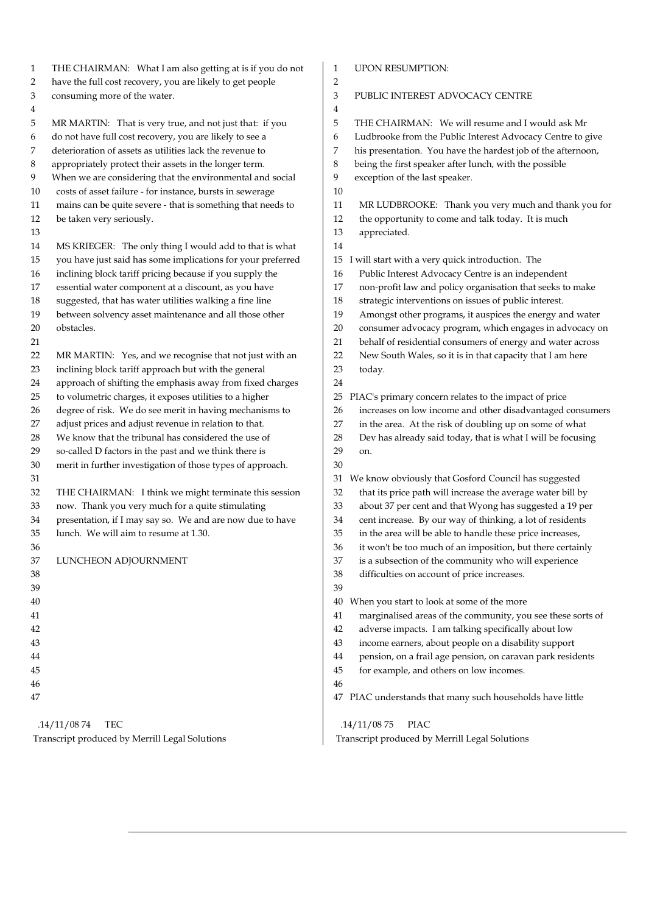| $\mathbf{1}$ | THE CHAIRMAN: What I am also getting at is if you do not    | 1<br><b>UPON RESUMPTION:</b>                                      |
|--------------|-------------------------------------------------------------|-------------------------------------------------------------------|
| 2            | have the full cost recovery, you are likely to get people   | $\overline{2}$                                                    |
| 3            | consuming more of the water.                                | 3<br>PUBLIC INTEREST ADVOCACY CENTRE                              |
| 4            |                                                             | 4                                                                 |
| 5            | MR MARTIN: That is very true, and not just that: if you     | 5<br>THE CHAIRMAN: We will resume and I would ask Mr              |
| 6            | do not have full cost recovery, you are likely to see a     | Ludbrooke from the Public Interest Advocacy Centre to give<br>6   |
| 7            | deterioration of assets as utilities lack the revenue to    | his presentation. You have the hardest job of the afternoon,<br>7 |
| 8            | appropriately protect their assets in the longer term.      | 8<br>being the first speaker after lunch, with the possible       |
| 9            | When we are considering that the environmental and social   | 9<br>exception of the last speaker.                               |
| 10           | costs of asset failure - for instance, bursts in sewerage   | 10                                                                |
| 11           | mains can be quite severe - that is something that needs to | MR LUDBROOKE: Thank you very much and thank you for<br>11         |
| 12           | be taken very seriously.                                    | 12<br>the opportunity to come and talk today. It is much          |
| 13           |                                                             | 13<br>appreciated.                                                |
| 14           | MS KRIEGER: The only thing I would add to that is what      | 14                                                                |
| 15           | you have just said has some implications for your preferred | I will start with a very quick introduction. The<br>15            |
| 16           | inclining block tariff pricing because if you supply the    | Public Interest Advocacy Centre is an independent<br>16           |
| 17           | essential water component at a discount, as you have        | non-profit law and policy organisation that seeks to make<br>17   |
| 18           | suggested, that has water utilities walking a fine line     | strategic interventions on issues of public interest.<br>18       |
| 19           | between solvency asset maintenance and all those other      | 19<br>Amongst other programs, it auspices the energy and water    |
| 20           | obstacles.                                                  | 20<br>consumer advocacy program, which engages in advocacy on     |
| 21           |                                                             | behalf of residential consumers of energy and water across<br>21  |
| 22           | MR MARTIN: Yes, and we recognise that not just with an      | New South Wales, so it is in that capacity that I am here<br>22   |
| 23           | inclining block tariff approach but with the general        | 23<br>today.                                                      |
| 24           | approach of shifting the emphasis away from fixed charges   | 24                                                                |
| 25           | to volumetric charges, it exposes utilities to a higher     | 25<br>PIAC's primary concern relates to the impact of price       |
| 26           | degree of risk. We do see merit in having mechanisms to     | increases on low income and other disadvantaged consumers<br>26   |
| 27           | adjust prices and adjust revenue in relation to that.       | in the area. At the risk of doubling up on some of what<br>27     |
| 28           | We know that the tribunal has considered the use of         | 28<br>Dev has already said today, that is what I will be focusing |
| 29           | so-called D factors in the past and we think there is       | 29<br>on.                                                         |
| 30           | merit in further investigation of those types of approach.  | 30                                                                |
| 31           |                                                             | We know obviously that Gosford Council has suggested<br>31        |
| 32           | THE CHAIRMAN: I think we might terminate this session       | 32<br>that its price path will increase the average water bill by |
| 33           | now. Thank you very much for a quite stimulating            | 33<br>about 37 per cent and that Wyong has suggested a 19 per     |
| 34           | presentation, if I may say so. We and are now due to have   | cent increase. By our way of thinking, a lot of residents<br>34   |
| 35           | lunch. We will aim to resume at 1.30.                       | 35<br>in the area will be able to handle these price increases,   |
| 36           |                                                             | it won't be too much of an imposition, but there certainly<br>36  |
| 37           | LUNCHEON ADJOURNMENT                                        | is a subsection of the community who will experience<br>37        |
| 38           |                                                             | 38<br>difficulties on account of price increases.                 |
| 39           |                                                             | 39                                                                |
| 40           |                                                             | When you start to look at some of the more<br>40                  |
| 41           |                                                             | marginalised areas of the community, you see these sorts of<br>41 |
| 42           |                                                             | adverse impacts. I am talking specifically about low<br>42        |
| 43           |                                                             | income earners, about people on a disability support<br>43        |
| 44           |                                                             | pension, on a frail age pension, on caravan park residents<br>44  |
| 45           |                                                             | for example, and others on low incomes.<br>45                     |
| 46           |                                                             | 46                                                                |
| 47           |                                                             |                                                                   |
|              |                                                             | PIAC understands that many such households have little<br>47      |
|              | .14/11/0874<br>TEC                                          | .14/11/0875<br>PIAC                                               |
|              | Transcript produced by Merrill Legal Solutions              | Transcript produced by Merrill Legal Solutions                    |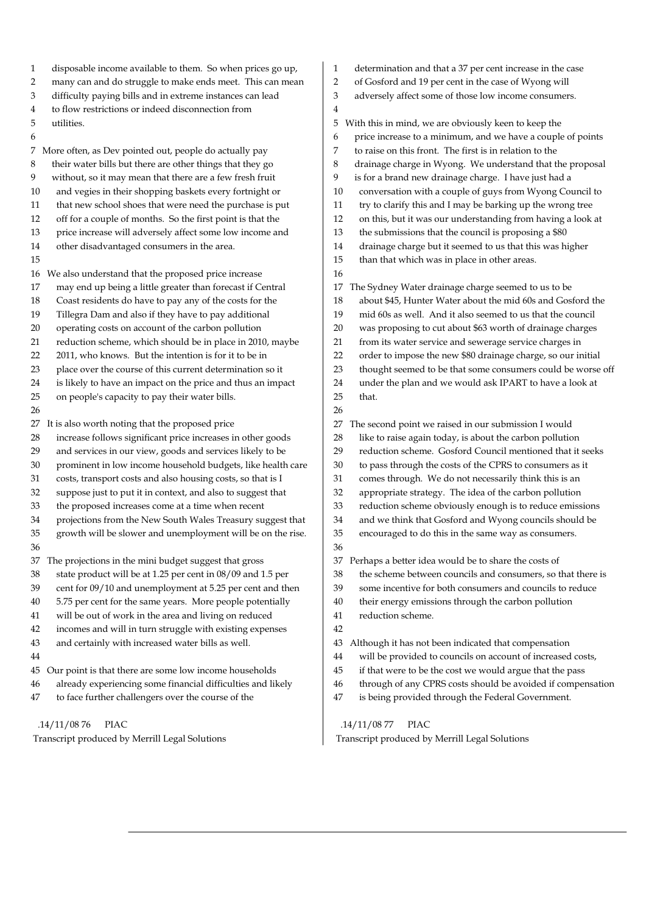1 disposable income available to them. So when prices go up, 2 many can and do struggle to make ends meet. This can mean 3 difficulty paying bills and in extreme instances can lead 4 to flow restrictions or indeed disconnection from 5 utilities. 6 7 More often, as Dev pointed out, people do actually pay 8 their water bills but there are other things that they go 9 without, so it may mean that there are a few fresh fruit 10 and vegies in their shopping baskets every fortnight or 11 that new school shoes that were need the purchase is put 12 off for a couple of months. So the first point is that the 13 price increase will adversely affect some low income and 14 other disadvantaged consumers in the area. 15 16 We also understand that the proposed price increase 17 may end up being a little greater than forecast if Central 18 Coast residents do have to pay any of the costs for the 19 Tillegra Dam and also if they have to pay additional 20 operating costs on account of the carbon pollution 21 reduction scheme, which should be in place in 2010, maybe 22 2011, who knows. But the intention is for it to be in 23 place over the course of this current determination so it 24 is likely to have an impact on the price and thus an impact 25 on people's capacity to pay their water bills. 26 27 It is also worth noting that the proposed price 28 increase follows significant price increases in other goods 29 and services in our view, goods and services likely to be 30 prominent in low income household budgets, like health care 31 costs, transport costs and also housing costs, so that is I 32 suppose just to put it in context, and also to suggest that 33 the proposed increases come at a time when recent 34 projections from the New South Wales Treasury suggest that 35 growth will be slower and unemployment will be on the rise. 36 37 The projections in the mini budget suggest that gross 38 state product will be at 1.25 per cent in 08/09 and 1.5 per 39 cent for 09/10 and unemployment at 5.25 per cent and then 40 5.75 per cent for the same years. More people potentially 41 will be out of work in the area and living on reduced 42 incomes and will in turn struggle with existing expenses 43 and certainly with increased water bills as well. 44 45 Our point is that there are some low income households 46 already experiencing some financial difficulties and likely 47 to face further challengers over the course of the 1 determination and that a 37 per cent increase in the case 2 of Gosford and 19 per cent in the case of Wyong will 3 adversely affect some of those low income consumers. 4 5 With this in mind, we are obviously keen to keep the 6 price increase to a minimum, and we have a couple of points 7 to raise on this front. The first is in relation to the 8 drainage charge in Wyong. We understand that the proposal 9 is for a brand new drainage charge. I have just had a 10 conversation with a couple of guys from Wyong Council to 11 try to clarify this and I may be barking up the wrong tree 12 on this, but it was our understanding from having a look at 13 the submissions that the council is proposing a \$80 14 drainage charge but it seemed to us that this was higher 15 than that which was in place in other areas. 16 17 The Sydney Water drainage charge seemed to us to be 18 about \$45, Hunter Water about the mid 60s and Gosford the 19 mid 60s as well. And it also seemed to us that the council 20 was proposing to cut about \$63 worth of drainage charges 21 from its water service and sewerage service charges in 22 order to impose the new \$80 drainage charge, so our initial 23 thought seemed to be that some consumers could be worse off 24 under the plan and we would ask IPART to have a look at 25 that. 26 27 The second point we raised in our submission I would 28 like to raise again today, is about the carbon pollution 29 reduction scheme. Gosford Council mentioned that it seeks 30 to pass through the costs of the CPRS to consumers as it 31 comes through. We do not necessarily think this is an 32 appropriate strategy. The idea of the carbon pollution 33 reduction scheme obviously enough is to reduce emissions 34 and we think that Gosford and Wyong councils should be 35 encouraged to do this in the same way as consumers. 36 37 Perhaps a better idea would be to share the costs of 38 the scheme between councils and consumers, so that there is 39 some incentive for both consumers and councils to reduce 40 their energy emissions through the carbon pollution 41 reduction scheme. 42 43 Although it has not been indicated that compensation 44 will be provided to councils on account of increased costs, 45 if that were to be the cost we would argue that the pass 46 through of any CPRS costs should be avoided if compensation 47 is being provided through the Federal Government.

 .14/11/08 76 PIAC Transcript produced by Merrill Legal Solutions

## .14/11/08 77 PIAC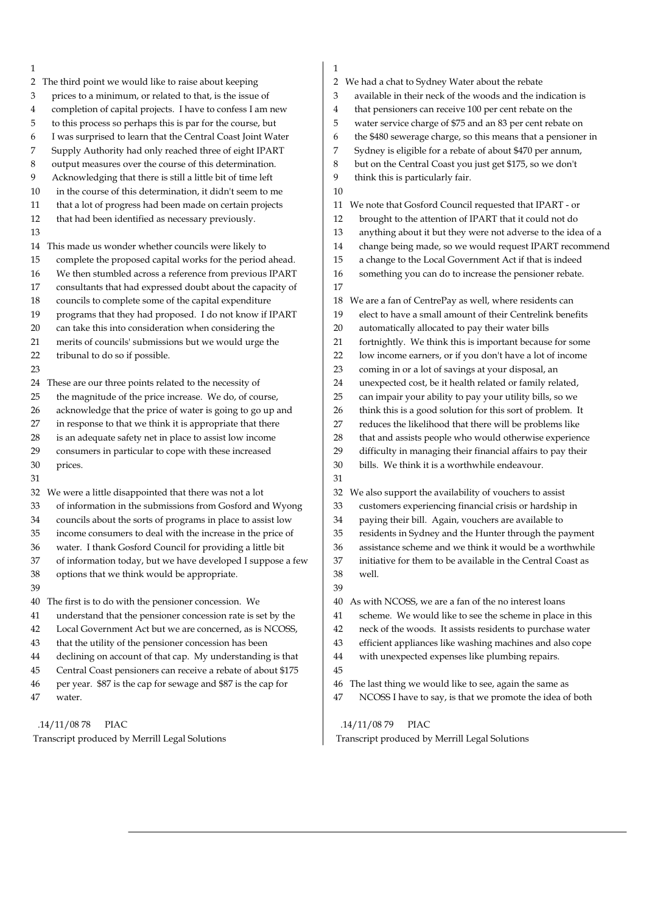| 1                                                                  | 1                                                                  |
|--------------------------------------------------------------------|--------------------------------------------------------------------|
| 2 The third point we would like to raise about keeping             | We had a chat to Sydney Water about the rebate<br>2                |
| prices to a minimum, or related to that, is the issue of           | available in their neck of the woods and the indication is         |
| 3                                                                  | 3                                                                  |
| completion of capital projects. I have to confess I am new         | that pensioners can receive 100 per cent rebate on the             |
| 4                                                                  | 4                                                                  |
| to this process so perhaps this is par for the course, but         | 5                                                                  |
| 5                                                                  | water service charge of \$75 and an 83 per cent rebate on          |
| I was surprised to learn that the Central Coast Joint Water        | the \$480 sewerage charge, so this means that a pensioner in       |
| 6                                                                  | 6                                                                  |
| Supply Authority had only reached three of eight IPART             | 7                                                                  |
| 7                                                                  | Sydney is eligible for a rebate of about \$470 per annum,          |
| output measures over the course of this determination.             | 8                                                                  |
| 8                                                                  | but on the Central Coast you just get \$175, so we don't           |
| 9                                                                  | 9                                                                  |
| Acknowledging that there is still a little bit of time left        | think this is particularly fair.                                   |
| 10<br>in the course of this determination, it didn't seem to me    | 10                                                                 |
| that a lot of progress had been made on certain projects           | We note that Gosford Council requested that IPART - or             |
| 11                                                                 | 11                                                                 |
| 12                                                                 | 12                                                                 |
| that had been identified as necessary previously.                  | brought to the attention of IPART that it could not do             |
| 13                                                                 | 13<br>anything about it but they were not adverse to the idea of a |
| 14 This made us wonder whether councils were likely to             | change being made, so we would request IPART recommend<br>14       |
| complete the proposed capital works for the period ahead.          | a change to the Local Government Act if that is indeed             |
| 15                                                                 | 15                                                                 |
| We then stumbled across a reference from previous IPART            | something you can do to increase the pensioner rebate.             |
| 16                                                                 | 16                                                                 |
| consultants that had expressed doubt about the capacity of<br>17   | 17                                                                 |
| councils to complete some of the capital expenditure               | We are a fan of CentrePay as well, where residents can             |
| 18                                                                 | 18                                                                 |
| programs that they had proposed. I do not know if IPART            | elect to have a small amount of their Centrelink benefits          |
| 19                                                                 | 19                                                                 |
| can take this into consideration when considering the              | 20                                                                 |
| 20                                                                 | automatically allocated to pay their water bills                   |
| merits of councils' submissions but we would urge the              | fortnightly. We think this is important because for some           |
| 21                                                                 | 21                                                                 |
| tribunal to do so if possible.                                     | low income earners, or if you don't have a lot of income           |
| 22                                                                 | 22                                                                 |
| 23                                                                 | coming in or a lot of savings at your disposal, an<br>23           |
| These are our three points related to the necessity of             | unexpected cost, be it health related or family related,           |
| 24                                                                 | 24                                                                 |
| the magnitude of the price increase. We do, of course,             | 25                                                                 |
| 25                                                                 | can impair your ability to pay your utility bills, so we           |
| acknowledge that the price of water is going to go up and          | think this is a good solution for this sort of problem. It         |
| 26                                                                 | 26                                                                 |
| in response to that we think it is appropriate that there          | 27                                                                 |
| 27                                                                 | reduces the likelihood that there will be problems like            |
| is an adequate safety net in place to assist low income            | that and assists people who would otherwise experience             |
| 28                                                                 | 28                                                                 |
| consumers in particular to cope with these increased               | 29                                                                 |
| 29                                                                 | difficulty in managing their financial affairs to pay their        |
| 30                                                                 | 30                                                                 |
| prices.                                                            | bills. We think it is a worthwhile endeavour.                      |
| 31                                                                 | 31                                                                 |
| We were a little disappointed that there was not a lot             | We also support the availability of vouchers to assist             |
| 32                                                                 | 32                                                                 |
| of information in the submissions from Gosford and Wyong           | customers experiencing financial crisis or hardship in             |
| 33                                                                 | 33                                                                 |
| 34                                                                 | 34                                                                 |
| councils about the sorts of programs in place to assist low        | paying their bill. Again, vouchers are available to                |
| income consumers to deal with the increase in the price of         | residents in Sydney and the Hunter through the payment             |
| 35                                                                 | 35                                                                 |
| 36                                                                 | 36                                                                 |
| water. I thank Gosford Council for providing a little bit          | assistance scheme and we think it would be a worthwhile            |
| of information today, but we have developed I suppose a few        | 37                                                                 |
| 37                                                                 | initiative for them to be available in the Central Coast as        |
| options that we think would be appropriate.                        | 38                                                                 |
| 38                                                                 | well.                                                              |
| 39                                                                 | 39                                                                 |
| The first is to do with the pensioner concession. We               | As with NCOSS, we are a fan of the no interest loans               |
| 40                                                                 | 40                                                                 |
| understand that the pensioner concession rate is set by the        | scheme. We would like to see the scheme in place in this           |
| 41                                                                 | 41                                                                 |
| Local Government Act but we are concerned, as is NCOSS,            | 42                                                                 |
| 42                                                                 | neck of the woods. It assists residents to purchase water          |
| that the utility of the pensioner concession has been              | efficient appliances like washing machines and also cope           |
| 43                                                                 | 43                                                                 |
| declining on account of that cap. My understanding is that         | with unexpected expenses like plumbing repairs.                    |
| 44                                                                 | 44                                                                 |
|                                                                    |                                                                    |
| Central Coast pensioners can receive a rebate of about \$175<br>45 | 45                                                                 |
| per year. \$87 is the cap for sewage and \$87 is the cap for<br>46 | The last thing we would like to see, again the same as<br>46<br>47 |
| 47<br>water.                                                       | NCOSS I have to say, is that we promote the idea of both           |
| <b>PIAC</b>                                                        | .14/11/0879                                                        |
| .14/11/0878                                                        | PIAC                                                               |

 $\overline{\phantom{a}}$ 

Transcript produced by Merrill Legal Solutions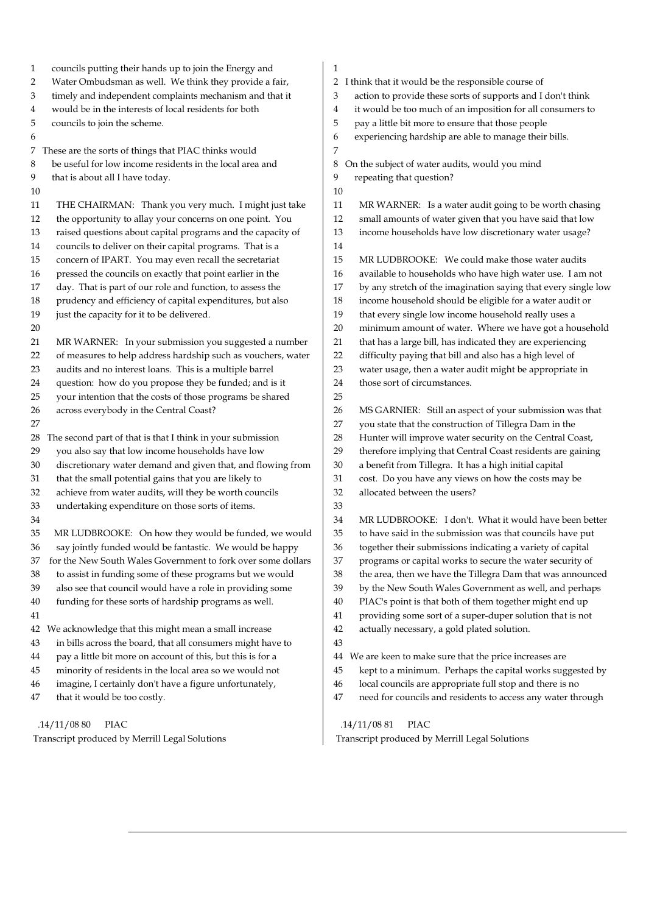| councils putting their hands up to join the Energy and<br>1        | 1                                                                |
|--------------------------------------------------------------------|------------------------------------------------------------------|
| Water Ombudsman as well. We think they provide a fair,             | I think that it would be the responsible course of               |
| 2                                                                  | 2                                                                |
| timely and independent complaints mechanism and that it            | action to provide these sorts of supports and I don't think      |
| 3                                                                  | 3                                                                |
| would be in the interests of local residents for both              | it would be too much of an imposition for all consumers to       |
| 4                                                                  | 4                                                                |
| 5                                                                  | 5                                                                |
| councils to join the scheme.                                       | pay a little bit more to ensure that those people                |
| 6                                                                  | experiencing hardship are able to manage their bills.<br>6       |
| 7 These are the sorts of things that PIAC thinks would             | 7                                                                |
| be useful for low income residents in the local area and           | On the subject of water audits, would you mind                   |
| 8                                                                  | 8                                                                |
| 9                                                                  | repeating that question?                                         |
| that is about all I have today.                                    | 9                                                                |
| 10                                                                 | 10                                                               |
| THE CHAIRMAN: Thank you very much. I might just take               | MR WARNER: Is a water audit going to be worth chasing            |
| 11                                                                 | 11                                                               |
| the opportunity to allay your concerns on one point. You           | 12                                                               |
| 12                                                                 | small amounts of water given that you have said that low         |
| raised questions about capital programs and the capacity of        | income households have low discretionary water usage?            |
| 13                                                                 | 13                                                               |
| councils to deliver on their capital programs. That is a<br>14     | 14                                                               |
| concern of IPART. You may even recall the secretariat              | 15                                                               |
| 15                                                                 | MR LUDBROOKE: We could make those water audits                   |
| pressed the councils on exactly that point earlier in the          | available to households who have high water use. I am not        |
| 16                                                                 | 16                                                               |
| day. That is part of our role and function, to assess the          | by any stretch of the imagination saying that every single low   |
| 17                                                                 | 17                                                               |
| prudency and efficiency of capital expenditures, but also          | income household should be eligible for a water audit or         |
| 18                                                                 | 18                                                               |
| just the capacity for it to be delivered.                          | 19                                                               |
| 19                                                                 | that every single low income household really uses a             |
| 20                                                                 | $20\,$<br>minimum amount of water. Where we have got a household |
| MR WARNER: In your submission you suggested a number               | that has a large bill, has indicated they are experiencing       |
| 21                                                                 | 21                                                               |
| of measures to help address hardship such as vouchers, water       | difficulty paying that bill and also has a high level of         |
| 22                                                                 | 22                                                               |
| audits and no interest loans. This is a multiple barrel            | 23                                                               |
| 23                                                                 | water usage, then a water audit might be appropriate in          |
|                                                                    | those sort of circumstances.<br>24                               |
| question: how do you propose they be funded; and is it<br>24<br>25 | 25                                                               |
| your intention that the costs of those programs be shared          |                                                                  |
| across everybody in the Central Coast?                             | 26                                                               |
| 26                                                                 | MS GARNIER: Still an aspect of your submission was that          |
| 27                                                                 | 27<br>you state that the construction of Tillegra Dam in the     |
| The second part of that is that I think in your submission         | Hunter will improve water security on the Central Coast,         |
| 28                                                                 | 28                                                               |
| you also say that low income households have low                   | 29                                                               |
| 29                                                                 | therefore implying that Central Coast residents are gaining      |
| discretionary water demand and given that, and flowing from        | $30\,$                                                           |
| 30                                                                 | a benefit from Tillegra. It has a high initial capital           |
| that the small potential gains that you are likely to              | cost. Do you have any views on how the costs may be              |
| 31                                                                 | $31\,$                                                           |
| achieve from water audits, will they be worth councils             | 32                                                               |
| 32                                                                 | allocated between the users?                                     |
| 33<br>undertaking expenditure on those sorts of items.             | 33                                                               |
| 34                                                                 | 34<br>MR LUDBROOKE: I don't. What it would have been better      |
| 35                                                                 | 35                                                               |
| MR LUDBROOKE: On how they would be funded, we would                | to have said in the submission was that councils have put        |
| 36                                                                 | 36                                                               |
| say jointly funded would be fantastic. We would be happy           | together their submissions indicating a variety of capital       |
| for the New South Wales Government to fork over some dollars       | programs or capital works to secure the water security of        |
| 37                                                                 | 37                                                               |
| to assist in funding some of these programs but we would           | 38                                                               |
| 38                                                                 | the area, then we have the Tillegra Dam that was announced       |
| also see that council would have a role in providing some          | by the New South Wales Government as well, and perhaps           |
| 39                                                                 | 39                                                               |
| funding for these sorts of hardship programs as well.              | PIAC's point is that both of them together might end up          |
| 40                                                                 | 40                                                               |
| 41                                                                 | providing some sort of a super-duper solution that is not<br>41  |
| We acknowledge that this might mean a small increase               | 42                                                               |
| 42                                                                 | actually necessary, a gold plated solution.                      |
| in bills across the board, that all consumers might have to<br>43  | 43                                                               |
| pay a little bit more on account of this, but this is for a        | We are keen to make sure that the price increases are            |
| 44                                                                 | 44                                                               |
| minority of residents in the local area so we would not            | 45                                                               |
| 45                                                                 | kept to a minimum. Perhaps the capital works suggested by        |
| imagine, I certainly don't have a figure unfortunately,            | local councils are appropriate full stop and there is no         |
| 46                                                                 | 46                                                               |
| that it would be too costly.                                       | need for councils and residents to access any water through      |
| 47                                                                 | 47                                                               |
| .14/11/0880                                                        | .14/11/0881                                                      |
| PIAC                                                               | PIAC                                                             |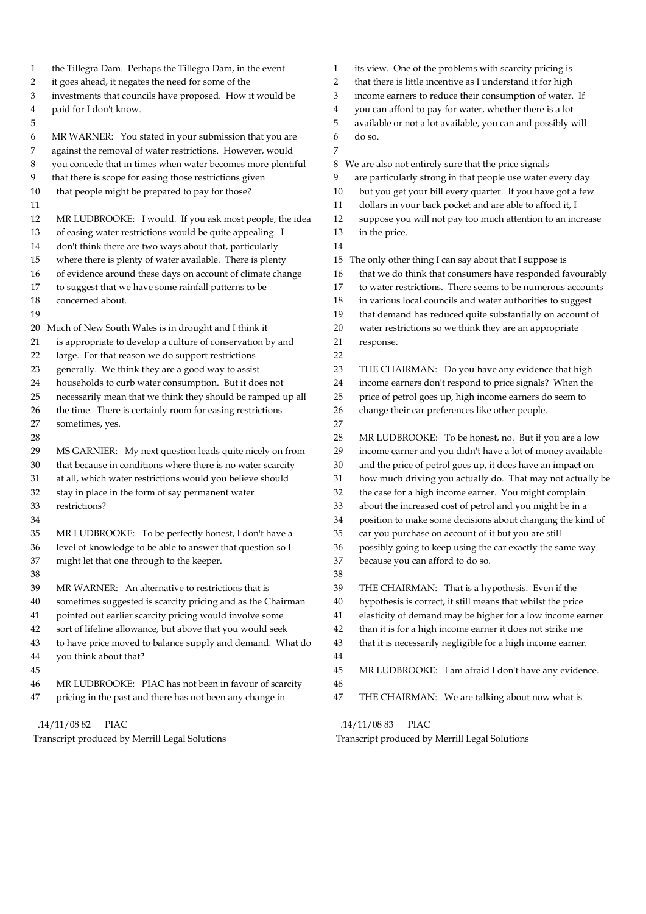| $\mathbf{1}$                                   | the Tillegra Dam. Perhaps the Tillegra Dam, in the event                                                               | 1              | its view. One of the problems with scarcity pricing is                                                             |
|------------------------------------------------|------------------------------------------------------------------------------------------------------------------------|----------------|--------------------------------------------------------------------------------------------------------------------|
| $\overline{2}$                                 | it goes ahead, it negates the need for some of the                                                                     | $\overline{2}$ | that there is little incentive as I understand it for high                                                         |
| 3                                              | investments that councils have proposed. How it would be                                                               | 3              | income earners to reduce their consumption of water. If                                                            |
| 4                                              | paid for I don't know.                                                                                                 | 4              | you can afford to pay for water, whether there is a lot                                                            |
| 5                                              |                                                                                                                        | 5              | available or not a lot available, you can and possibly will                                                        |
| 6                                              | MR WARNER: You stated in your submission that you are                                                                  | 6              | do so.                                                                                                             |
| 7                                              | against the removal of water restrictions. However, would                                                              | 7              |                                                                                                                    |
| 8                                              | you concede that in times when water becomes more plentiful                                                            | 8              | We are also not entirely sure that the price signals                                                               |
| 9                                              | that there is scope for easing those restrictions given                                                                | 9              | are particularly strong in that people use water every day                                                         |
| 10                                             | that people might be prepared to pay for those?                                                                        | 10             | but you get your bill every quarter. If you have got a few                                                         |
| 11                                             |                                                                                                                        | 11             | dollars in your back pocket and are able to afford it, I                                                           |
| 12                                             | MR LUDBROOKE: I would. If you ask most people, the idea                                                                | 12             | suppose you will not pay too much attention to an increase                                                         |
| 13                                             | of easing water restrictions would be quite appealing. I                                                               | 13             | in the price.                                                                                                      |
| 14                                             | don't think there are two ways about that, particularly                                                                | 14             |                                                                                                                    |
| 15                                             | where there is plenty of water available. There is plenty                                                              | 15             | The only other thing I can say about that I suppose is                                                             |
| 16                                             | of evidence around these days on account of climate change                                                             | 16             | that we do think that consumers have responded favourably                                                          |
| 17                                             | to suggest that we have some rainfall patterns to be                                                                   | 17             | to water restrictions. There seems to be numerous accounts                                                         |
| 18                                             | concerned about.                                                                                                       | 18             | in various local councils and water authorities to suggest                                                         |
| 19                                             |                                                                                                                        | 19             | that demand has reduced quite substantially on account of                                                          |
|                                                | 20 Much of New South Wales is in drought and I think it                                                                | 20             | water restrictions so we think they are an appropriate                                                             |
| 21                                             | is appropriate to develop a culture of conservation by and                                                             | 21             | response.                                                                                                          |
| 22                                             | large. For that reason we do support restrictions                                                                      | 22             |                                                                                                                    |
| 23                                             | generally. We think they are a good way to assist                                                                      | 23             | THE CHAIRMAN: Do you have any evidence that high                                                                   |
| 24                                             | households to curb water consumption. But it does not                                                                  | 24             | income earners don't respond to price signals? When the                                                            |
| 25                                             | necessarily mean that we think they should be ramped up all                                                            | 25             | price of petrol goes up, high income earners do seem to                                                            |
| 26                                             | the time. There is certainly room for easing restrictions                                                              | 26             | change their car preferences like other people.                                                                    |
| 27                                             |                                                                                                                        | 27             |                                                                                                                    |
| 28                                             | sometimes, yes.                                                                                                        | 28             |                                                                                                                    |
| 29                                             |                                                                                                                        | 29             | MR LUDBROOKE: To be honest, no. But if you are a low<br>income earner and you didn't have a lot of money available |
| 30                                             | MS GARNIER: My next question leads quite nicely on from<br>that because in conditions where there is no water scarcity | 30             |                                                                                                                    |
| 31                                             |                                                                                                                        | 31             | and the price of petrol goes up, it does have an impact on                                                         |
|                                                | at all, which water restrictions would you believe should                                                              |                | how much driving you actually do. That may not actually be                                                         |
| 32<br>33                                       | stay in place in the form of say permanent water<br>restrictions?                                                      | 32<br>33       | the case for a high income earner. You might complain<br>about the increased cost of petrol and you might be in a  |
|                                                |                                                                                                                        |                |                                                                                                                    |
| 34                                             |                                                                                                                        | 34             | position to make some decisions about changing the kind of                                                         |
| 35                                             | MR LUDBROOKE: To be perfectly honest, I don't have a                                                                   | 35             | car you purchase on account of it but you are still                                                                |
| 36                                             | level of knowledge to be able to answer that question so I                                                             | 36             | possibly going to keep using the car exactly the same way                                                          |
| 37                                             | might let that one through to the keeper.                                                                              | 37             | because you can afford to do so.                                                                                   |
| 38                                             |                                                                                                                        | 38             |                                                                                                                    |
| 39                                             | MR WARNER: An alternative to restrictions that is                                                                      | 39             | THE CHAIRMAN: That is a hypothesis. Even if the                                                                    |
| 40                                             | sometimes suggested is scarcity pricing and as the Chairman                                                            | 40             | hypothesis is correct, it still means that whilst the price                                                        |
| 41                                             | pointed out earlier scarcity pricing would involve some                                                                | 41             | elasticity of demand may be higher for a low income earner                                                         |
| 42                                             | sort of lifeline allowance, but above that you would seek                                                              | 42             | than it is for a high income earner it does not strike me                                                          |
| 43                                             | to have price moved to balance supply and demand. What do                                                              | 43             | that it is necessarily negligible for a high income earner.                                                        |
| 44                                             | you think about that?                                                                                                  | 44             |                                                                                                                    |
| 45                                             |                                                                                                                        | 45             | MR LUDBROOKE: I am afraid I don't have any evidence.                                                               |
| 46                                             | MR LUDBROOKE: PIAC has not been in favour of scarcity                                                                  | 46             |                                                                                                                    |
| 47                                             | pricing in the past and there has not been any change in                                                               | 47             | THE CHAIRMAN: We are talking about now what is                                                                     |
|                                                | <b>PIAC</b><br>.14/11/0882                                                                                             |                | .14/11/0883<br>PIAC                                                                                                |
| Transcript produced by Merrill Legal Solutions |                                                                                                                        |                | Transcript produced by Merrill Legal Solutions                                                                     |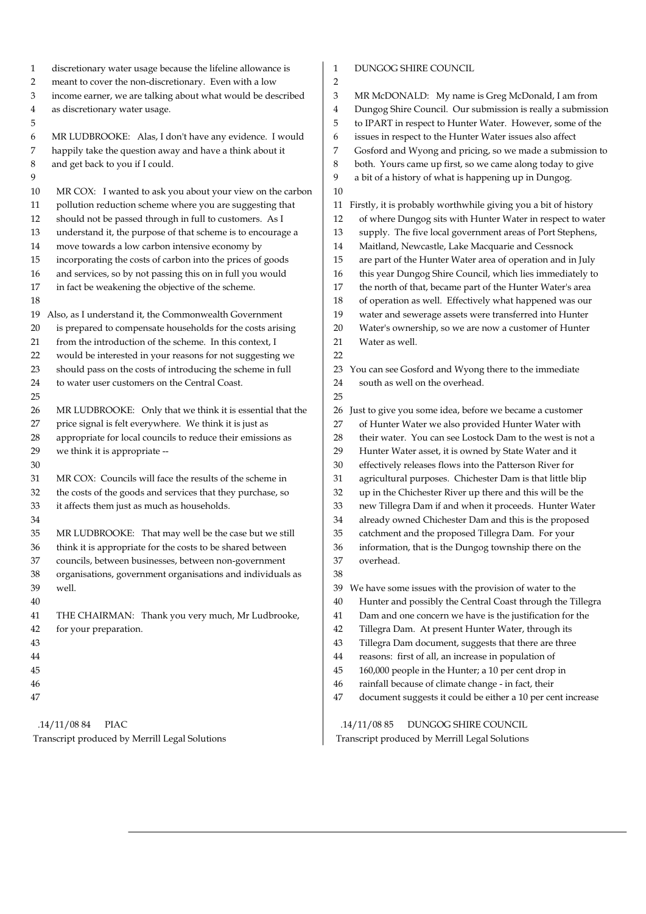| 1  | discretionary water usage because the lifeline allowance is | 1                       | DUNGOG SHIRE COUNCIL                                           |
|----|-------------------------------------------------------------|-------------------------|----------------------------------------------------------------|
| 2  | meant to cover the non-discretionary. Even with a low       | $\overline{c}$          |                                                                |
| 3  | income earner, we are talking about what would be described | 3                       | MR McDONALD: My name is Greg McDonald, I am from               |
| 4  | as discretionary water usage.                               | $\overline{\mathbf{4}}$ | Dungog Shire Council. Our submission is really a submission    |
| 5  |                                                             | 5                       | to IPART in respect to Hunter Water. However, some of the      |
| 6  | MR LUDBROOKE: Alas, I don't have any evidence. I would      | 6                       | issues in respect to the Hunter Water issues also affect       |
| 7  | happily take the question away and have a think about it    | 7                       | Gosford and Wyong and pricing, so we made a submission to      |
| 8  | and get back to you if I could.                             | 8                       | both. Yours came up first, so we came along today to give      |
| 9  |                                                             | 9                       | a bit of a history of what is happening up in Dungog.          |
| 10 | MR COX: I wanted to ask you about your view on the carbon   | 10                      |                                                                |
| 11 | pollution reduction scheme where you are suggesting that    | 11                      | Firstly, it is probably worthwhile giving you a bit of history |
| 12 | should not be passed through in full to customers. As I     | 12                      | of where Dungog sits with Hunter Water in respect to water     |
| 13 | understand it, the purpose of that scheme is to encourage a | 13                      | supply. The five local government areas of Port Stephens,      |
| 14 | move towards a low carbon intensive economy by              | 14                      | Maitland, Newcastle, Lake Macquarie and Cessnock               |
| 15 | incorporating the costs of carbon into the prices of goods  | 15                      | are part of the Hunter Water area of operation and in July     |
| 16 | and services, so by not passing this on in full you would   | 16                      | this year Dungog Shire Council, which lies immediately to      |
| 17 | in fact be weakening the objective of the scheme.           | 17                      | the north of that, became part of the Hunter Water's area      |
| 18 |                                                             | 18                      | of operation as well. Effectively what happened was our        |
| 19 | Also, as I understand it, the Commonwealth Government       | 19                      | water and sewerage assets were transferred into Hunter         |
| 20 | is prepared to compensate households for the costs arising  | $20\,$                  | Water's ownership, so we are now a customer of Hunter          |
| 21 | from the introduction of the scheme. In this context, I     | 21                      | Water as well.                                                 |
| 22 | would be interested in your reasons for not suggesting we   | 22                      |                                                                |
| 23 | should pass on the costs of introducing the scheme in full  | 23                      | You can see Gosford and Wyong there to the immediate           |
| 24 | to water user customers on the Central Coast.               | 24                      | south as well on the overhead.                                 |
| 25 |                                                             | 25                      |                                                                |
| 26 | MR LUDBROOKE: Only that we think it is essential that the   | 26                      | Just to give you some idea, before we became a customer        |
| 27 | price signal is felt everywhere. We think it is just as     | 27                      | of Hunter Water we also provided Hunter Water with             |
| 28 | appropriate for local councils to reduce their emissions as | 28                      | their water. You can see Lostock Dam to the west is not a      |
| 29 | we think it is appropriate --                               | 29                      | Hunter Water asset, it is owned by State Water and it          |
| 30 |                                                             | 30                      | effectively releases flows into the Patterson River for        |
| 31 | MR COX: Councils will face the results of the scheme in     | 31                      | agricultural purposes. Chichester Dam is that little blip      |
| 32 | the costs of the goods and services that they purchase, so  | 32                      | up in the Chichester River up there and this will be the       |
| 33 | it affects them just as much as households.                 | 33                      | new Tillegra Dam if and when it proceeds. Hunter Water         |
| 34 |                                                             | 34                      | already owned Chichester Dam and this is the proposed          |
| 35 | MR LUDBROOKE: That may well be the case but we still        | 35                      | catchment and the proposed Tillegra Dam. For your              |
| 36 | think it is appropriate for the costs to be shared between  | 36                      | information, that is the Dungog township there on the          |
| 37 | councils, between businesses, between non-government        | 37                      | overhead.                                                      |
| 38 | organisations, government organisations and individuals as  | 38                      |                                                                |
| 39 | well.                                                       | 39                      | We have some issues with the provision of water to the         |
| 40 |                                                             | 40                      | Hunter and possibly the Central Coast through the Tillegra     |
| 41 | THE CHAIRMAN: Thank you very much, Mr Ludbrooke,            | 41                      | Dam and one concern we have is the justification for the       |
| 42 | for your preparation.                                       | 42                      | Tillegra Dam. At present Hunter Water, through its             |
| 43 |                                                             | 43                      |                                                                |
|    |                                                             |                         | Tillegra Dam document, suggests that there are three           |
| 44 |                                                             | 44                      | reasons: first of all, an increase in population of            |
| 45 |                                                             | 45                      | 160,000 people in the Hunter; a 10 per cent drop in            |
| 46 |                                                             | 46                      | rainfall because of climate change - in fact, their            |
| 47 |                                                             | 47                      | document suggests it could be either a 10 per cent increase    |
|    | .14/11/08 84<br><b>PIAC</b>                                 |                         | .14/11/0885<br>DUNGOG SHIRE COUNCIL                            |
|    | Transcript produced by Merrill Legal Solutions              |                         | Transcript produced by Merrill Legal Solutions                 |
|    |                                                             |                         |                                                                |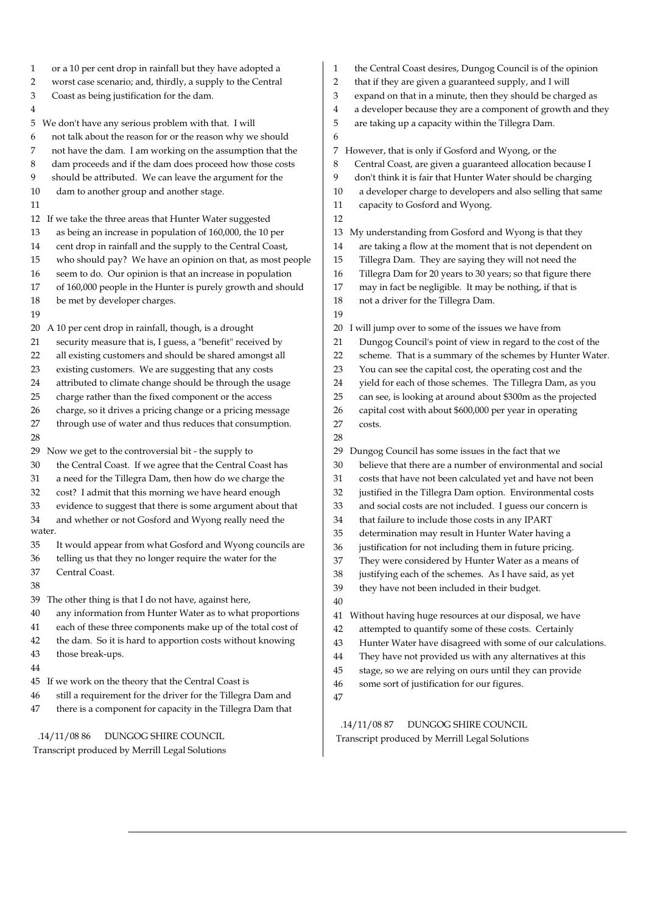| or a 10 per cent drop in rainfall but they have adopted a         | the Central Coast desires, Dungog Council is of th       |
|-------------------------------------------------------------------|----------------------------------------------------------|
| $\mathbf{1}$                                                      | 1                                                        |
| worst case scenario; and, thirdly, a supply to the Central        | 2                                                        |
| 2                                                                 | that if they are given a guaranteed supply, and I v      |
| Coast as being justification for the dam.                         | 3                                                        |
| 3                                                                 | expand on that in a minute, then they should be c        |
| 4                                                                 | a developer because they are a component of grov<br>4    |
| We don't have any serious problem with that. I will               | 5                                                        |
| 5                                                                 | are taking up a capacity within the Tillegra Dam.        |
| not talk about the reason for or the reason why we should<br>6    | 6                                                        |
| not have the dam. I am working on the assumption that the         | However, that is only if Gosford and Wyong, or the       |
| 7                                                                 | 7                                                        |
| dam proceeds and if the dam does proceed how those costs          | 8                                                        |
| 8                                                                 | Central Coast, are given a guaranteed allocation b       |
| should be attributed. We can leave the argument for the           | 9                                                        |
| 9                                                                 | don't think it is fair that Hunter Water should be       |
| 10                                                                | a developer charge to developers and also selling        |
| dam to another group and another stage.                           | 10                                                       |
| 11                                                                | capacity to Gosford and Wyong.<br>11                     |
| If we take the three areas that Hunter Water suggested<br>12      | 12                                                       |
| as being an increase in population of 160,000, the 10 per         | My understanding from Gosford and Wyong is tha           |
| 13                                                                | 13                                                       |
| cent drop in rainfall and the supply to the Central Coast,        | are taking a flow at the moment that is not deper        |
| 14                                                                | 14                                                       |
| who should pay? We have an opinion on that, as most people        | Tillegra Dam. They are saying they will not need         |
| 15                                                                | 15                                                       |
| seem to do. Our opinion is that an increase in population         | Tillegra Dam for 20 years to 30 years; so that figu      |
| 16                                                                | 16                                                       |
| of 160,000 people in the Hunter is purely growth and should       | 17                                                       |
| 17                                                                | may in fact be negligible. It may be nothing, if the     |
| 18                                                                | 18                                                       |
| be met by developer charges.                                      | not a driver for the Tillegra Dam.                       |
| 19                                                                | 19                                                       |
| 20                                                                | I will jump over to some of the issues we have fron      |
| A 10 per cent drop in rainfall, though, is a drought              | 20                                                       |
| security measure that is, I guess, a "benefit" received by        | Dungog Council's point of view in regard to the          |
| 21                                                                | 21                                                       |
| all existing customers and should be shared amongst all           | scheme. That is a summary of the schemes by H            |
| 22                                                                | 22                                                       |
| 23                                                                | 23                                                       |
| existing customers. We are suggesting that any costs              | You can see the capital cost, the operating cost ar      |
| attributed to climate change should be through the usage          | yield for each of those schemes. The Tillegra Da         |
| 24                                                                | 24                                                       |
| charge rather than the fixed component or the access              | 25                                                       |
| 25                                                                | can see, is looking at around about \$300m as the        |
| charge, so it drives a pricing change or a pricing message        | 26                                                       |
| 26                                                                | capital cost with about \$600,000 per year in oper       |
| through use of water and thus reduces that consumption.           | 27                                                       |
| 27                                                                | costs.                                                   |
| 28                                                                | 28                                                       |
| Now we get to the controversial bit - the supply to               | Dungog Council has some issues in the fact that wo       |
| 29                                                                | 29                                                       |
| 30                                                                | believe that there are a number of environmental         |
| the Central Coast. If we agree that the Central Coast has         | 30                                                       |
| a need for the Tillegra Dam, then how do we charge the            | 31                                                       |
| 31                                                                | costs that have not been calculated yet and have         |
| cost? I admit that this morning we have heard enough              | justified in the Tillegra Dam option. Environmen         |
| 32                                                                | 32                                                       |
| evidence to suggest that there is some argument about that        | and social costs are not included. I guess our cor       |
| 33                                                                | 33                                                       |
| and whether or not Gosford and Wyong really need the              | that failure to include those costs in any IPART         |
| 34                                                                | 34                                                       |
| water.                                                            | 35<br>determination may result in Hunter Water havir     |
| 35                                                                | 36                                                       |
| It would appear from what Gosford and Wyong councils are          | justification for not including them in future pric      |
| telling us that they no longer require the water for the          | 37                                                       |
| 36                                                                | They were considered by Hunter Water as a mea            |
| 37                                                                | 38                                                       |
| Central Coast.                                                    | justifying each of the schemes. As I have said, as       |
| 38                                                                | 39<br>they have not been included in their budget.       |
| 39<br>The other thing is that I do not have, against here,        | 40                                                       |
| 40                                                                | 41                                                       |
| any information from Hunter Water as to what proportions          | Without having huge resources at our disposal, we        |
| 41                                                                | 42                                                       |
| each of these three components make up of the total cost of       | attempted to quantify some of these costs. Certa         |
| the dam. So it is hard to apportion costs without knowing         | 43                                                       |
| 42                                                                | Hunter Water have disagreed with some of our o           |
| 43                                                                | They have not provided us with any alternatives          |
| those break-ups.                                                  | 44                                                       |
| 44                                                                | 45<br>stage, so we are relying on ours until they can pr |
| If we work on the theory that the Central Coast is                | 46                                                       |
| 45                                                                | some sort of justification for our figures.              |
| still a requirement for the driver for the Tillegra Dam and<br>46 | 47                                                       |
| 47<br>there is a component for capacity in the Tillegra Dam that  |                                                          |
|                                                                   |                                                          |

 .14/11/08 86 DUNGOG SHIRE COUNCIL Transcript produced by Merrill Legal Solutions

- the Central Coast desires, Dungog Council is of the opinion
- that if they are given a guaranteed supply, and I will
- expand on that in a minute, then they should be charged as
- a developer because they are a component of growth and they
- are taking up a capacity within the Tillegra Dam.
- 6
- Central Coast, are given a guaranteed allocation because I 9 don't think it is fair that Hunter Water should be charging 10 a developer charge to developers and also selling that same 11 capacity to Gosford and Wyong. 12 13 My understanding from Gosford and Wyong is that they 14 are taking a flow at the moment that is not dependent on 15 Tillegra Dam. They are saying they will not need the 16 Tillegra Dam for 20 years to 30 years; so that figure there 17 may in fact be negligible. It may be nothing, if that is 18 not a driver for the Tillegra Dam.  $\overline{q}$ 
	- 20 I will jump over to some of the issues we have from
	- 21 Dungog Council's point of view in regard to the cost of the
- 22 scheme. That is a summary of the schemes by Hunter Water.
- 23 You can see the capital cost, the operating cost and the
- 24 yield for each of those schemes. The Tillegra Dam, as you
- 25 can see, is looking at around about \$300m as the projected
- 26 capital cost with about \$600,000 per year in operating
- 27 costs.
- 29 Dungog Council has some issues in the fact that we
- 30 believe that there are a number of environmental and social
- 31 costs that have not been calculated yet and have not been
- 32 justified in the Tillegra Dam option. Environmental costs
- 33 and social costs are not included. I guess our concern is
- 34 that failure to include those costs in any IPART
- 35 determination may result in Hunter Water having a
- 36 justification for not including them in future pricing.
- 37 They were considered by Hunter Water as a means of
- 38 justifying each of the schemes. As I have said, as yet
- 39 they have not been included in their budget.
- 40

41 Without having huge resources at our disposal, we have

- 42 attempted to quantify some of these costs. Certainly
- 43 Hunter Water have disagreed with some of our calculations.
- 44 They have not provided us with any alternatives at this
- 45 stage, so we are relying on ours until they can provide
- 46 some sort of justification for our figures.
- 47

 .14/11/08 87 DUNGOG SHIRE COUNCIL Transcript produced by Merrill Legal Solutions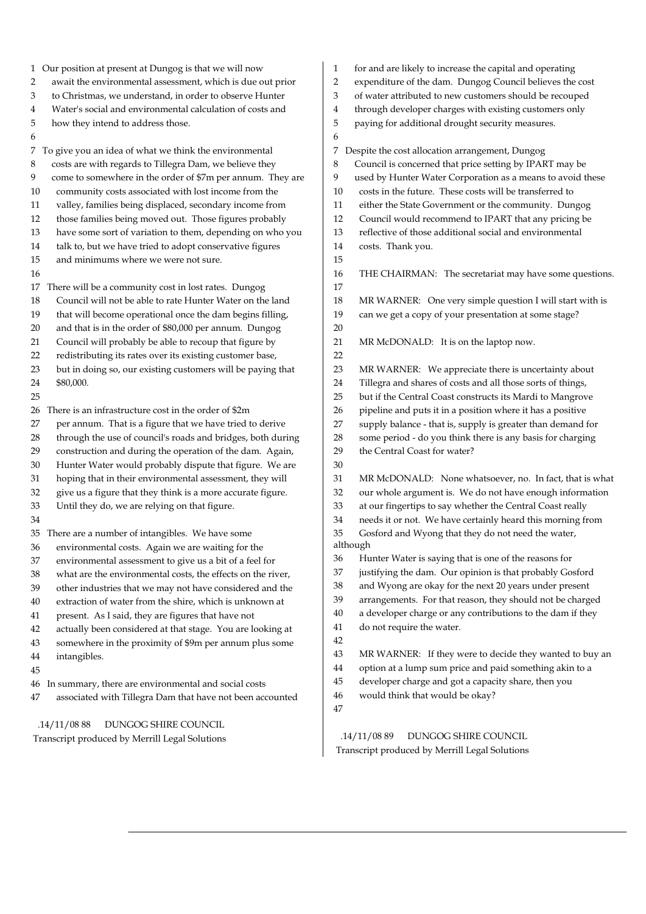| 1 Our position at present at Dungog is that we will now<br>await the environmental assessment, which is due out prior<br>2<br>to Christmas, we understand, in order to observe Hunter<br>3<br>Water's social and environmental calculation of costs and<br>4<br>5<br>how they intend to address those.<br>6<br>7<br>To give you an idea of what we think the environmental<br>$\,8\,$<br>costs are with regards to Tillegra Dam, we believe they<br>9<br>come to somewhere in the order of \$7m per annum. They are<br>community costs associated with lost income from the<br>10<br>valley, families being displaced, secondary income from<br>11<br>those families being moved out. Those figures probably<br>12<br>have some sort of variation to them, depending on who you<br>13<br>talk to, but we have tried to adopt conservative figures<br>14<br>15<br>and minimums where we were not sure.<br>16<br>17 There will be a community cost in lost rates. Dungog<br>Council will not be able to rate Hunter Water on the land<br>18<br>that will become operational once the dam begins filling,<br>19 | for and are likely to increase the capital and operating<br>1<br>expenditure of the dam. Dungog Council believes the cost<br>$\overline{2}$<br>of water attributed to new customers should be recouped<br>3<br>through developer charges with existing customers only<br>4<br>5<br>paying for additional drought security measures.<br>6<br>Despite the cost allocation arrangement, Dungog<br>7<br>Council is concerned that price setting by IPART may be<br>8<br>used by Hunter Water Corporation as a means to avoid these<br>9<br>costs in the future. These costs will be transferred to<br>10<br>either the State Government or the community. Dungog<br>11<br>12<br>Council would recommend to IPART that any pricing be<br>reflective of those additional social and environmental<br>13<br>14<br>costs. Thank you.<br>15<br>16<br>THE CHAIRMAN: The secretariat may have some questions.<br>17<br>18<br>MR WARNER: One very simple question I will start with is<br>19<br>can we get a copy of your presentation at some stage? |
|--------------------------------------------------------------------------------------------------------------------------------------------------------------------------------------------------------------------------------------------------------------------------------------------------------------------------------------------------------------------------------------------------------------------------------------------------------------------------------------------------------------------------------------------------------------------------------------------------------------------------------------------------------------------------------------------------------------------------------------------------------------------------------------------------------------------------------------------------------------------------------------------------------------------------------------------------------------------------------------------------------------------------------------------------------------------------------------------------------------|-------------------------------------------------------------------------------------------------------------------------------------------------------------------------------------------------------------------------------------------------------------------------------------------------------------------------------------------------------------------------------------------------------------------------------------------------------------------------------------------------------------------------------------------------------------------------------------------------------------------------------------------------------------------------------------------------------------------------------------------------------------------------------------------------------------------------------------------------------------------------------------------------------------------------------------------------------------------------------------------------------------------------------------------|
| 20<br>and that is in the order of \$80,000 per annum. Dungog<br>Council will probably be able to recoup that figure by<br>21<br>redistributing its rates over its existing customer base,<br>22<br>but in doing so, our existing customers will be paying that<br>23<br>24<br>\$80,000.<br>25                                                                                                                                                                                                                                                                                                                                                                                                                                                                                                                                                                                                                                                                                                                                                                                                                | 20<br>21<br>MR McDONALD: It is on the laptop now.<br>22<br>23<br>MR WARNER: We appreciate there is uncertainty about<br>Tillegra and shares of costs and all those sorts of things,<br>24<br>25<br>but if the Central Coast constructs its Mardi to Mangrove                                                                                                                                                                                                                                                                                                                                                                                                                                                                                                                                                                                                                                                                                                                                                                              |
| There is an infrastructure cost in the order of \$2m<br>26<br>per annum. That is a figure that we have tried to derive<br>27<br>through the use of council's roads and bridges, both during<br>28<br>construction and during the operation of the dam. Again,<br>29<br>Hunter Water would probably dispute that figure. We are<br>30                                                                                                                                                                                                                                                                                                                                                                                                                                                                                                                                                                                                                                                                                                                                                                         | pipeline and puts it in a position where it has a positive<br>26<br>supply balance - that is, supply is greater than demand for<br>27<br>some period - do you think there is any basis for charging<br>28<br>29<br>the Central Coast for water?<br>30                                                                                                                                                                                                                                                                                                                                                                                                                                                                                                                                                                                                                                                                                                                                                                                     |
| hoping that in their environmental assessment, they will<br>31<br>give us a figure that they think is a more accurate figure.<br>32<br>Until they do, we are relying on that figure.<br>33<br>34<br>35 There are a number of intangibles. We have some<br>environmental costs. Again we are waiting for the                                                                                                                                                                                                                                                                                                                                                                                                                                                                                                                                                                                                                                                                                                                                                                                                  | 31<br>MR McDONALD: None whatsoever, no. In fact, that is what<br>our whole argument is. We do not have enough information<br>32<br>at our fingertips to say whether the Central Coast really<br>33<br>34<br>needs it or not. We have certainly heard this morning from<br>Gosford and Wyong that they do not need the water,<br>35<br>although                                                                                                                                                                                                                                                                                                                                                                                                                                                                                                                                                                                                                                                                                            |
| 36<br>environmental assessment to give us a bit of a feel for<br>37<br>what are the environmental costs, the effects on the river,<br>38<br>other industries that we may not have considered and the<br>39<br>extraction of water from the shire, which is unknown at<br>40<br>present. As I said, they are figures that have not<br>41<br>actually been considered at that stage. You are looking at<br>42<br>somewhere in the proximity of \$9m per annum plus some<br>43<br>intangibles.<br>44                                                                                                                                                                                                                                                                                                                                                                                                                                                                                                                                                                                                            | Hunter Water is saying that is one of the reasons for<br>36<br>justifying the dam. Our opinion is that probably Gosford<br>37<br>and Wyong are okay for the next 20 years under present<br>38<br>arrangements. For that reason, they should not be charged<br>39<br>a developer charge or any contributions to the dam if they<br>40<br>do not require the water.<br>41<br>42<br>43<br>MR WARNER: If they were to decide they wanted to buy an                                                                                                                                                                                                                                                                                                                                                                                                                                                                                                                                                                                            |
| 45<br>46 In summary, there are environmental and social costs<br>associated with Tillegra Dam that have not been accounted<br>47<br>.14/11/0888<br>DUNGOG SHIRE COUNCIL                                                                                                                                                                                                                                                                                                                                                                                                                                                                                                                                                                                                                                                                                                                                                                                                                                                                                                                                      | option at a lump sum price and paid something akin to a<br>44<br>developer charge and got a capacity share, then you<br>45<br>would think that would be okay?<br>46<br>47                                                                                                                                                                                                                                                                                                                                                                                                                                                                                                                                                                                                                                                                                                                                                                                                                                                                 |

 .14/11/08 89 DUNGOG SHIRE COUNCIL Transcript produced by Merrill Legal Solutions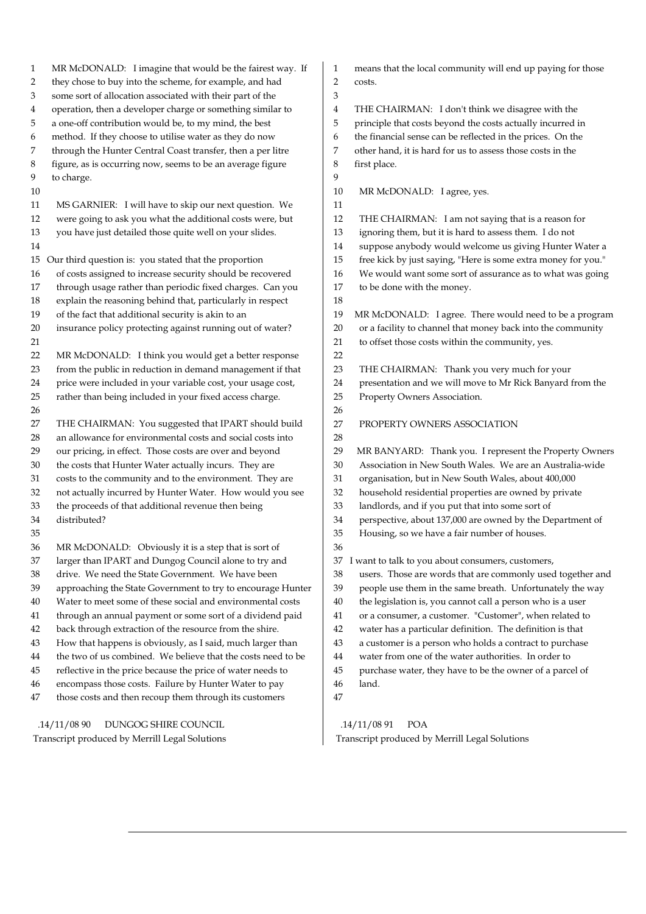1 MR McDONALD: I imagine that would be the fairest way. If 2 they chose to buy into the scheme, for example, and had 3 some sort of allocation associated with their part of the 4 operation, then a developer charge or something similar to 5 a one-off contribution would be, to my mind, the best 6 method. If they choose to utilise water as they do now 7 through the Hunter Central Coast transfer, then a per litre 8 figure, as is occurring now, seems to be an average figure 9 to charge. 10 11 MS GARNIER: I will have to skip our next question. We 12 were going to ask you what the additional costs were, but 13 you have just detailed those quite well on your slides. 14 15 Our third question is: you stated that the proportion 16 of costs assigned to increase security should be recovered 17 through usage rather than periodic fixed charges. Can you 18 explain the reasoning behind that, particularly in respect 19 of the fact that additional security is akin to an 20 insurance policy protecting against running out of water? 21 22 MR McDONALD: I think you would get a better response 23 from the public in reduction in demand management if that 24 price were included in your variable cost, your usage cost, 25 rather than being included in your fixed access charge. 26 27 THE CHAIRMAN: You suggested that IPART should build 28 an allowance for environmental costs and social costs into 29 our pricing, in effect. Those costs are over and beyond 30 the costs that Hunter Water actually incurs. They are 31 costs to the community and to the environment. They are 32 not actually incurred by Hunter Water. How would you see 33 the proceeds of that additional revenue then being 34 distributed? 35 36 MR McDONALD: Obviously it is a step that is sort of 37 larger than IPART and Dungog Council alone to try and 38 drive. We need the State Government. We have been 39 approaching the State Government to try to encourage Hunter 40 Water to meet some of these social and environmental costs 41 through an annual payment or some sort of a dividend paid 42 back through extraction of the resource from the shire. 43 How that happens is obviously, as I said, much larger than 44 the two of us combined. We believe that the costs need to be 45 reflective in the price because the price of water needs to 46 encompass those costs. Failure by Hunter Water to pay 47 those costs and then recoup them through its customers .14/11/08 90 DUNGOG SHIRE COUNCIL 1 means that the local community will end up paying for those 2 costs. 3 4 THE CHAIRMAN: I don't think we disagree with the 5 principle that costs beyond the costs actually incurred in 6 the financial sense can be reflected in the prices. On the 7 other hand, it is hard for us to assess those costs in the 8 first place.  $\alpha$ 10 MR McDONALD: I agree, yes. 11 12 THE CHAIRMAN: I am not saying that is a reason for 13 ignoring them, but it is hard to assess them. I do not 14 suppose anybody would welcome us giving Hunter Water a 15 free kick by just saying, "Here is some extra money for you." 16 We would want some sort of assurance as to what was going 17 to be done with the money. 18 19 MR McDONALD: I agree. There would need to be a program 20 or a facility to channel that money back into the community 21 to offset those costs within the community, yes. 22 23 THE CHAIRMAN: Thank you very much for your 24 presentation and we will move to Mr Rick Banyard from the 25 Property Owners Association. 26 27 PROPERTY OWNERS ASSOCIATION 28 29 MR BANYARD: Thank you. I represent the Property Owners 30 Association in New South Wales. We are an Australia-wide 31 organisation, but in New South Wales, about 400,000 32 household residential properties are owned by private 33 landlords, and if you put that into some sort of 34 perspective, about 137,000 are owned by the Department of 35 Housing, so we have a fair number of houses. 36 37 I want to talk to you about consumers, customers, 38 users. Those are words that are commonly used together and 39 people use them in the same breath. Unfortunately the way 40 the legislation is, you cannot call a person who is a user 41 or a consumer, a customer. "Customer", when related to 42 water has a particular definition. The definition is that 43 a customer is a person who holds a contract to purchase 44 water from one of the water authorities. In order to 45 purchase water, they have to be the owner of a parcel of 46 land. 47

Transcript produced by Merrill Legal Solutions

 .14/11/08 91 POA Transcript produced by Merrill Legal Solutions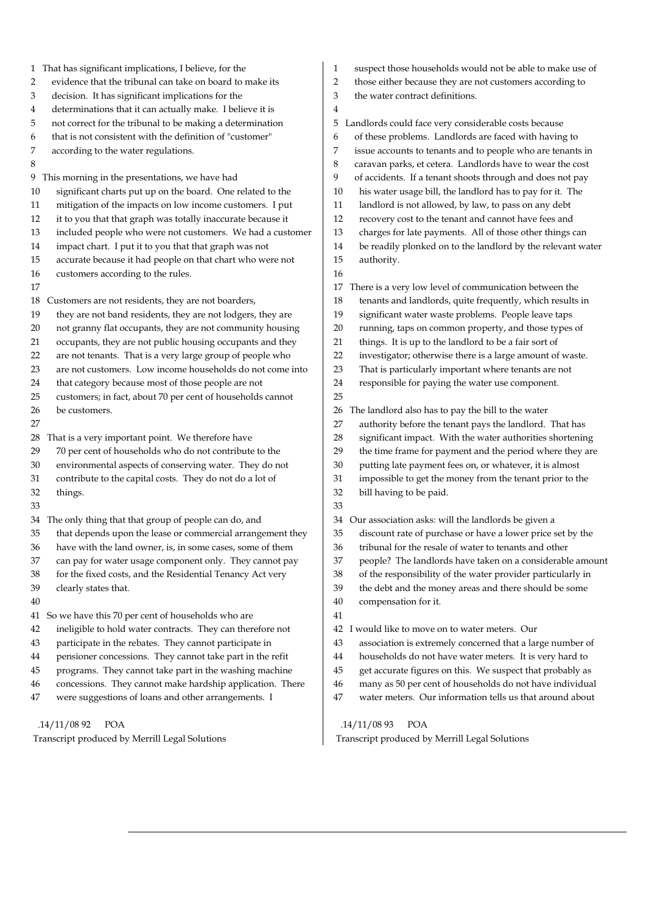| 1 That has significant implications, I believe, for the          | suspect those households would not be able to make use of<br>1 |
|------------------------------------------------------------------|----------------------------------------------------------------|
| evidence that the tribunal can take on board to make its         | 2                                                              |
| 2                                                                | those either because they are not customers according to       |
| decision. It has significant implications for the                | 3                                                              |
| 3                                                                | the water contract definitions.                                |
| determinations that it can actually make. I believe it is<br>4   | 4                                                              |
| not correct for the tribunal to be making a determination        | Landlords could face very considerable costs because           |
| 5                                                                | 5                                                              |
| that is not consistent with the definition of "customer"         | of these problems. Landlords are faced with having to          |
| 6                                                                | 6                                                              |
| 7                                                                | 7                                                              |
| according to the water regulations.                              | issue accounts to tenants and to people who are tenants in     |
| 8                                                                | 8<br>caravan parks, et cetera. Landlords have to wear the cost |
| This morning in the presentations, we have had                   | 9                                                              |
| 9                                                                | of accidents. If a tenant shoots through and does not pay      |
| significant charts put up on the board. One related to the       | his water usage bill, the landlord has to pay for it. The      |
| 10                                                               | 10                                                             |
| mitigation of the impacts on low income customers. I put         | landlord is not allowed, by law, to pass on any debt           |
| 11                                                               | 11                                                             |
| 12                                                               | recovery cost to the tenant and cannot have fees and           |
| it to you that that graph was totally inaccurate because it      | 12                                                             |
| 13                                                               | 13                                                             |
| included people who were not customers. We had a customer        | charges for late payments. All of those other things can       |
| impact chart. I put it to you that that graph was not            | be readily plonked on to the landlord by the relevant water    |
| 14                                                               | 14                                                             |
| accurate because it had people on that chart who were not        | 15                                                             |
| 15                                                               | authority.                                                     |
| customers according to the rules.<br>16                          | 16                                                             |
| 17                                                               | There is a very low level of communication between the<br>17   |
| Customers are not residents, they are not boarders,              | 18                                                             |
| 18                                                               | tenants and landlords, quite frequently, which results in      |
| 19                                                               | 19                                                             |
| they are not band residents, they are not lodgers, they are      | significant water waste problems. People leave taps            |
| not granny flat occupants, they are not community housing        | 20                                                             |
| 20                                                               | running, taps on common property, and those types of           |
| 21                                                               | things. It is up to the landlord to be a fair sort of          |
| occupants, they are not public housing occupants and they        | 21                                                             |
| are not tenants. That is a very large group of people who        | 22                                                             |
| 22                                                               | investigator; otherwise there is a large amount of waste.      |
| are not customers. Low income households do not come into        | 23                                                             |
| 23                                                               | That is particularly important where tenants are not           |
| 24                                                               | responsible for paying the water use component.                |
| that category because most of those people are not               | 24                                                             |
| customers; in fact, about 70 per cent of households cannot<br>25 | 25                                                             |
| 26                                                               | The landlord also has to pay the bill to the water             |
| be customers.                                                    | 26                                                             |
| 27                                                               | authority before the tenant pays the landlord. That has<br>27  |
| That is a very important point. We therefore have                | significant impact. With the water authorities shortening      |
| 28                                                               | 28                                                             |
| 29                                                               | 29                                                             |
| 70 per cent of households who do not contribute to the           | the time frame for payment and the period where they are       |
| environmental aspects of conserving water. They do not           | 30                                                             |
| 30                                                               | putting late payment fees on, or whatever, it is almost        |
| contribute to the capital costs. They do not do a lot of         | impossible to get the money from the tenant prior to the       |
| 31                                                               | 31                                                             |
| 32                                                               | 32                                                             |
| things.                                                          | bill having to be paid.                                        |
| 33                                                               | 33                                                             |
| The only thing that that group of people can do, and             | Our association asks: will the landlords be given a            |
| 34                                                               | 34                                                             |
| that depends upon the lease or commercial arrangement they       | 35                                                             |
| 35                                                               | discount rate of purchase or have a lower price set by the     |
| 36                                                               | 36                                                             |
| have with the land owner, is, in some cases, some of them        | tribunal for the resale of water to tenants and other          |
| 37                                                               | 37                                                             |
| can pay for water usage component only. They cannot pay          | people? The landlords have taken on a considerable amount      |
| for the fixed costs, and the Residential Tenancy Act very        | 38                                                             |
| 38                                                               | of the responsibility of the water provider particularly in    |
| 39                                                               | 39                                                             |
| clearly states that.                                             | the debt and the money areas and there should be some          |
| 40                                                               | compensation for it.<br>40                                     |
| So we have this 70 per cent of households who are<br>41          | 41                                                             |
| ineligible to hold water contracts. They can therefore not<br>42 | would like to move on to water meters. Our<br>42<br>$\perp$    |
| 43                                                               | 43                                                             |
| participate in the rebates. They cannot participate in           | association is extremely concerned that a large number of      |
| pensioner concessions. They cannot take part in the refit        | households do not have water meters. It is very hard to        |
| 44                                                               | 44                                                             |
| programs. They cannot take part in the washing machine           | 45                                                             |
| 45                                                               | get accurate figures on this. We suspect that probably as      |
| 46                                                               | 46                                                             |
| concessions. They cannot make hardship application. There        | many as 50 per cent of households do not have individual       |
| were suggestions of loans and other arrangements. I              | 47                                                             |
| 47                                                               | water meters. Our information tells us that around about       |
|                                                                  |                                                                |

.14/11/08 92 POA

Transcript produced by Merrill Legal Solutions

.14/11/08 93 POA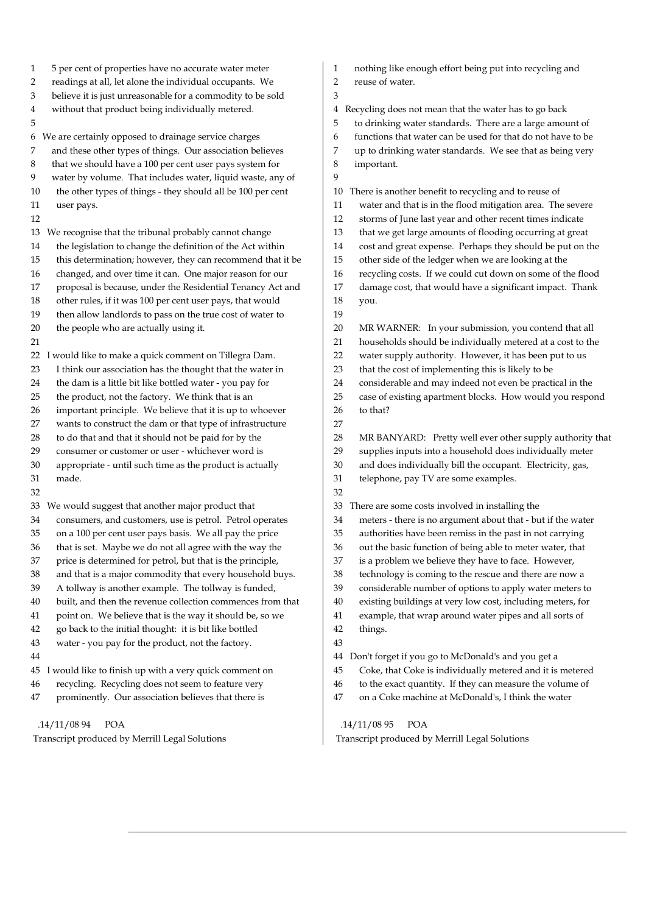| 1    | 5 per cent of properties have no accurate water meter       | 1  | nothing like enough effort being put into recycling and     |
|------|-------------------------------------------------------------|----|-------------------------------------------------------------|
| 2    | readings at all, let alone the individual occupants. We     | 2  | reuse of water.                                             |
| 3    | believe it is just unreasonable for a commodity to be sold  | 3  |                                                             |
| 4    | without that product being individually metered.            | 4  | Recycling does not mean that the water has to go back       |
| 5    |                                                             | 5  | to drinking water standards. There are a large amount of    |
|      | 6 We are certainly opposed to drainage service charges      | 6  | functions that water can be used for that do not have to be |
| 7    | and these other types of things. Our association believes   | 7  | up to drinking water standards. We see that as being very   |
| 8    | that we should have a 100 per cent user pays system for     | 8  | important.                                                  |
| 9    | water by volume. That includes water, liquid waste, any of  | 9  |                                                             |
| 10   | the other types of things - they should all be 100 per cent | 10 | There is another benefit to recycling and to reuse of       |
| 11   | user pays.                                                  | 11 | water and that is in the flood mitigation area. The severe  |
| 12   |                                                             | 12 | storms of June last year and other recent times indicate    |
|      | 13 We recognise that the tribunal probably cannot change    | 13 | that we get large amounts of flooding occurring at great    |
| 14   | the legislation to change the definition of the Act within  | 14 | cost and great expense. Perhaps they should be put on the   |
| 15   | this determination; however, they can recommend that it be  | 15 | other side of the ledger when we are looking at the         |
| 16   | changed, and over time it can. One major reason for our     | 16 | recycling costs. If we could cut down on some of the flood  |
| 17   | proposal is because, under the Residential Tenancy Act and  | 17 | damage cost, that would have a significant impact. Thank    |
| 18   | other rules, if it was 100 per cent user pays, that would   | 18 | you.                                                        |
| 19   | then allow landlords to pass on the true cost of water to   | 19 |                                                             |
| 20   | the people who are actually using it.                       | 20 | MR WARNER: In your submission, you contend that all         |
| 21   |                                                             | 21 | households should be individually metered at a cost to the  |
| 22 I | would like to make a quick comment on Tillegra Dam.         | 22 | water supply authority. However, it has been put to us      |
| 23   | I think our association has the thought that the water in   | 23 | that the cost of implementing this is likely to be          |
| 24   | the dam is a little bit like bottled water - you pay for    | 24 | considerable and may indeed not even be practical in the    |
| 25   | the product, not the factory. We think that is an           | 25 | case of existing apartment blocks. How would you respond    |
| 26   | important principle. We believe that it is up to whoever    | 26 | to that?                                                    |
| 27   | wants to construct the dam or that type of infrastructure   | 27 |                                                             |
| 28   | to do that and that it should not be paid for by the        | 28 | MR BANYARD: Pretty well ever other supply authority that    |
| 29   | consumer or customer or user - whichever word is            | 29 | supplies inputs into a household does individually meter    |
| 30   | appropriate - until such time as the product is actually    | 30 | and does individually bill the occupant. Electricity, gas,  |
| 31   | made.                                                       | 31 | telephone, pay TV are some examples.                        |
| 32   |                                                             | 32 |                                                             |
|      | 33 We would suggest that another major product that         | 33 | There are some costs involved in installing the             |
| 34   | consumers, and customers, use is petrol. Petrol operates    | 34 | meters - there is no argument about that - but if the water |
| 35   | on a 100 per cent user pays basis. We all pay the price     | 35 | authorities have been remiss in the past in not carrying    |
| 36   | that is set. Maybe we do not all agree with the way the     | 36 | out the basic function of being able to meter water, that   |
| 37   | price is determined for petrol, but that is the principle,  | 37 | is a problem we believe they have to face. However,         |
| 38   | and that is a major commodity that every household buys.    | 38 | technology is coming to the rescue and there are now a      |
| 39   | A tollway is another example. The tollway is funded,        | 39 | considerable number of options to apply water meters to     |
| 40   | built, and then the revenue collection commences from that  | 40 | existing buildings at very low cost, including meters, for  |
| 41   | point on. We believe that is the way it should be, so we    | 41 | example, that wrap around water pipes and all sorts of      |
| 42   | go back to the initial thought: it is bit like bottled      | 42 | things.                                                     |
| 43   | water - you pay for the product, not the factory.           | 43 |                                                             |
| 44   |                                                             | 44 | Don't forget if you go to McDonald's and you get a          |
|      | 45 I would like to finish up with a very quick comment on   | 45 | Coke, that Coke is individually metered and it is metered   |
| 46   | recycling. Recycling does not seem to feature very          | 46 | to the exact quantity. If they can measure the volume of    |
| 47   | prominently. Our association believes that there is         | 47 | on a Coke machine at McDonald's, I think the water          |
|      |                                                             |    |                                                             |

.14/11/08 94 POA

Transcript produced by Merrill Legal Solutions

.14/11/08 95 POA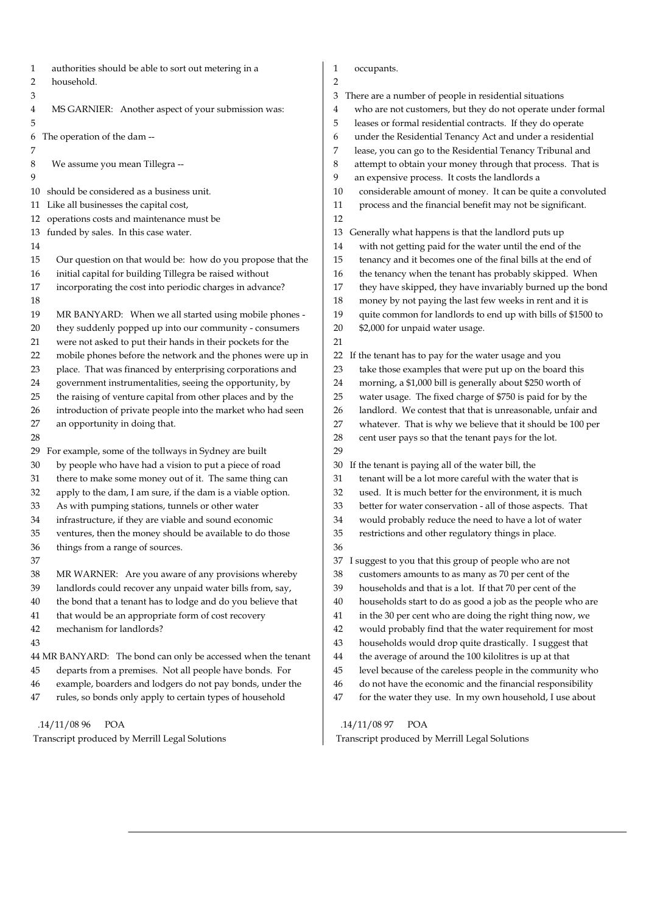1 authorities should be able to sort out metering in a 2 household. 3 4 MS GARNIER: Another aspect of your submission was: 5 6 The operation of the dam -- 7 8 We assume you mean Tillegra --  $\overline{Q}$ 10 should be considered as a business unit. 11 Like all businesses the capital cost, 12 operations costs and maintenance must be 13 funded by sales. In this case water. 14 15 Our question on that would be: how do you propose that the 16 initial capital for building Tillegra be raised without 17 incorporating the cost into periodic charges in advance? 18 19 MR BANYARD: When we all started using mobile phones - 20 they suddenly popped up into our community - consumers 21 were not asked to put their hands in their pockets for the 22 mobile phones before the network and the phones were up in 23 place. That was financed by enterprising corporations and 24 government instrumentalities, seeing the opportunity, by 25 the raising of venture capital from other places and by the 26 introduction of private people into the market who had seen 27 an opportunity in doing that. 28 29 For example, some of the tollways in Sydney are built 30 by people who have had a vision to put a piece of road 31 there to make some money out of it. The same thing can 32 apply to the dam, I am sure, if the dam is a viable option. 33 As with pumping stations, tunnels or other water 34 infrastructure, if they are viable and sound economic 35 ventures, then the money should be available to do those 36 things from a range of sources. 37 38 MR WARNER: Are you aware of any provisions whereby 39 landlords could recover any unpaid water bills from, say, 40 the bond that a tenant has to lodge and do you believe that 41 that would be an appropriate form of cost recovery 42 mechanism for landlords? 43 44 MR BANYARD: The bond can only be accessed when the tenant 45 departs from a premises. Not all people have bonds. For 46 example, boarders and lodgers do not pay bonds, under the 47 rules, so bonds only apply to certain types of household 1 occupants. 2 12 20 \$2,000 for unpaid water usage. 21 29 36

 .14/11/08 96 POA Transcript produced by Merrill Legal Solutions 3 There are a number of people in residential situations 4 who are not customers, but they do not operate under formal 5 leases or formal residential contracts. If they do operate 6 under the Residential Tenancy Act and under a residential 7 lease, you can go to the Residential Tenancy Tribunal and 8 attempt to obtain your money through that process. That is 9 an expensive process. It costs the landlords a 10 considerable amount of money. It can be quite a convoluted 11 process and the financial benefit may not be significant. 13 Generally what happens is that the landlord puts up 14 with not getting paid for the water until the end of the 15 tenancy and it becomes one of the final bills at the end of 16 the tenancy when the tenant has probably skipped. When 17 they have skipped, they have invariably burned up the bond 18 money by not paying the last few weeks in rent and it is 19 quite common for landlords to end up with bills of \$1500 to 22 If the tenant has to pay for the water usage and you 23 take those examples that were put up on the board this 24 morning, a \$1,000 bill is generally about \$250 worth of 25 water usage. The fixed charge of \$750 is paid for by the 26 landlord. We contest that that is unreasonable, unfair and 27 whatever. That is why we believe that it should be 100 per 28 cent user pays so that the tenant pays for the lot. 30 If the tenant is paying all of the water bill, the 31 tenant will be a lot more careful with the water that is 32 used. It is much better for the environment, it is much 33 better for water conservation - all of those aspects. That 34 would probably reduce the need to have a lot of water 35 restrictions and other regulatory things in place. 37 I suggest to you that this group of people who are not 38 customers amounts to as many as 70 per cent of the 39 households and that is a lot. If that 70 per cent of the 40 households start to do as good a job as the people who are 41 in the 30 per cent who are doing the right thing now, we 42 would probably find that the water requirement for most 43 households would drop quite drastically. I suggest that 44 the average of around the 100 kilolitres is up at that 45 level because of the careless people in the community who

- 46 do not have the economic and the financial responsibility
- 47 for the water they use. In my own household, I use about

.14/11/08 97 POA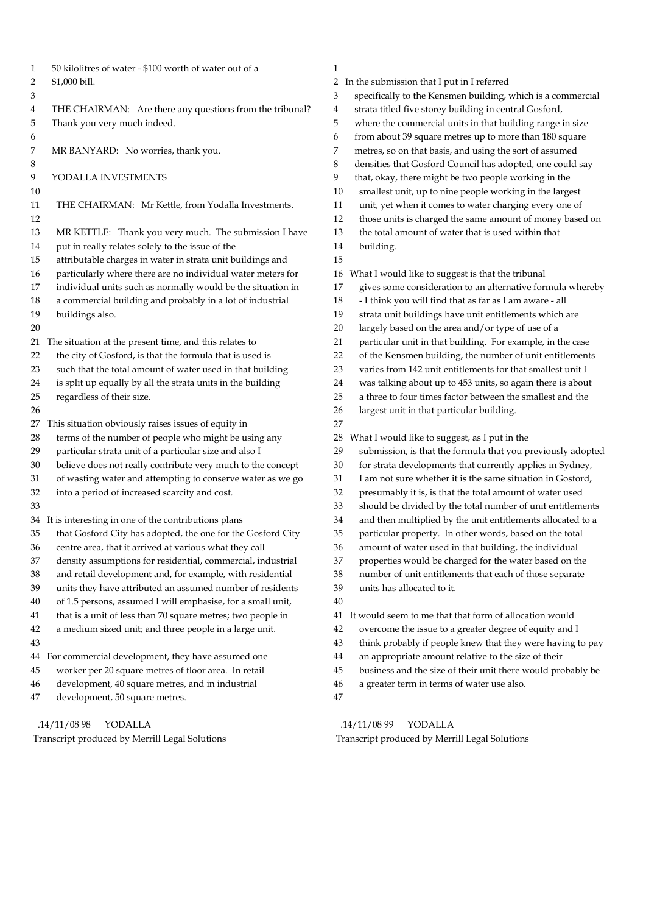| 1  | 50 kilolitres of water - \$100 worth of water out of a      | 1  |                                                             |
|----|-------------------------------------------------------------|----|-------------------------------------------------------------|
| 2  | \$1,000 bill.                                               | 2  | In the submission that I put in I referred                  |
| 3  |                                                             | 3  | specifically to the Kensmen building, which is a commercial |
| 4  | THE CHAIRMAN: Are there any questions from the tribunal?    | 4  | strata titled five storey building in central Gosford,      |
| 5  | Thank you very much indeed.                                 | 5  | where the commercial units in that building range in size   |
| 6  |                                                             | 6  | from about 39 square metres up to more than 180 square      |
| 7  | MR BANYARD: No worries, thank you.                          | 7  | metres, so on that basis, and using the sort of assumed     |
| 8  |                                                             | 8  | densities that Gosford Council has adopted, one could say   |
| 9  | YODALLA INVESTMENTS                                         | 9  | that, okay, there might be two people working in the        |
| 10 |                                                             | 10 | smallest unit, up to nine people working in the largest     |
| 11 | THE CHAIRMAN: Mr Kettle, from Yodalla Investments.          | 11 | unit, yet when it comes to water charging every one of      |
| 12 |                                                             | 12 | those units is charged the same amount of money based on    |
| 13 | MR KETTLE: Thank you very much. The submission I have       | 13 | the total amount of water that is used within that          |
| 14 | put in really relates solely to the issue of the            | 14 | building.                                                   |
| 15 | attributable charges in water in strata unit buildings and  | 15 |                                                             |
| 16 | particularly where there are no individual water meters for | 16 | What I would like to suggest is that the tribunal           |
| 17 | individual units such as normally would be the situation in | 17 | gives some consideration to an alternative formula whereby  |
| 18 | a commercial building and probably in a lot of industrial   | 18 | - I think you will find that as far as I am aware - all     |
| 19 | buildings also.                                             | 19 | strata unit buildings have unit entitlements which are      |
| 20 |                                                             | 20 | largely based on the area and/or type of use of a           |
| 21 | The situation at the present time, and this relates to      | 21 | particular unit in that building. For example, in the case  |
| 22 | the city of Gosford, is that the formula that is used is    | 22 | of the Kensmen building, the number of unit entitlements    |
| 23 | such that the total amount of water used in that building   | 23 | varies from 142 unit entitlements for that smallest unit I  |
| 24 | is split up equally by all the strata units in the building | 24 | was talking about up to 453 units, so again there is about  |
| 25 | regardless of their size.                                   | 25 | a three to four times factor between the smallest and the   |
| 26 |                                                             | 26 | largest unit in that particular building.                   |
| 27 | This situation obviously raises issues of equity in         | 27 |                                                             |
| 28 | terms of the number of people who might be using any        | 28 | What I would like to suggest, as I put in the               |
| 29 | particular strata unit of a particular size and also I      | 29 | submission, is that the formula that you previously adopted |
| 30 | believe does not really contribute very much to the concept | 30 | for strata developments that currently applies in Sydney,   |
| 31 | of wasting water and attempting to conserve water as we go  | 31 | I am not sure whether it is the same situation in Gosford,  |
| 32 | into a period of increased scarcity and cost.               | 32 | presumably it is, is that the total amount of water used    |
| 33 |                                                             | 33 | should be divided by the total number of unit entitlements  |
| 34 | It is interesting in one of the contributions plans         | 34 | and then multiplied by the unit entitlements allocated to a |
| 35 | that Gosford City has adopted, the one for the Gosford City | 35 | particular property. In other words, based on the total     |
| 36 | centre area, that it arrived at various what they call      | 36 | amount of water used in that building, the individual       |
| 37 | density assumptions for residential, commercial, industrial | 37 | properties would be charged for the water based on the      |
| 38 | and retail development and, for example, with residential   | 38 | number of unit entitlements that each of those separate     |
| 39 | units they have attributed an assumed number of residents   | 39 | units has allocated to it.                                  |
| 40 | of 1.5 persons, assumed I will emphasise, for a small unit, | 40 |                                                             |
| 41 | that is a unit of less than 70 square metres; two people in | 41 | It would seem to me that that form of allocation would      |
| 42 | a medium sized unit; and three people in a large unit.      | 42 | overcome the issue to a greater degree of equity and I      |
| 43 |                                                             | 43 | think probably if people knew that they were having to pay  |
| 44 | For commercial development, they have assumed one           | 44 | an appropriate amount relative to the size of their         |
| 45 | worker per 20 square metres of floor area. In retail        | 45 | business and the size of their unit there would probably be |
| 46 | development, 40 square metres, and in industrial            | 46 | a greater term in terms of water use also.                  |
| 47 | development, 50 square metres.                              | 47 |                                                             |
|    |                                                             |    |                                                             |
|    | .14/11/0898<br>YODALLA                                      |    | .14/11/0899<br>YODALLA                                      |

 $\mathbf{I}$ 

Transcript produced by Merrill Legal Solutions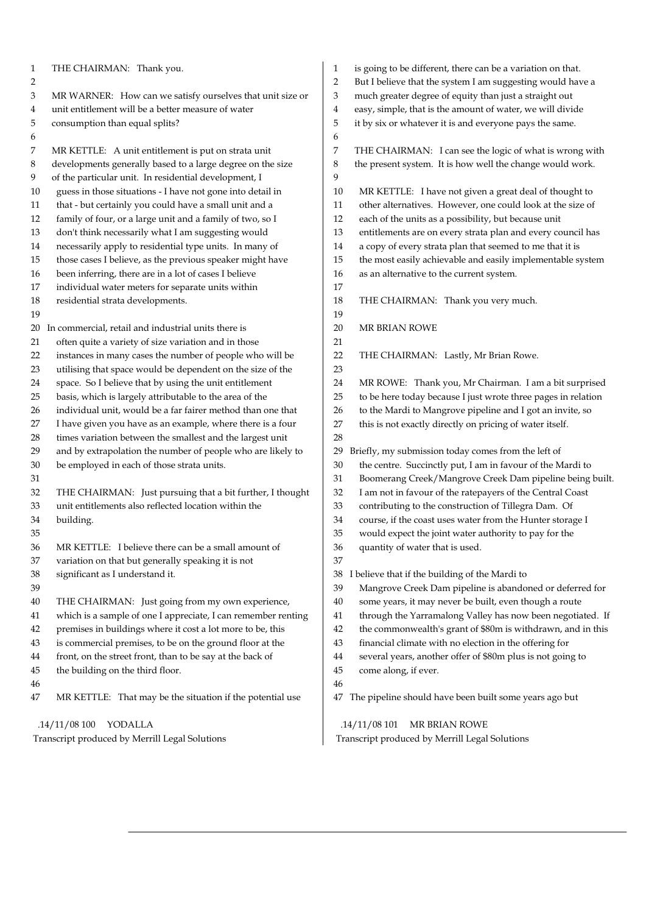| $\mathbf{1}$   | THE CHAIRMAN: Thank you.                                      | $\mathbf{1}$   | is going to be different, there can be a variation on that.   |
|----------------|---------------------------------------------------------------|----------------|---------------------------------------------------------------|
| $\overline{2}$ |                                                               | $\overline{2}$ | But I believe that the system I am suggesting would have a    |
| 3              | MR WARNER: How can we satisfy ourselves that unit size or     | 3              | much greater degree of equity than just a straight out        |
| 4              | unit entitlement will be a better measure of water            | 4              | easy, simple, that is the amount of water, we will divide     |
| 5              | consumption than equal splits?                                | 5              | it by six or whatever it is and everyone pays the same.       |
| 6              |                                                               | 6              |                                                               |
| 7              | MR KETTLE: A unit entitlement is put on strata unit           | 7              | THE CHAIRMAN: I can see the logic of what is wrong with       |
| 8              | developments generally based to a large degree on the size    | 8              | the present system. It is how well the change would work.     |
| 9              | of the particular unit. In residential development, I         | 9              |                                                               |
| 10             | guess in those situations - I have not gone into detail in    | 10             | MR KETTLE: I have not given a great deal of thought to        |
| 11             | that - but certainly you could have a small unit and a        | 11             | other alternatives. However, one could look at the size of    |
| 12             | family of four, or a large unit and a family of two, so I     | 12             | each of the units as a possibility, but because unit          |
| 13             | don't think necessarily what I am suggesting would            | 13             | entitlements are on every strata plan and every council has   |
| 14             | necessarily apply to residential type units. In many of       | 14             | a copy of every strata plan that seemed to me that it is      |
| 15             | those cases I believe, as the previous speaker might have     | 15             | the most easily achievable and easily implementable system    |
| 16             | been inferring, there are in a lot of cases I believe         | 16             | as an alternative to the current system.                      |
| 17             | individual water meters for separate units within             | 17             |                                                               |
| 18             | residential strata developments.                              | 18             | THE CHAIRMAN: Thank you very much.                            |
| 19             |                                                               | 19             |                                                               |
|                | 20 In commercial, retail and industrial units there is        | 20             | MR BRIAN ROWE                                                 |
| 21             | often quite a variety of size variation and in those          | 21             |                                                               |
| 22             | instances in many cases the number of people who will be      | 22             | THE CHAIRMAN: Lastly, Mr Brian Rowe.                          |
| 23             | utilising that space would be dependent on the size of the    | 23             |                                                               |
| 24             | space. So I believe that by using the unit entitlement        | 24             | MR ROWE: Thank you, Mr Chairman. I am a bit surprised         |
| 25             | basis, which is largely attributable to the area of the       | 25             | to be here today because I just wrote three pages in relation |
| 26             | individual unit, would be a far fairer method than one that   | 26             | to the Mardi to Mangrove pipeline and I got an invite, so     |
| 27             | I have given you have as an example, where there is a four    | 27             | this is not exactly directly on pricing of water itself.      |
| 28             | times variation between the smallest and the largest unit     | 28             |                                                               |
| 29             | and by extrapolation the number of people who are likely to   | 29             | Briefly, my submission today comes from the left of           |
| 30             | be employed in each of those strata units.                    | $30\,$         | the centre. Succinctly put, I am in favour of the Mardi to    |
| 31             |                                                               | 31             | Boomerang Creek/Mangrove Creek Dam pipeline being built.      |
| 32             | THE CHAIRMAN: Just pursuing that a bit further, I thought     | 32             | I am not in favour of the ratepayers of the Central Coast     |
| 33             | unit entitlements also reflected location within the          | 33             | contributing to the construction of Tillegra Dam. Of          |
| $34\,$         | building.                                                     | 34             | course, if the coast uses water from the Hunter storage I     |
| 35             |                                                               | 35             | would expect the joint water authority to pay for the         |
| 36             | MR KETTLE: I believe there can be a small amount of           | 36             | quantity of water that is used.                               |
| 37             | variation on that but generally speaking it is not            | 37             |                                                               |
| 38             | significant as I understand it.                               | 38             | I believe that if the building of the Mardi to                |
| 39             |                                                               | 39             | Mangrove Creek Dam pipeline is abandoned or deferred for      |
| 40             | THE CHAIRMAN: Just going from my own experience,              | 40             | some years, it may never be built, even though a route        |
| 41             | which is a sample of one I appreciate, I can remember renting | 41             | through the Yarramalong Valley has now been negotiated. If    |
| 42             | premises in buildings where it cost a lot more to be, this    | 42             | the commonwealth's grant of \$80m is withdrawn, and in this   |
| 43             | is commercial premises, to be on the ground floor at the      | 43             | financial climate with no election in the offering for        |
| 44             | front, on the street front, than to be say at the back of     | 44             | several years, another offer of \$80m plus is not going to    |
| 45             | the building on the third floor.                              | 45             | come along, if ever.                                          |
| 46             |                                                               | 46             |                                                               |
| 47             | MR KETTLE: That may be the situation if the potential use     | 47             | The pipeline should have been built some years ago but        |
|                |                                                               |                |                                                               |
|                | .14/11/08 100 YODALLA                                         |                | .14/11/08 101<br>MR BRIAN ROWE                                |
|                | Transcript produced by Merrill Legal Solutions                |                | Transcript produced by Merrill Legal Solutions                |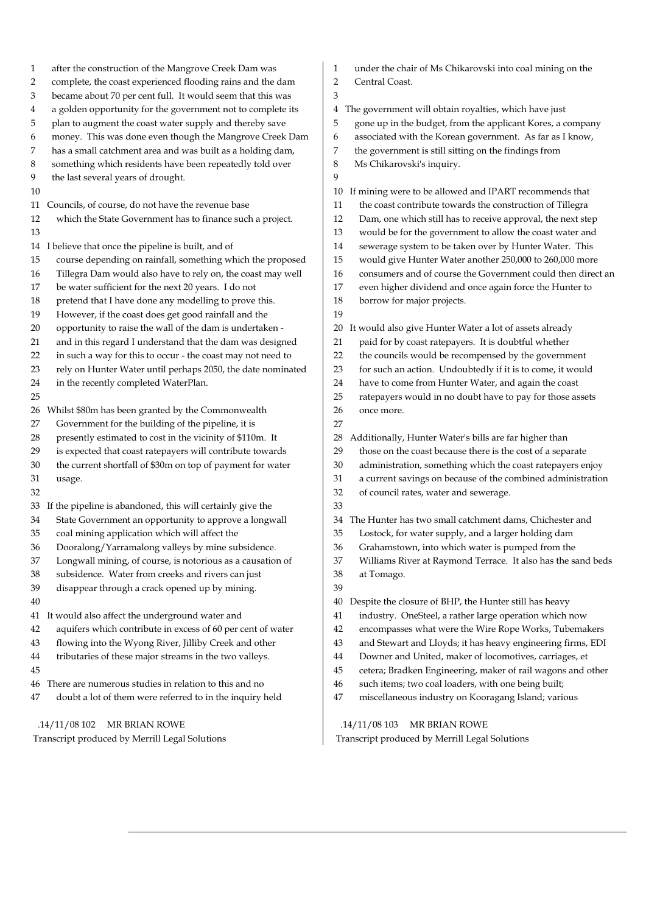| $\mathbf{1}$<br>2 | after the construction of the Mangrove Creek Dam was<br>complete, the coast experienced flooding rains and the dam | 1<br>2   | under the chair of Ms Chikarovski into coal mining on the<br>Central Coast.                             |
|-------------------|--------------------------------------------------------------------------------------------------------------------|----------|---------------------------------------------------------------------------------------------------------|
| 3                 | became about 70 per cent full. It would seem that this was                                                         | 3        |                                                                                                         |
| 4                 | a golden opportunity for the government not to complete its                                                        | 4        | The government will obtain royalties, which have just                                                   |
| 5                 | plan to augment the coast water supply and thereby save                                                            | 5        | gone up in the budget, from the applicant Kores, a company                                              |
| 6                 | money. This was done even though the Mangrove Creek Dam                                                            | 6        | associated with the Korean government. As far as I know,                                                |
| 7                 | has a small catchment area and was built as a holding dam,                                                         | 7        | the government is still sitting on the findings from                                                    |
| 8                 | something which residents have been repeatedly told over                                                           | 8        | Ms Chikarovski's inquiry.                                                                               |
| 9                 | the last several years of drought.                                                                                 | 9        |                                                                                                         |
| 10                |                                                                                                                    | 10       | If mining were to be allowed and IPART recommends that                                                  |
|                   | 11 Councils, of course, do not have the revenue base                                                               | 11       | the coast contribute towards the construction of Tillegra                                               |
| 12                | which the State Government has to finance such a project.                                                          | 12       | Dam, one which still has to receive approval, the next step                                             |
| 13                |                                                                                                                    | 13       | would be for the government to allow the coast water and                                                |
|                   | 14 I believe that once the pipeline is built, and of                                                               | 14       | sewerage system to be taken over by Hunter Water. This                                                  |
| 15                | course depending on rainfall, something which the proposed                                                         | 15       | would give Hunter Water another 250,000 to 260,000 more                                                 |
| 16                | Tillegra Dam would also have to rely on, the coast may well                                                        | 16       | consumers and of course the Government could then direct an                                             |
| 17                | be water sufficient for the next 20 years. I do not                                                                | 17       | even higher dividend and once again force the Hunter to                                                 |
| 18                | pretend that I have done any modelling to prove this.                                                              | 18       | borrow for major projects.                                                                              |
| 19                | However, if the coast does get good rainfall and the                                                               | 19       |                                                                                                         |
| 20                | opportunity to raise the wall of the dam is undertaken -                                                           | 20       | It would also give Hunter Water a lot of assets already                                                 |
| 21                | and in this regard I understand that the dam was designed                                                          | 21       | paid for by coast ratepayers. It is doubtful whether                                                    |
| 22                | in such a way for this to occur - the coast may not need to                                                        | 22       | the councils would be recompensed by the government                                                     |
| 23                | rely on Hunter Water until perhaps 2050, the date nominated                                                        | 23       | for such an action. Undoubtedly if it is to come, it would                                              |
| 24                | in the recently completed WaterPlan.                                                                               | 24       | have to come from Hunter Water, and again the coast                                                     |
| 25                |                                                                                                                    | 25       | ratepayers would in no doubt have to pay for those assets                                               |
| 26                | Whilst \$80m has been granted by the Commonwealth                                                                  | 26       | once more.                                                                                              |
| 27                | Government for the building of the pipeline, it is                                                                 | 27       |                                                                                                         |
| 28                | presently estimated to cost in the vicinity of \$110m. It                                                          | 28       | Additionally, Hunter Water's bills are far higher than                                                  |
| 29                | is expected that coast ratepayers will contribute towards                                                          | 29       | those on the coast because there is the cost of a separate                                              |
| 30                | the current shortfall of \$30m on top of payment for water                                                         | 30       | administration, something which the coast ratepayers enjoy                                              |
| 31                |                                                                                                                    | 31       | a current savings on because of the combined administration                                             |
| 32                | usage.                                                                                                             |          | of council rates, water and sewerage.                                                                   |
|                   | 33 If the pipeline is abandoned, this will certainly give the                                                      | 32<br>33 |                                                                                                         |
| 34                |                                                                                                                    |          |                                                                                                         |
| 35                | State Government an opportunity to approve a longwall                                                              | 34       | The Hunter has two small catchment dams, Chichester and                                                 |
| 36                | coal mining application which will affect the<br>Dooralong/Yarramalong valleys by mine subsidence.                 | 35<br>36 | Lostock, for water supply, and a larger holding dam<br>Grahamstown, into which water is pumped from the |
|                   |                                                                                                                    |          |                                                                                                         |
| 37                | Longwall mining, of course, is notorious as a causation of                                                         | 37       | Williams River at Raymond Terrace. It also has the sand beds                                            |
| 38                | subsidence. Water from creeks and rivers can just                                                                  | 38       | at Tomago.                                                                                              |
| 39                | disappear through a crack opened up by mining.                                                                     | 39       |                                                                                                         |
| 40                |                                                                                                                    | 40       | Despite the closure of BHP, the Hunter still has heavy                                                  |
|                   | 41 It would also affect the underground water and                                                                  | 41       | industry. OneSteel, a rather large operation which now                                                  |
| 42                | aquifers which contribute in excess of 60 per cent of water                                                        | 42       | encompasses what were the Wire Rope Works, Tubemakers                                                   |
| 43                | flowing into the Wyong River, Jilliby Creek and other                                                              | 43       | and Stewart and Lloyds; it has heavy engineering firms, EDI                                             |
| 44                | tributaries of these major streams in the two valleys.                                                             | 44       | Downer and United, maker of locomotives, carriages, et                                                  |
| 45                |                                                                                                                    | 45       | cetera; Bradken Engineering, maker of rail wagons and other                                             |
| 46                | There are numerous studies in relation to this and no                                                              | 46       | such items; two coal loaders, with one being built;                                                     |
| 47                | doubt a lot of them were referred to in the inquiry held                                                           | 47       | miscellaneous industry on Kooragang Island; various                                                     |
|                   | .14/11/08102<br>MR BRIAN ROWE                                                                                      |          | .14/11/08103<br>MR BRIAN ROWE                                                                           |

 $\overline{\phantom{a}}$ 

Transcript produced by Merrill Legal Solutions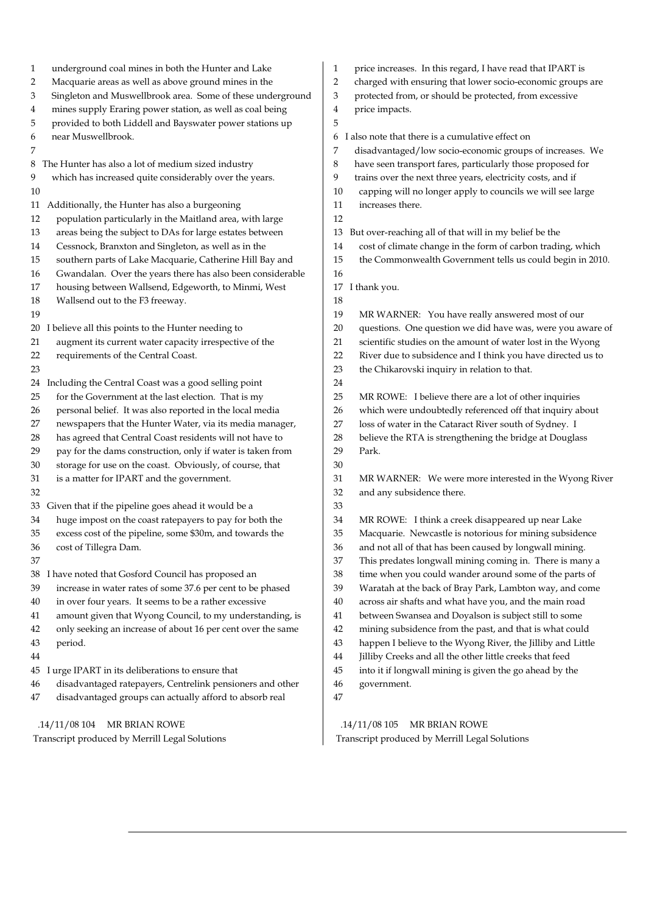| $\mathbf{1}$<br>2<br>3<br>4<br>5 | underground coal mines in both the Hunter and Lake<br>Macquarie areas as well as above ground mines in the<br>Singleton and Muswellbrook area. Some of these underground<br>mines supply Eraring power station, as well as coal being<br>provided to both Liddell and Bayswater power stations up | 1<br>2<br>3<br>4<br>5 | price increases. In this regard, I have read that IPART is<br>charged with ensuring that lower socio-economic groups are<br>protected from, or should be protected, from excessive<br>price impacts. |
|----------------------------------|---------------------------------------------------------------------------------------------------------------------------------------------------------------------------------------------------------------------------------------------------------------------------------------------------|-----------------------|------------------------------------------------------------------------------------------------------------------------------------------------------------------------------------------------------|
| 6<br>7                           | near Muswellbrook.                                                                                                                                                                                                                                                                                | 6<br>7                | I also note that there is a cumulative effect on<br>disadvantaged/low socio-economic groups of increases. We                                                                                         |
|                                  | 8 The Hunter has also a lot of medium sized industry                                                                                                                                                                                                                                              | 8                     | have seen transport fares, particularly those proposed for                                                                                                                                           |
| 9                                | which has increased quite considerably over the years.                                                                                                                                                                                                                                            | 9                     | trains over the next three years, electricity costs, and if                                                                                                                                          |
| 10                               |                                                                                                                                                                                                                                                                                                   | 10                    | capping will no longer apply to councils we will see large                                                                                                                                           |
|                                  | 11 Additionally, the Hunter has also a burgeoning                                                                                                                                                                                                                                                 | 11                    | increases there.                                                                                                                                                                                     |
| 12                               | population particularly in the Maitland area, with large                                                                                                                                                                                                                                          | 12                    |                                                                                                                                                                                                      |
| 13                               | areas being the subject to DAs for large estates between                                                                                                                                                                                                                                          | 13                    | But over-reaching all of that will in my belief be the                                                                                                                                               |
| 14                               | Cessnock, Branxton and Singleton, as well as in the                                                                                                                                                                                                                                               | 14                    | cost of climate change in the form of carbon trading, which                                                                                                                                          |
| 15                               | southern parts of Lake Macquarie, Catherine Hill Bay and                                                                                                                                                                                                                                          | 15                    | the Commonwealth Government tells us could begin in 2010.                                                                                                                                            |
| 16                               | Gwandalan. Over the years there has also been considerable                                                                                                                                                                                                                                        | 16                    |                                                                                                                                                                                                      |
| 17                               | housing between Wallsend, Edgeworth, to Minmi, West                                                                                                                                                                                                                                               | 17                    | I thank you.                                                                                                                                                                                         |
| 18                               | Wallsend out to the F3 freeway.                                                                                                                                                                                                                                                                   | 18                    |                                                                                                                                                                                                      |
| 19                               |                                                                                                                                                                                                                                                                                                   | 19                    | MR WARNER: You have really answered most of our                                                                                                                                                      |
| 20 <sub>1</sub>                  | believe all this points to the Hunter needing to                                                                                                                                                                                                                                                  | 20                    | questions. One question we did have was, were you aware of                                                                                                                                           |
| 21                               | augment its current water capacity irrespective of the                                                                                                                                                                                                                                            | 21                    | scientific studies on the amount of water lost in the Wyong                                                                                                                                          |
| 22                               | requirements of the Central Coast.                                                                                                                                                                                                                                                                | 22                    | River due to subsidence and I think you have directed us to                                                                                                                                          |
| 23                               |                                                                                                                                                                                                                                                                                                   | 23                    | the Chikarovski inquiry in relation to that.                                                                                                                                                         |
|                                  | 24 Including the Central Coast was a good selling point                                                                                                                                                                                                                                           | 24                    |                                                                                                                                                                                                      |
| 25                               | for the Government at the last election. That is my                                                                                                                                                                                                                                               | 25                    | MR ROWE: I believe there are a lot of other inquiries                                                                                                                                                |
| 26                               | personal belief. It was also reported in the local media                                                                                                                                                                                                                                          | 26                    | which were undoubtedly referenced off that inquiry about                                                                                                                                             |
| 27                               | newspapers that the Hunter Water, via its media manager,                                                                                                                                                                                                                                          | 27                    | loss of water in the Cataract River south of Sydney. I                                                                                                                                               |
| 28                               | has agreed that Central Coast residents will not have to                                                                                                                                                                                                                                          | 28                    | believe the RTA is strengthening the bridge at Douglass                                                                                                                                              |
| 29                               | pay for the dams construction, only if water is taken from                                                                                                                                                                                                                                        | 29                    | Park.                                                                                                                                                                                                |
| 30                               | storage for use on the coast. Obviously, of course, that                                                                                                                                                                                                                                          | 30                    |                                                                                                                                                                                                      |
| 31                               | is a matter for IPART and the government.                                                                                                                                                                                                                                                         | 31                    | MR WARNER: We were more interested in the Wyong River                                                                                                                                                |
| 32                               |                                                                                                                                                                                                                                                                                                   | 32                    | and any subsidence there.                                                                                                                                                                            |
|                                  | 33 Given that if the pipeline goes ahead it would be a                                                                                                                                                                                                                                            | 33                    |                                                                                                                                                                                                      |
| 34                               | huge impost on the coast ratepayers to pay for both the                                                                                                                                                                                                                                           | 34                    | MR ROWE: I think a creek disappeared up near Lake                                                                                                                                                    |
| 35                               | excess cost of the pipeline, some \$30m, and towards the                                                                                                                                                                                                                                          | 35                    | Macquarie. Newcastle is notorious for mining subsidence                                                                                                                                              |
| $36\,$                           | cost of Tillegra Dam.                                                                                                                                                                                                                                                                             | $36\,$                | and not all of that has been caused by longwall mining.                                                                                                                                              |
| 37                               |                                                                                                                                                                                                                                                                                                   | 37                    | This predates longwall mining coming in. There is many a                                                                                                                                             |
|                                  | 38 I have noted that Gosford Council has proposed an                                                                                                                                                                                                                                              | $38\,$                | time when you could wander around some of the parts of                                                                                                                                               |
| 39                               | increase in water rates of some 37.6 per cent to be phased                                                                                                                                                                                                                                        | 39                    | Waratah at the back of Bray Park, Lambton way, and come                                                                                                                                              |
| 40                               | in over four years. It seems to be a rather excessive                                                                                                                                                                                                                                             | 40                    | across air shafts and what have you, and the main road                                                                                                                                               |
| 41                               | amount given that Wyong Council, to my understanding, is                                                                                                                                                                                                                                          | 41                    | between Swansea and Doyalson is subject still to some                                                                                                                                                |
| 42                               | only seeking an increase of about 16 per cent over the same                                                                                                                                                                                                                                       | 42                    | mining subsidence from the past, and that is what could                                                                                                                                              |
| 43                               | period.                                                                                                                                                                                                                                                                                           | 43                    | happen I believe to the Wyong River, the Jilliby and Little                                                                                                                                          |
| 44                               |                                                                                                                                                                                                                                                                                                   | 44                    | Jilliby Creeks and all the other little creeks that feed                                                                                                                                             |
|                                  | 45 I urge IPART in its deliberations to ensure that                                                                                                                                                                                                                                               | 45                    | into it if longwall mining is given the go ahead by the                                                                                                                                              |
| 46                               | disadvantaged ratepayers, Centrelink pensioners and other                                                                                                                                                                                                                                         | 46                    | government.                                                                                                                                                                                          |
| 47                               | disadvantaged groups can actually afford to absorb real                                                                                                                                                                                                                                           | 47                    |                                                                                                                                                                                                      |
|                                  | .14/11/08104<br>MR BRIAN ROWE                                                                                                                                                                                                                                                                     |                       | .14/11/08105<br>MR BRIAN ROWE                                                                                                                                                                        |

 .14/11/08 105 MR BRIAN ROWE Transcript produced by Merrill Legal Solutions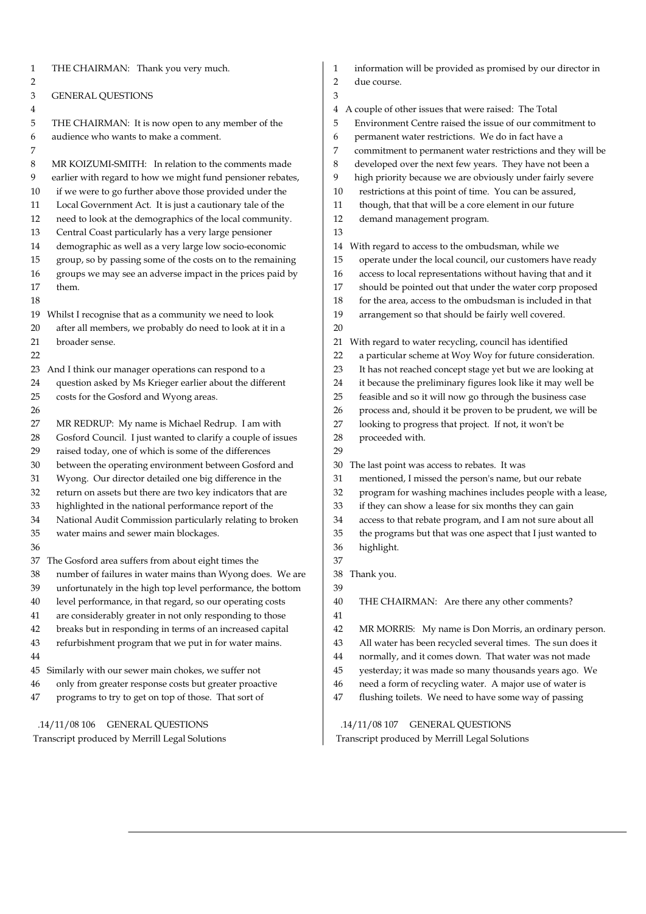| THE CHAIRMAN: Thank you very much.                                | information will be provided as promised by our director in      |
|-------------------------------------------------------------------|------------------------------------------------------------------|
| 1                                                                 | 1                                                                |
| $\overline{c}$                                                    | 2<br>due course.                                                 |
| 3<br><b>GENERAL QUESTIONS</b>                                     | 3                                                                |
| 4                                                                 | A couple of other issues that were raised: The Total<br>4        |
| 5                                                                 | 5                                                                |
| THE CHAIRMAN: It is now open to any member of the                 | Environment Centre raised the issue of our commitment to         |
| audience who wants to make a comment.                             | permanent water restrictions. We do in fact have a               |
| 6                                                                 | 6                                                                |
| 7                                                                 | 7<br>commitment to permanent water restrictions and they will be |
| 8                                                                 | 8                                                                |
| MR KOIZUMI-SMITH: In relation to the comments made                | developed over the next few years. They have not been a          |
| 9                                                                 | 9                                                                |
| earlier with regard to how we might fund pensioner rebates,       | high priority because we are obviously under fairly severe       |
| if we were to go further above those provided under the           | restrictions at this point of time. You can be assured,          |
| 10                                                                | 10                                                               |
| Local Government Act. It is just a cautionary tale of the         | though, that that will be a core element in our future           |
| 11                                                                | 11                                                               |
| 12                                                                | 12                                                               |
| need to look at the demographics of the local community.          | demand management program.                                       |
| Central Coast particularly has a very large pensioner<br>13       | 13                                                               |
| 14                                                                | With regard to access to the ombudsman, while we                 |
| demographic as well as a very large low socio-economic            | 14                                                               |
| group, so by passing some of the costs on to the remaining        | operate under the local council, our customers have ready        |
| 15                                                                | 15                                                               |
| groups we may see an adverse impact in the prices paid by         | access to local representations without having that and it       |
| 16                                                                | 16                                                               |
| 17                                                                | should be pointed out that under the water corp proposed         |
| them.                                                             | 17                                                               |
| 18                                                                | for the area, access to the ombudsman is included in that<br>18  |
| 19                                                                | 19                                                               |
| Whilst I recognise that as a community we need to look            | arrangement so that should be fairly well covered.               |
| after all members, we probably do need to look at it in a<br>20   | 20                                                               |
| broader sense.                                                    | With regard to water recycling, council has identified           |
| 21                                                                | 21                                                               |
| 22                                                                | a particular scheme at Woy Woy for future consideration.<br>22   |
| 23                                                                | It has not reached concept stage yet but we are looking at       |
| And I think our manager operations can respond to a               | 23                                                               |
| question asked by Ms Krieger earlier about the different          | it because the preliminary figures look like it may well be      |
| 24                                                                | 24                                                               |
| costs for the Gosford and Wyong areas.                            | feasible and so it will now go through the business case         |
| 25                                                                | 25                                                               |
| 26                                                                | process and, should it be proven to be prudent, we will be<br>26 |
| 27                                                                | looking to progress that project. If not, it won't be            |
| MR REDRUP: My name is Michael Redrup. I am with                   | 27                                                               |
| Gosford Council. I just wanted to clarify a couple of issues      | proceeded with.                                                  |
| 28                                                                | 28                                                               |
| raised today, one of which is some of the differences<br>29       | 29                                                               |
| between the operating environment between Gosford and             | The last point was access to rebates. It was                     |
| 30                                                                | 30                                                               |
| Wyong. Our director detailed one big difference in the            | mentioned, I missed the person's name, but our rebate            |
| 31                                                                | 31                                                               |
| return on assets but there are two key indicators that are        | program for washing machines includes people with a lease,       |
| 32                                                                | 32                                                               |
| highlighted in the national performance report of the             | 33                                                               |
| 33                                                                | if they can show a lease for six months they can gain            |
| National Audit Commission particularly relating to broken         | access to that rebate program, and I am not sure about all       |
| 34                                                                | 34                                                               |
| 35                                                                | the programs but that was one aspect that I just wanted to       |
| water mains and sewer main blockages.                             | 35                                                               |
| 36                                                                | 36<br>highlight.                                                 |
| 37 The Gosford area suffers from about eight times the            | 37                                                               |
| number of failures in water mains than Wyong does. We are         | 38                                                               |
| 38                                                                | Thank you.                                                       |
| unfortunately in the high top level performance, the bottom<br>39 | 39                                                               |
| level performance, in that regard, so our operating costs         | 40                                                               |
| 40                                                                | THE CHAIRMAN: Are there any other comments?                      |
| are considerably greater in not only responding to those<br>41    | 41                                                               |
| breaks but in responding in terms of an increased capital         | 42                                                               |
| 42                                                                | MR MORRIS: My name is Don Morris, an ordinary person.            |
| refurbishment program that we put in for water mains.             | All water has been recycled several times. The sun does it       |
| 43                                                                | 43                                                               |
| 44                                                                | normally, and it comes down. That water was not made<br>44       |
| Similarly with our sewer main chokes, we suffer not               | yesterday; it was made so many thousands years ago. We           |
| 45                                                                | 45                                                               |
| only from greater response costs but greater proactive            | need a form of recycling water. A major use of water is          |
| 46                                                                | 46                                                               |
| programs to try to get on top of those. That sort of              | flushing toilets. We need to have some way of passing            |
| 47                                                                | 47                                                               |
|                                                                   |                                                                  |
| .14/11/08 106<br><b>GENERAL QUESTIONS</b>                         | .14/11/08 107 GENERAL QUESTIONS                                  |
| Transcript produced by Merrill Legal Solutions                    | Transcript produced by Merrill Legal Solutions                   |
|                                                                   |                                                                  |